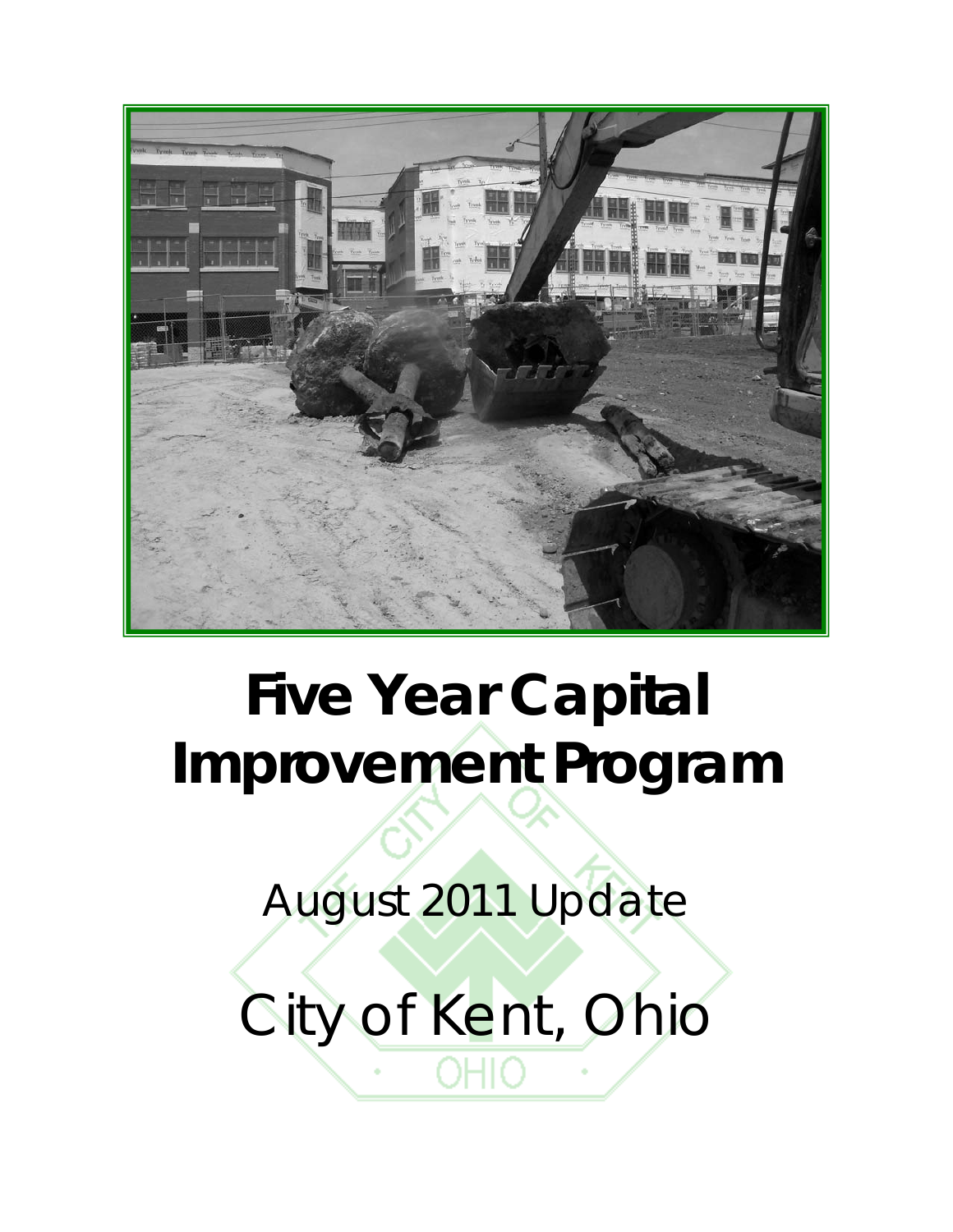

# **Five Year Capital Improvement Program**

August 2011 Update

City of Kent, Ohio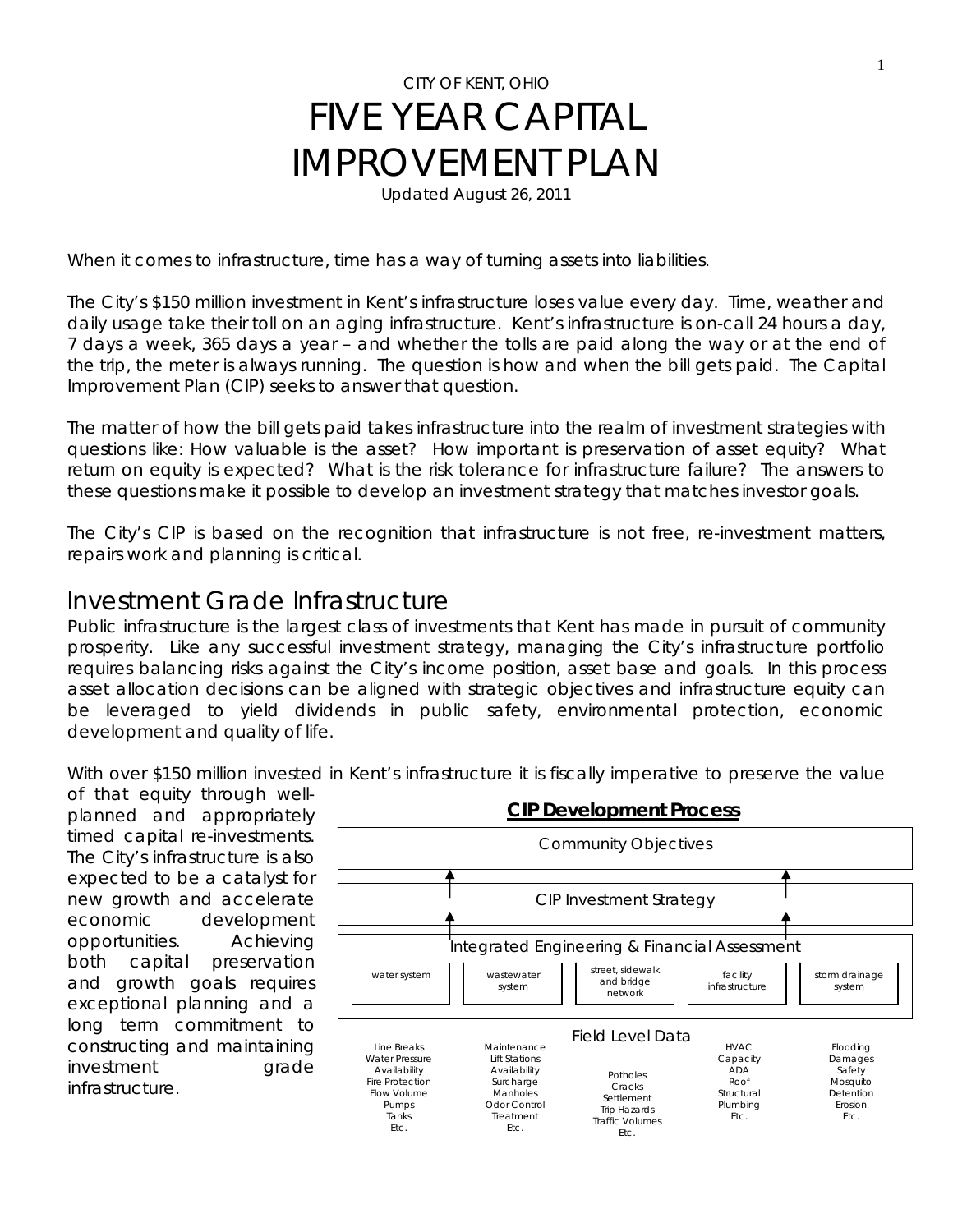# CITY OF KENT, OHIO FIVE YEAR CAPITAL IMPROVEMENT PLAN

Updated August 26, 2011

When it comes to infrastructure, time has a way of turning assets into liabilities.

The City's \$150 million investment in Kent's infrastructure loses value every day. Time, weather and daily usage take their toll on an aging infrastructure. Kent's infrastructure is on-call 24 hours a day, 7 days a week, 365 days a year – and whether the tolls are paid along the way or at the end of the trip, the meter is always running. The question is how and when the bill gets paid. The Capital Improvement Plan (CIP) seeks to answer that question.

The matter of how the bill gets paid takes infrastructure into the realm of investment strategies with questions like: How valuable is the asset? How important is preservation of asset equity? What return on equity is expected? What is the risk tolerance for infrastructure failure? The answers to these questions make it possible to develop an investment strategy that matches investor goals.

The City's CIP is based on the recognition that infrastructure is not free, re-investment matters, repairs work and planning is critical.

# Investment Grade Infrastructure

Public infrastructure is the largest class of investments that Kent has made in pursuit of community prosperity. Like any successful investment strategy, managing the City's infrastructure portfolio requires balancing risks against the City's income position, asset base and goals. In this process asset allocation decisions can be aligned with strategic objectives and infrastructure equity can be leveraged to yield dividends in public safety, environmental protection, economic development and quality of life.

With over \$150 million invested in Kent's infrastructure it is fiscally imperative to preserve the value

of that equity through wellplanned and appropriately timed capital re-investments. The City's infrastructure is also expected to be a catalyst for new growth and accelerate economic development opportunities. Achieving both capital preservation and growth goals requires exceptional planning and a long term commitment to constructing and maintaining investment grade infrastructure.



# **CIP Development Process**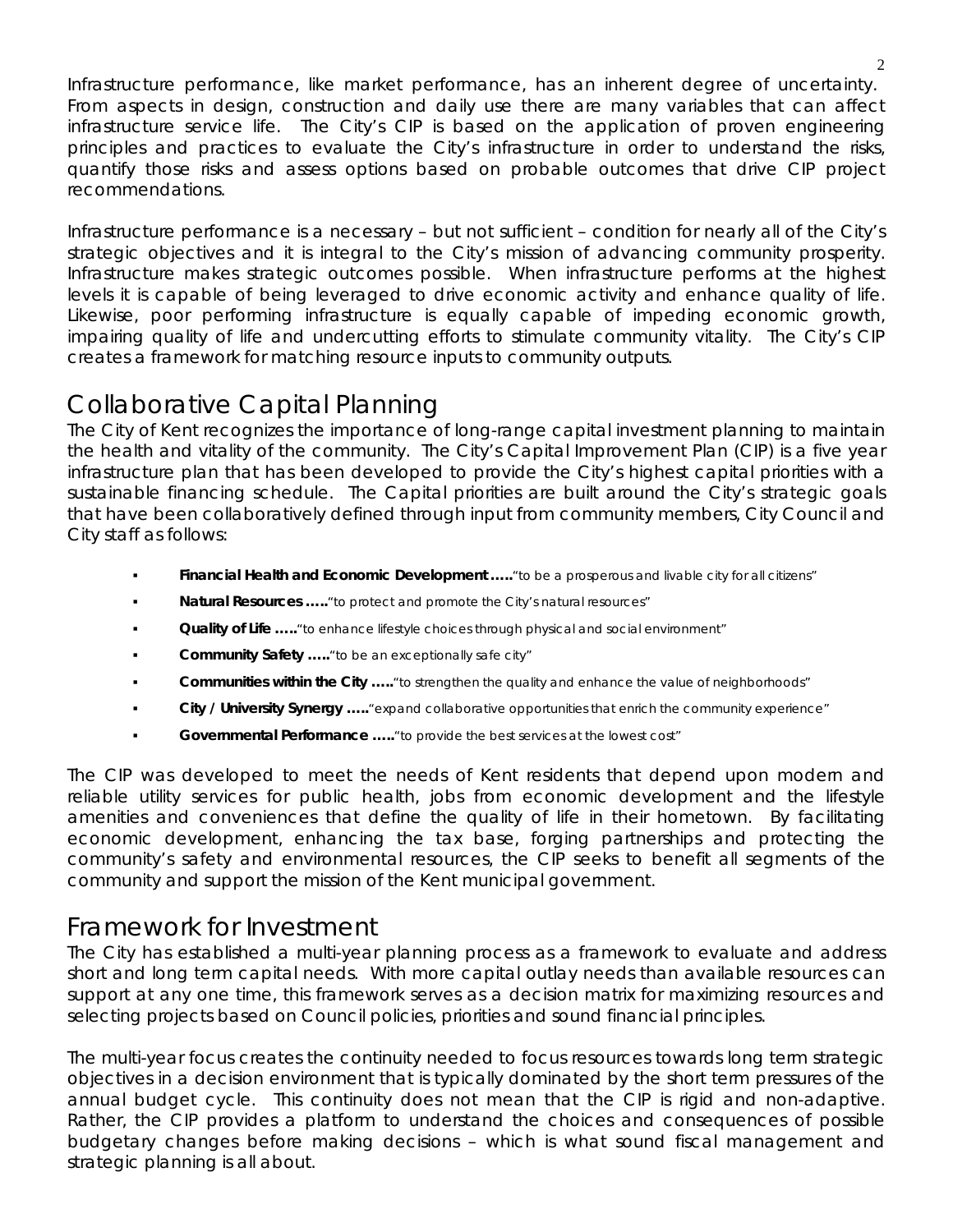Infrastructure performance, like market performance, has an inherent degree of uncertainty. From aspects in design, construction and daily use there are many variables that can affect infrastructure service life. The City's CIP is based on the application of proven engineering principles and practices to evaluate the City's infrastructure in order to understand the risks, quantify those risks and assess options based on probable outcomes that drive CIP project recommendations.

Infrastructure performance is a necessary – but not sufficient – condition for nearly all of the City's strategic objectives and it is integral to the City's mission of advancing community prosperity. Infrastructure makes strategic outcomes possible. When infrastructure performs at the highest levels it is capable of being leveraged to drive economic activity and enhance quality of life. Likewise, poor performing infrastructure is equally capable of impeding economic growth, impairing quality of life and undercutting efforts to stimulate community vitality. The City's CIP creates a framework for matching resource inputs to community outputs.

# Collaborative Capital Planning

The City of Kent recognizes the importance of long-range capital investment planning to maintain the health and vitality of the community. The City's Capital Improvement Plan (CIP) is a five year infrastructure plan that has been developed to provide the City's highest capital priorities with a sustainable financing schedule. The Capital priorities are built around the City's strategic goals that have been collaboratively defined through input from community members, City Council and City staff as follows:

- **Financial Health and Economic Development …..***"to be a prosperous and livable city for all citizens"*
- **Natural Resources …..***"to protect and promote the City's natural resources"*
- **Quality of Life …..***"to enhance lifestyle choices through physical and social environment"*
- **Community Safety …..***"to be an exceptionally safe city"*
- **Communities within the City …..***"to strengthen the quality and enhance the value of neighborhoods"*
- **City / University Synergy …..***"expand collaborative opportunities that enrich the community experience"*
- **Governmental Performance …..***"to provide the best services at the lowest cost"*

The CIP was developed to meet the needs of Kent residents that depend upon modern and reliable utility services for public health, jobs from economic development and the lifestyle amenities and conveniences that define the quality of life in their hometown. By facilitating economic development, enhancing the tax base, forging partnerships and protecting the community's safety and environmental resources, the CIP seeks to benefit all segments of the community and support the mission of the Kent municipal government.

# Framework for Investment

The City has established a multi-year planning process as a framework to evaluate and address short and long term capital needs. With more capital outlay needs than available resources can support at any one time, this framework serves as a decision matrix for maximizing resources and selecting projects based on Council policies, priorities and sound financial principles.

The multi-year focus creates the continuity needed to focus resources towards long term strategic objectives in a decision environment that is typically dominated by the short term pressures of the annual budget cycle. This continuity does not mean that the CIP is rigid and non-adaptive. Rather, the CIP provides a platform to understand the choices and consequences of possible budgetary changes before making decisions – which is what sound fiscal management and strategic planning is all about.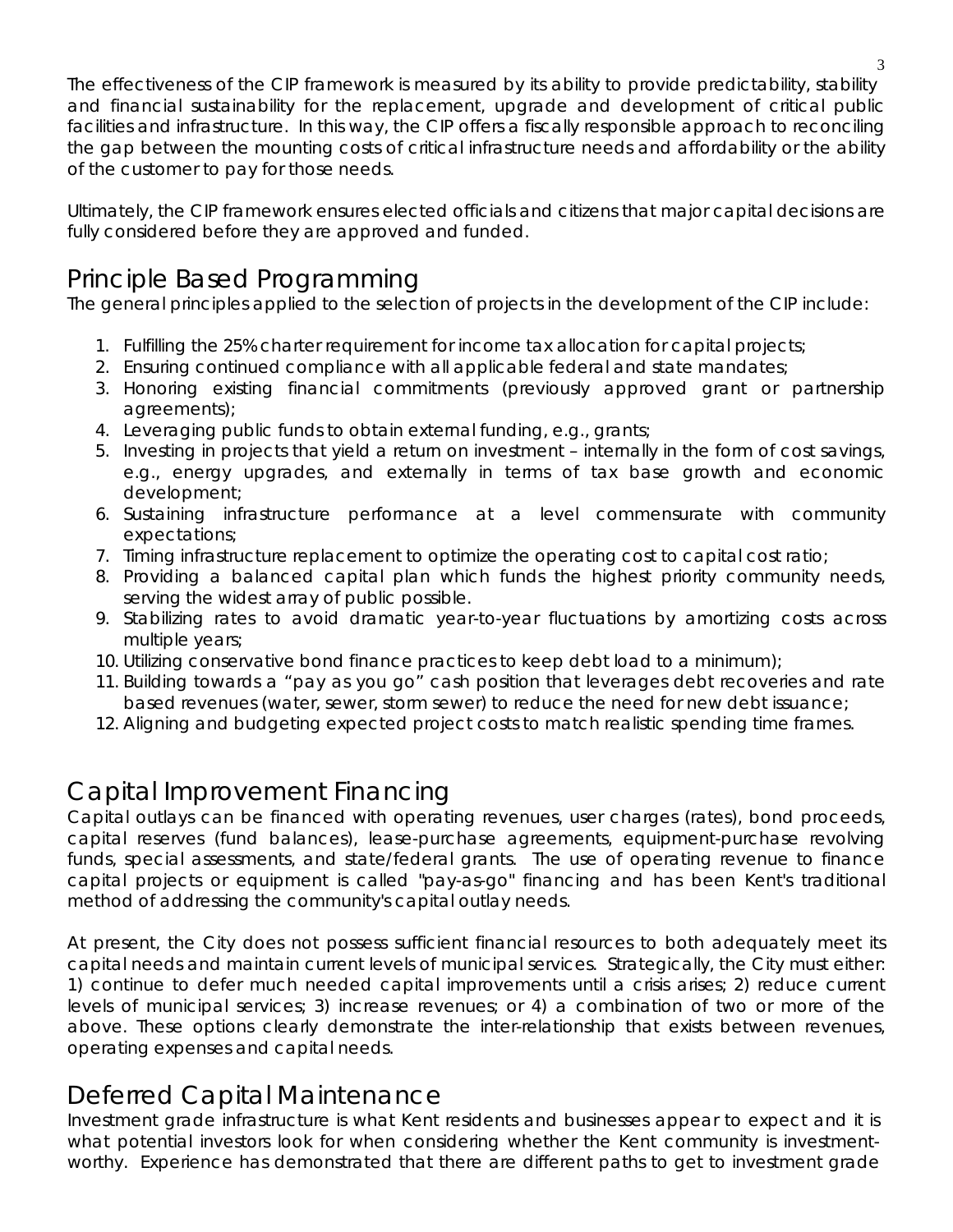The effectiveness of the CIP framework is measured by its ability to provide predictability, stability and financial sustainability for the replacement, upgrade and development of critical public facilities and infrastructure. In this way, the CIP offers a fiscally responsible approach to reconciling the gap between the mounting costs of critical infrastructure needs and affordability or the ability of the customer to pay for those needs.

Ultimately, the CIP framework ensures elected officials and citizens that major capital decisions are fully considered before they are approved and funded.

# Principle Based Programming

The general principles applied to the selection of projects in the development of the CIP include:

- 1. Fulfilling the 25% charter requirement for income tax allocation for capital projects;
- 2. Ensuring continued compliance with all applicable federal and state mandates;
- 3. Honoring existing financial commitments (previously approved grant or partnership agreements);
- 4. Leveraging public funds to obtain external funding, e.g., grants;
- 5. Investing in projects that yield a return on investment internally in the form of cost savings, e.g., energy upgrades, and externally in terms of tax base growth and economic development;
- 6. Sustaining infrastructure performance at a level commensurate with community expectations;
- 7. Timing infrastructure replacement to optimize the operating cost to capital cost ratio;
- 8. Providing a balanced capital plan which funds the highest priority community needs, serving the widest array of public possible.
- 9. Stabilizing rates to avoid dramatic year-to-year fluctuations by amortizing costs across multiple years;
- 10. Utilizing conservative bond finance practices to keep debt load to a minimum);
- 11. Building towards a "pay as you go" cash position that leverages debt recoveries and rate based revenues (water, sewer, storm sewer) to reduce the need for new debt issuance;
- 12. Aligning and budgeting expected project costs to match realistic spending time frames.

# Capital Improvement Financing

Capital outlays can be financed with operating revenues, user charges (rates), bond proceeds, capital reserves (fund balances), lease-purchase agreements, equipment-purchase revolving funds, special assessments, and state/federal grants. The use of operating revenue to finance capital projects or equipment is called "pay-as-go" financing and has been Kent's traditional method of addressing the community's capital outlay needs.

At present, the City does not possess sufficient financial resources to both adequately meet its capital needs and maintain current levels of municipal services. Strategically, the City must either: 1) continue to defer much needed capital improvements until a crisis arises; 2) reduce current levels of municipal services; 3) increase revenues; or 4) a combination of two or more of the above. These options clearly demonstrate the inter-relationship that exists between revenues, operating expenses and capital needs.

# Deferred Capital Maintenance

Investment grade infrastructure is what Kent residents and businesses appear to expect and it is what potential investors look for when considering whether the Kent community is investmentworthy. Experience has demonstrated that there are different paths to get to investment grade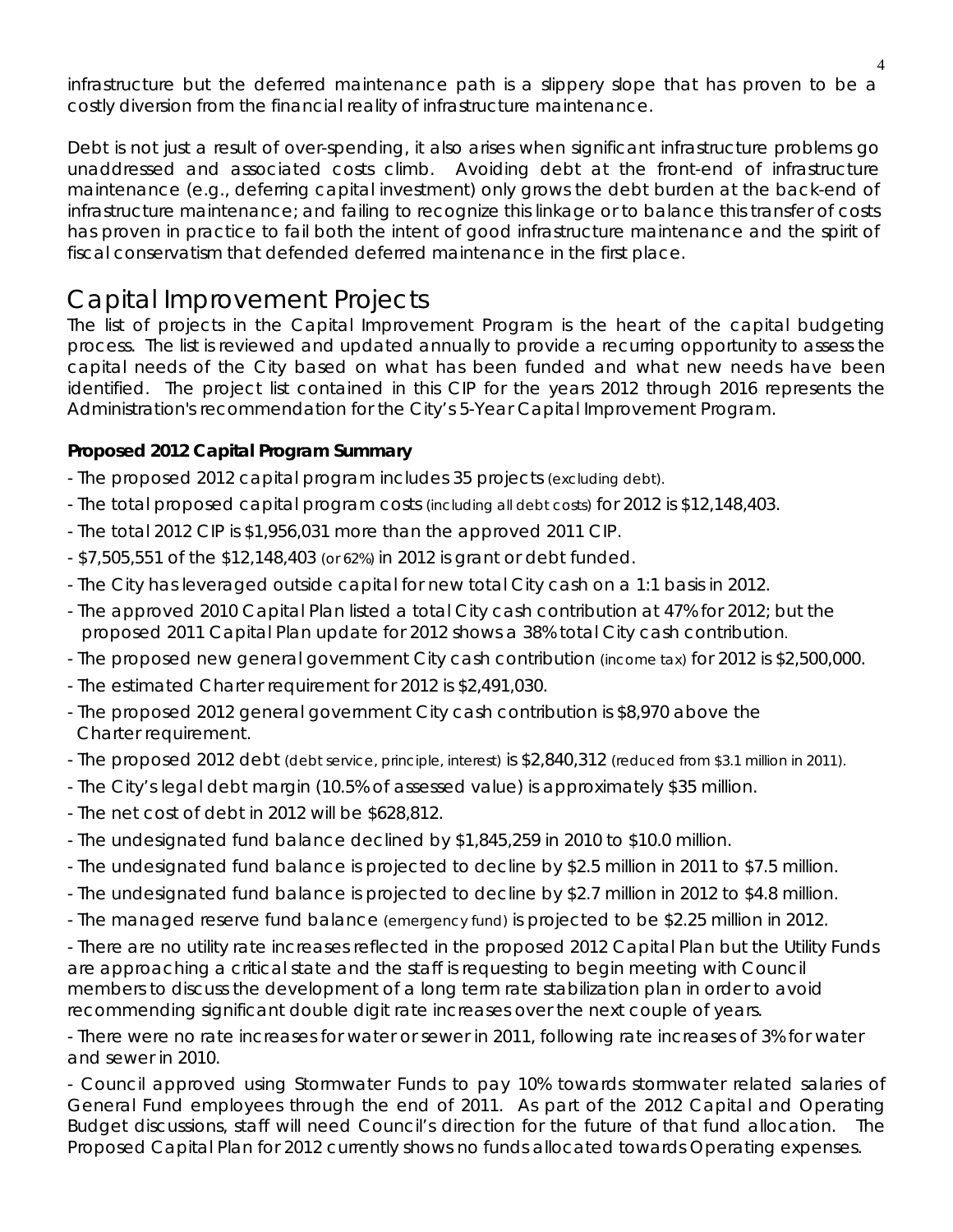infrastructure but the deferred maintenance path is a slippery slope that has proven to be a costly diversion from the financial reality of infrastructure maintenance.

Debt is not just a result of over-spending, it also arises when significant infrastructure problems go unaddressed and associated costs climb. Avoiding debt at the front-end of infrastructure maintenance (e.g., deferring capital investment) only grows the debt burden at the back-end of infrastructure maintenance; and failing to recognize this linkage or to balance this transfer of costs has proven in practice to fail both the intent of good infrastructure maintenance and the spirit of fiscal conservatism that defended deferred maintenance in the first place.

# Capital Improvement Projects

The list of projects in the Capital Improvement Program is the heart of the capital budgeting process. The list is reviewed and updated annually to provide a recurring opportunity to assess the capital needs of the City based on what has been funded and what new needs have been identified. The project list contained in this CIP for the years 2012 through 2016 represents the Administration's recommendation for the City's 5-Year Capital Improvement Program.

# **Proposed 2012 Capital Program Summary**

- The proposed 2012 capital program includes 35 projects (excluding debt).
- The total proposed capital program costs (including all debt costs) for 2012 is \$12,148,403.
- The total 2012 CIP is \$1,956,031 more than the approved 2011 CIP.
- \$7,505,551 of the \$12,148,403 (or 62%) in 2012 is grant or debt funded.
- The City has leveraged outside capital for new total City cash on a 1:1 basis in 2012.
- The approved 2010 Capital Plan listed a total City cash contribution at 47% for 2012; but the proposed 2011 Capital Plan update for 2012 shows a 38% total City cash contribution.
- The proposed new general government City cash contribution (income tax) for 2012 is \$2,500,000.
- The estimated Charter requirement for 2012 is \$2,491,030.
- The proposed 2012 general government City cash contribution is \$8,970 above the Charter requirement.
- The proposed 2012 debt (debt service, principle, interest) is \$2,840,312 (reduced from \$3.1 million in 2011).
- The City's legal debt margin (10.5% of assessed value) is approximately \$35 million.
- The net cost of debt in 2012 will be \$628,812.
- The undesignated fund balance declined by \$1,845,259 in 2010 to \$10.0 million.
- The undesignated fund balance is projected to decline by \$2.5 million in 2011 to \$7.5 million.
- The undesignated fund balance is projected to decline by \$2.7 million in 2012 to \$4.8 million.
- The managed reserve fund balance (emergency fund) is projected to be \$2.25 million in 2012.

- There are no utility rate increases reflected in the proposed 2012 Capital Plan but the Utility Funds are approaching a critical state and the staff is requesting to begin meeting with Council members to discuss the development of a long term rate stabilization plan in order to avoid recommending significant double digit rate increases over the next couple of years.

- There were no rate increases for water or sewer in 2011, following rate increases of 3% for water and sewer in 2010.

- Council approved using Stormwater Funds to pay 10% towards stormwater related salaries of General Fund employees through the end of 2011. As part of the 2012 Capital and Operating Budget discussions, staff will need Council's direction for the future of that fund allocation. The Proposed Capital Plan for 2012 currently shows no funds allocated towards Operating expenses.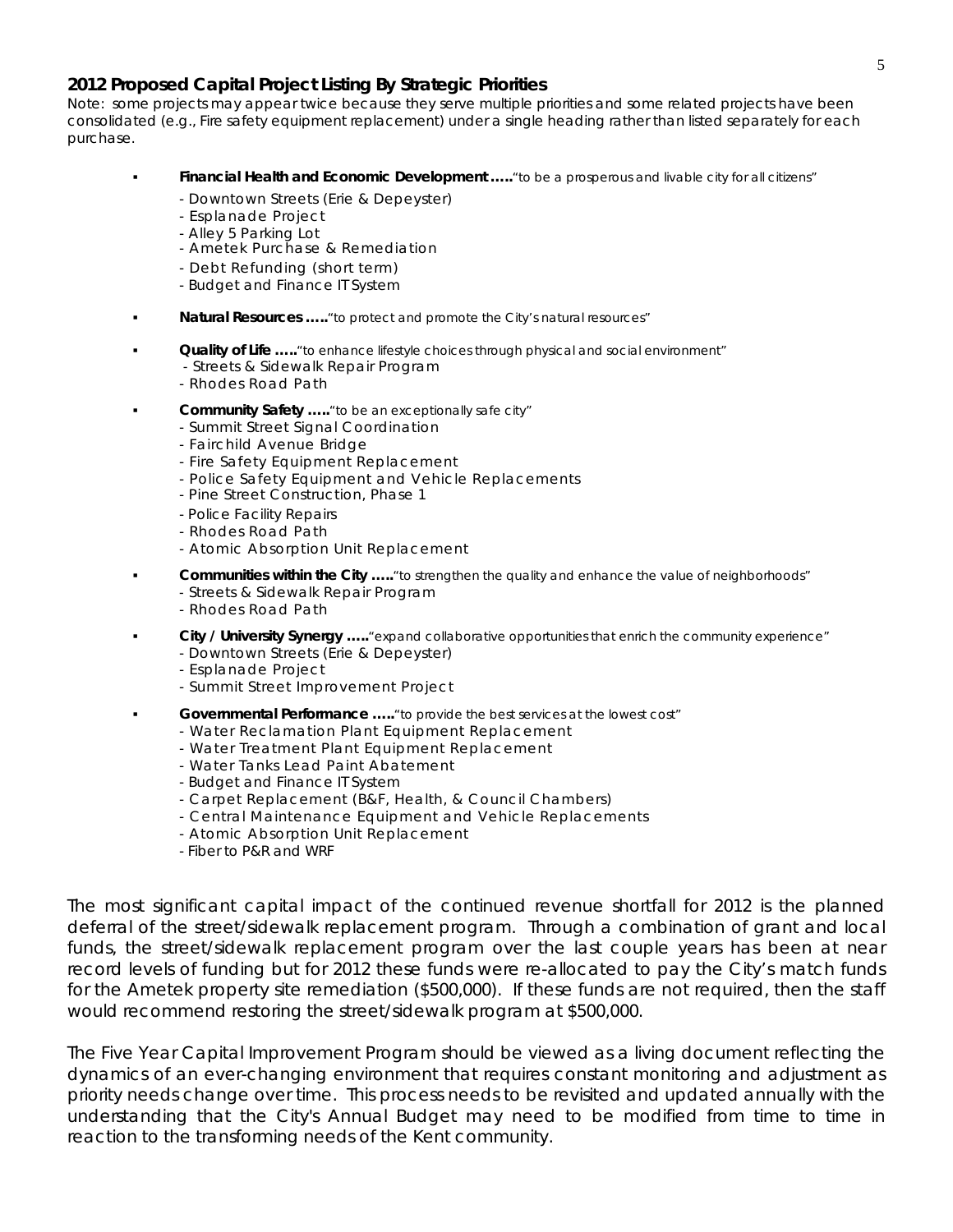# **2012 Proposed Capital Project Listing By Strategic Priorities**

Note: some projects may appear twice because they serve multiple priorities and some related projects have been consolidated (e.g., Fire safety equipment replacement) under a single heading rather than listed separately for each purchase.

- **Financial Health and Economic Development …..***"to be a prosperous and livable city for all citizens"* 
	- Downtown Streets (Erie & Depeyster)
	- Esplanade Project
	- Alley 5 Parking Lot
	- Ametek Purchase & Remediation
	- Debt Refunding (short term)
	- Budget and Finance IT System
- **Natural Resources …..***"to protect and promote the City's natural resources"*
- **Quality of Life …..***"to enhance lifestyle choices through physical and social environment"* 
	- Streets & Sidewalk Repair Program
	- Rhodes Road Path
- **Community Safety …..***"to be an exceptionally safe city"* 
	- Summit Street Signal Coordination
	- Fairchild Avenue Bridge
	- Fire Safety Equipment Replacement
	- Police Safety Equipment and Vehicle Replacements
	- Pine Street Construction, Phase 1
	- Police Facility Repairs
	- Rhodes Road Path
	- Atomic Absorption Unit Replacement
- **Communities within the City …..***"to strengthen the quality and enhance the value of neighborhoods"*  - Streets & Sidewalk Repair Program
	- Rhodes Road Path
- **City / University Synergy …..***"expand collaborative opportunities that enrich the community experience"* 
	- Downtown Streets (Erie & Depeyster)
	- Esplanade Project
	- Summit Street Improvement Project
- **Governmental Performance …..***"to provide the best services at the lowest cost"* 
	- Water Reclamation Plant Equipment Replacement
	- Water Treatment Plant Equipment Replacement
	- Water Tanks Lead Paint Abatement
	- Budget and Finance IT System
	- Carpet Replacement (B&F, Health, & Council Chambers)
	- Central Maintenance Equipment and Vehicle Replacements
	- Atomic Absorption Unit Replacement
	- Fiber to P&R and WRF

The most significant capital impact of the continued revenue shortfall for 2012 is the planned deferral of the street/sidewalk replacement program. Through a combination of grant and local funds, the street/sidewalk replacement program over the last couple years has been at near record levels of funding but for 2012 these funds were re-allocated to pay the City's match funds for the Ametek property site remediation (\$500,000). If these funds are not required, then the staff would recommend restoring the street/sidewalk program at \$500,000.

The Five Year Capital Improvement Program should be viewed as a living document reflecting the dynamics of an ever-changing environment that requires constant monitoring and adjustment as priority needs change over time. This process needs to be revisited and updated annually with the understanding that the City's Annual Budget may need to be modified from time to time in reaction to the transforming needs of the Kent community.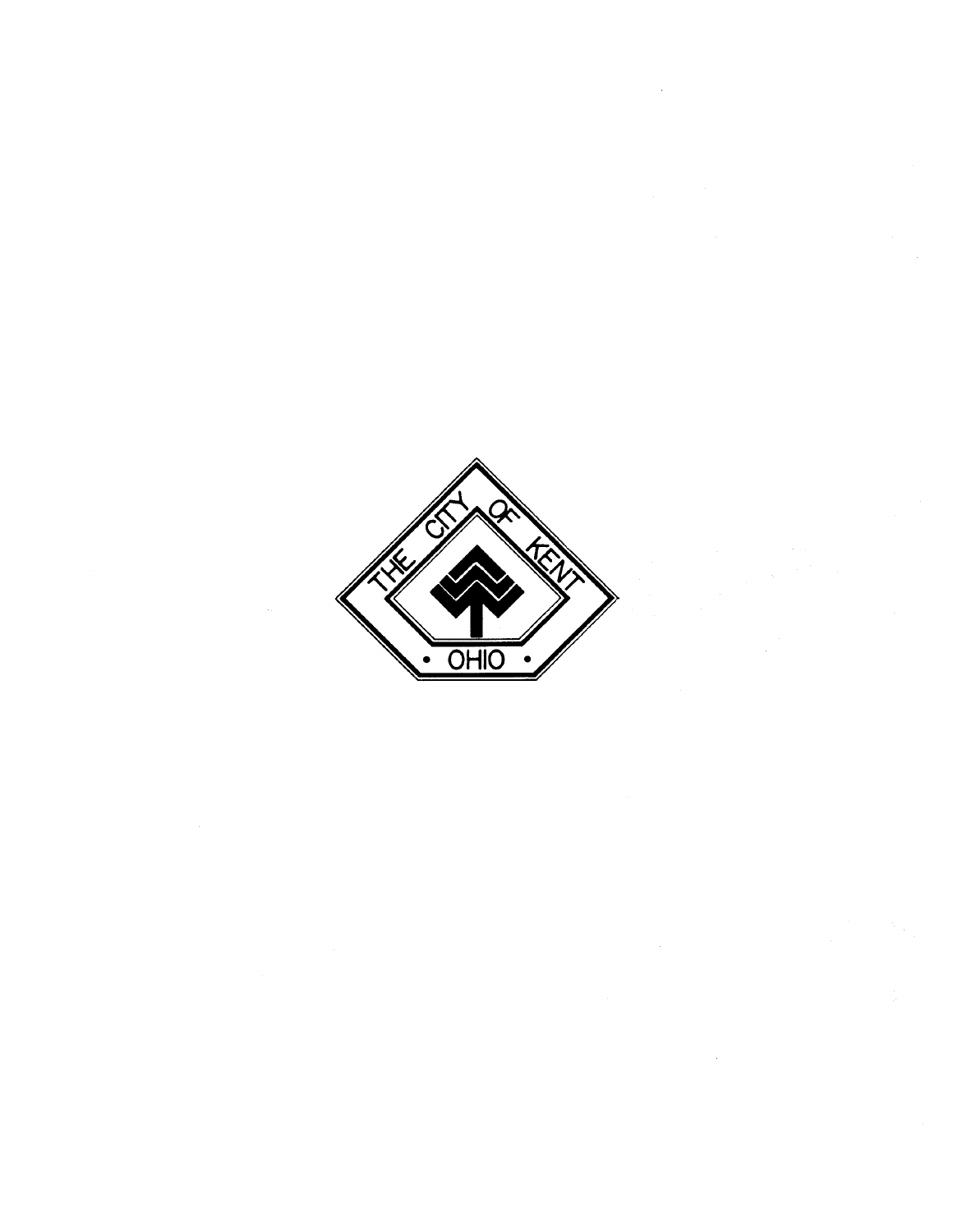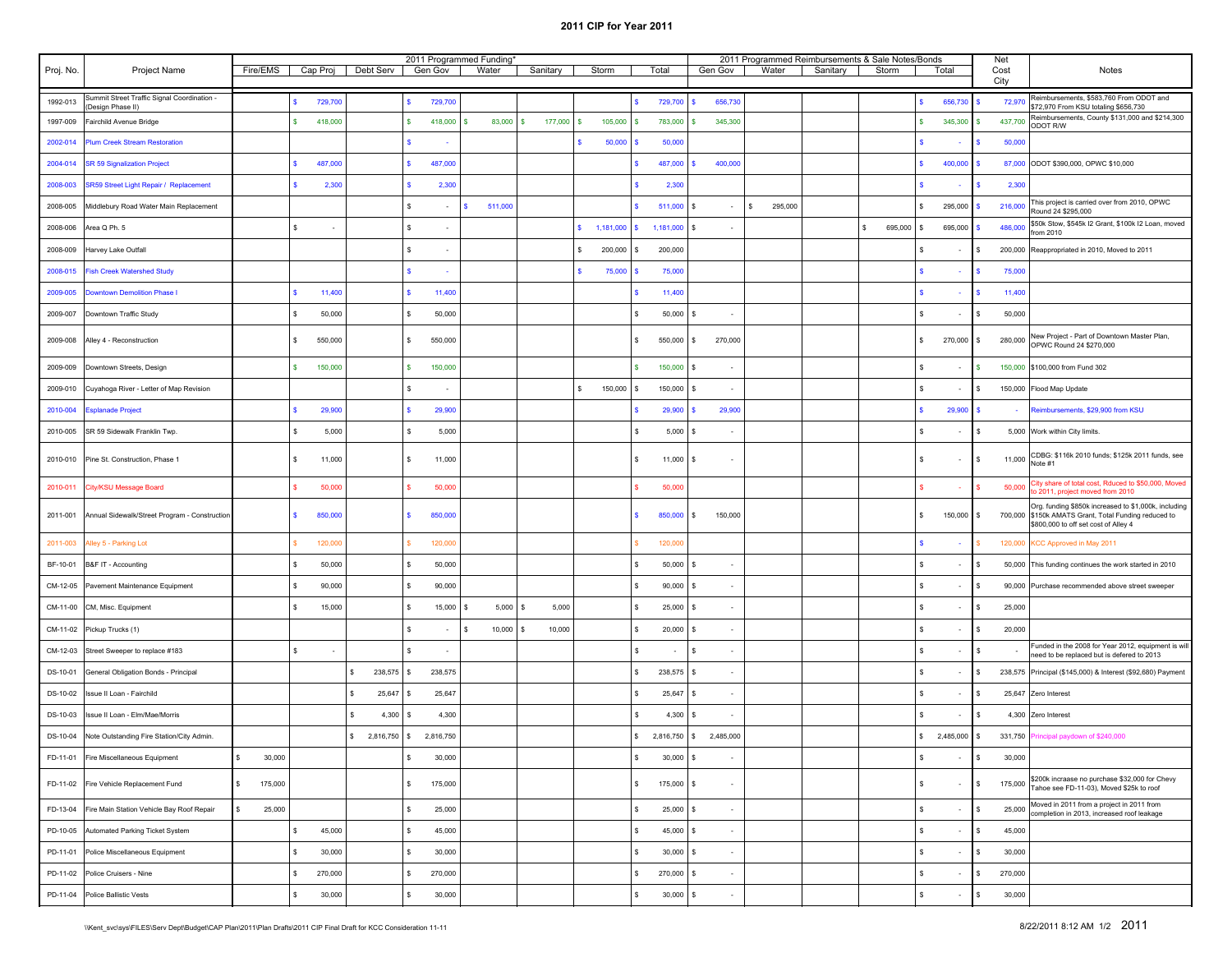|           |                                                        |                        |          |         |           |                        | 2011 Programmed Funding' |                    |              |               |                           |              | 2011 Programmed Reimbursements & Sale Notes/Bonds |         |                                | Net                     |                                                                                                                                                      |
|-----------|--------------------------------------------------------|------------------------|----------|---------|-----------|------------------------|--------------------------|--------------------|--------------|---------------|---------------------------|--------------|---------------------------------------------------|---------|--------------------------------|-------------------------|------------------------------------------------------------------------------------------------------------------------------------------------------|
| Proj. No. | Project Name                                           | Fire/EMS               | Cap Proj |         | Debt Serv | Gen Gov                | Water                    | Sanitary           | Storm        | Total         | Gen Gov                   | Water        | Sanitary                                          | Storm   | Total                          | Cost<br>City            | Notes                                                                                                                                                |
|           | Summit Street Traffic Signal Coordination -            |                        |          |         |           |                        |                          |                    |              |               |                           |              |                                                   |         |                                |                         | Reimbursements, \$583,760 From ODOT and                                                                                                              |
| 1992-013  | Design Phase II)                                       |                        |          | 729,700 |           | 729,700                |                          |                    |              | 729,700       | 656,730                   |              |                                                   |         | 656,730                        | 72,970                  | 72,970 From KSU totaling \$656,730<br>Reimbursements, County \$131,000 and \$214,300                                                                 |
| 1997-009  | airchild Avenue Bridge                                 |                        |          | 418,000 |           | 418,000                | 83,000                   | 177,000            | 105,000      | 783,000       | 345,300                   |              |                                                   |         | 345,300                        | 437,700                 | ODOT R/W                                                                                                                                             |
| 2002-014  | <b>Plum Creek Stream Restoration</b>                   |                        |          |         |           |                        |                          |                    | 50,000       | 50,000        |                           |              |                                                   |         |                                | 50,000                  |                                                                                                                                                      |
| 2004-014  | <b>SR 59 Signalization Project</b>                     |                        |          | 487,000 |           | 487,000                |                          |                    |              | 487,000       | 400,000                   |              |                                                   |         | 400,000                        | 87,000<br>s             | ODOT \$390,000, OPWC \$10,000                                                                                                                        |
| 2008-003  | SR59 Street Light Repair / Replacement                 |                        |          | 2,300   |           | 2,300                  |                          |                    |              | 2,300         |                           |              |                                                   |         |                                | 2,300<br>s              |                                                                                                                                                      |
| 2008-005  | Middlebury Road Water Main Replacement                 |                        |          |         |           | S.                     | 511,000                  |                    |              | 511,000       | \$                        | 295,000<br>s |                                                   |         | 295,000<br>s.                  | 216,000                 | This project is carried over from 2010, OPWC<br>Round 24 \$295,000                                                                                   |
| 2008-006  | Area Q Ph. 5                                           |                        |          |         |           | ×                      |                          |                    | 1,181,000    | 1,181,000     |                           |              |                                                   | 695,000 | 695,000                        | 486,000                 | \$50k Stow, \$545k I2 Grant, \$100k I2 Loan, moved<br>from 2010                                                                                      |
| 2008-009  | Harvey Lake Outfall                                    |                        |          |         |           |                        |                          |                    | 200,000      | 200,000<br>s  |                           |              |                                                   |         |                                | s<br>200,000            | Reappropriated in 2010, Moved to 2011                                                                                                                |
| 2008-015  | ish Creek Watershed Study                              |                        |          |         |           |                        |                          |                    | 75,000       | 75,000        |                           |              |                                                   |         |                                | 75,000                  |                                                                                                                                                      |
| 2009-005  | Nowntown Demolition Phase                              |                        |          | 11,400  |           | 11,400                 |                          |                    |              | 11,400        |                           |              |                                                   |         | ٠                              | 11,400                  |                                                                                                                                                      |
| 2009-007  | Downtown Traffic Study                                 |                        |          | 50,000  |           | 50,000<br>s            |                          |                    |              | 50,000<br>s   |                           |              |                                                   |         | s.                             | s<br>50,000             |                                                                                                                                                      |
|           | 2009-008 Alley 4 - Reconstruction                      |                        |          | 550,000 |           | 550,000<br>s           |                          |                    |              | 550,000       | 270,000<br>s              |              |                                                   |         | 270,000 \$                     | 280,000                 | New Project - Part of Downtown Master Plan,<br>OPWC Round 24 \$270,000                                                                               |
|           | 2009-009 Downtown Streets, Design                      |                        |          | 150,000 |           | 150,000                |                          |                    |              | 150,000 \$    |                           |              |                                                   |         | \$.<br>$\sim$                  | IS.                     | 150,000 \$100,000 from Fund 302                                                                                                                      |
|           | 2009-010 Cuyahoga River - Letter of Map Revision       |                        |          |         |           |                        |                          |                    | s<br>150,000 | 150,000<br>s. |                           |              |                                                   |         | s.                             | s                       | 150,000 Flood Map Update                                                                                                                             |
| 2010-004  | <b>Esplanade Project</b>                               |                        |          | 29,900  |           | 29,900                 |                          |                    |              | 29,900        | 29,900                    |              |                                                   |         | 29,900                         | $\mathbf{s}$<br>×       | eimbursements, \$29,900 from KSU                                                                                                                     |
|           | 2010-005 SR 59 Sidewalk Franklin Twp.                  |                        |          | 5,000   |           | 5,000                  |                          |                    |              | 5,000         | s                         |              |                                                   |         | s.                             | s                       | 5,000 Work within City limits.                                                                                                                       |
|           | 2010-010 Pine St. Construction, Phase 1                |                        | s        | 11,000  |           | 11,000                 |                          |                    |              | 11,000        | s                         |              |                                                   |         | s.<br>$\overline{\phantom{a}}$ | ls.<br>11,000           | CDBG: \$116k 2010 funds; \$125k 2011 funds, see<br>Note #1                                                                                           |
|           | 2010-011 City/KSU Message Board                        |                        |          | 50,000  |           | 50,00                  |                          |                    |              | 50,000        |                           |              |                                                   |         | \$                             | 50,000                  | City share of total cost, Rduced to \$50,000, Moved<br>2011, project moved from 2010                                                                 |
|           | 2011-001 Annual Sidewalk/Street Program - Construction |                        |          | 850,000 |           | 850,000                |                          |                    |              | 850,000       | 150,000<br><b>S</b>       |              |                                                   |         | 150,000 \$<br>s.               |                         | Org. funding \$850k increased to \$1,000k, including<br>700,000 \$150k AMATS Grant, Total Funding reduced to<br>\$800,000 to off set cost of Alley 4 |
| 2011-003  | Alley 5 - Parking Lot                                  |                        |          | 120,000 |           | 120,00                 |                          |                    |              | 120,000       |                           |              |                                                   |         | s.                             |                         | 120,000 KCC Approved in May 2011                                                                                                                     |
| BF-10-01  | B&F IT - Accounting                                    |                        |          | 50,000  |           | 50,000                 |                          |                    |              | 50,000        |                           |              |                                                   |         | $\overline{\phantom{a}}$       | $\mathsf{s}$<br>50,000  | This funding continues the work started in 2010                                                                                                      |
|           | CM-12-05 Pavement Maintenance Equipment                |                        |          | 90,000  |           | 90,000<br>s.           |                          |                    |              | $90,000$ \$   |                           |              |                                                   |         | s.                             | s                       | 90,000 Purchase recommended above street sweeper                                                                                                     |
|           | CM-11-00 CM, Misc. Equipment                           |                        |          | 15,000  |           | 15,000                 | 5,000                    | 5,000<br>\$.       |              | 25,000        | -S                        |              |                                                   |         | ٠                              | 25,000<br>s.            |                                                                                                                                                      |
|           | CM-11-02 Pickup Trucks (1)                             |                        |          |         |           | ٠                      | 10,000<br>l S            | 10,000<br><b>S</b> |              | 20,000        | l S                       |              |                                                   |         | \$<br>$\overline{\phantom{a}}$ | 20,000<br><b>S</b>      |                                                                                                                                                      |
|           | CM-12-03 Street Sweeper to replace #183                |                        |          |         |           | s.                     |                          |                    |              |               | s                         |              |                                                   |         |                                | s.                      | Funded in the 2008 for Year 2012, equipment is will<br>need to be replaced but is defered to 2013                                                    |
| DS-10-01  | General Obligation Bonds - Principal                   |                        |          |         | 238,575   | s<br>238,575           |                          |                    |              | 238,575       |                           |              |                                                   |         |                                | $\mathsf{s}$<br>238,575 | Principal (\$145,000) & Interest (\$92,680) Payment                                                                                                  |
| DS-10-02  | Issue II Loan - Fairchild                              |                        |          |         | 25,647    | 25,647<br>s            |                          |                    |              | 25,647        |                           |              |                                                   |         | s.                             | 25,647<br>s             | Zero Interest                                                                                                                                        |
| DS-10-03  | Issue II Loan - Elm/Mae/Morris                         |                        |          |         | 4,300     | 4,300<br>S.            |                          |                    |              | 4,300         |                           |              |                                                   |         |                                | s                       | 4,300 Zero Interest                                                                                                                                  |
|           | DS-10-04 Note Outstanding Fire Station/City Admin.     |                        |          |         |           | 2,816,750 \$ 2,816,750 |                          |                    |              |               | \$ 2,816,750 \$ 2,485,000 |              |                                                   |         | 2,485,000<br>s.                | I s                     | 331,750 Principal paydown of \$240,000                                                                                                               |
|           | FD-11-01 Fire Miscellaneous Equipment                  | 30,000<br>$\mathbb{S}$ |          |         |           | 30,000                 |                          |                    |              | $30,000$ \$   |                           |              |                                                   |         | s.<br>$\overline{\phantom{a}}$ | 30,000<br>ls.           |                                                                                                                                                      |
|           | FD-11-02 Fire Vehicle Replacement Fund                 | S<br>175,000           |          |         |           | s.<br>175,000          |                          |                    |              | \$<br>175,000 | S<br>٠                    |              |                                                   |         | \$                             | $-$ Is<br>175,000       | \$200k incraase no purchase \$32,000 for Chevy<br>Tahoe see FD-11-03), Moved \$25k to roof                                                           |
| FD-13-04  | Fire Main Station Vehicle Bay Roof Repair              | $\mathsf{s}$<br>25,000 |          |         |           | 25,000<br>s            |                          |                    |              | 25,000<br>s.  | s                         |              |                                                   |         | s.<br>$\cdot$                  | l \$<br>25,000          | Moved in 2011 from a project in 2011 from<br>completion in 2013, increased roof leakage                                                              |
|           | PD-10-05 Automated Parking Ticket System               |                        |          | 45,000  |           | 45,000<br>s.           |                          |                    |              | 45,000        | s                         |              |                                                   |         | \$<br>$\overline{\phantom{a}}$ | $\mathbf{s}$<br>45,000  |                                                                                                                                                      |
|           | PD-11-01 Police Miscellaneous Equipment                |                        | s        | 30,000  |           | 30,000<br>s            |                          |                    |              | 30,000<br>s.  | <b>s</b>                  |              |                                                   |         | \$<br>$\overline{\phantom{a}}$ | 30,000<br>l s           |                                                                                                                                                      |
|           | PD-11-02 Police Cruisers - Nine                        |                        |          | 270,000 |           | 270,000<br>s.          |                          |                    |              | 270,000<br>s. |                           |              |                                                   |         | s.<br>$\sim$                   | 270,000<br><b>S</b>     |                                                                                                                                                      |
|           | PD-11-04 Police Ballistic Vests                        |                        | s        | 30,000  |           | 30,000                 |                          |                    |              | 30,000        | s                         |              |                                                   |         | s.<br>$\overline{\phantom{a}}$ | 30,000<br>s             |                                                                                                                                                      |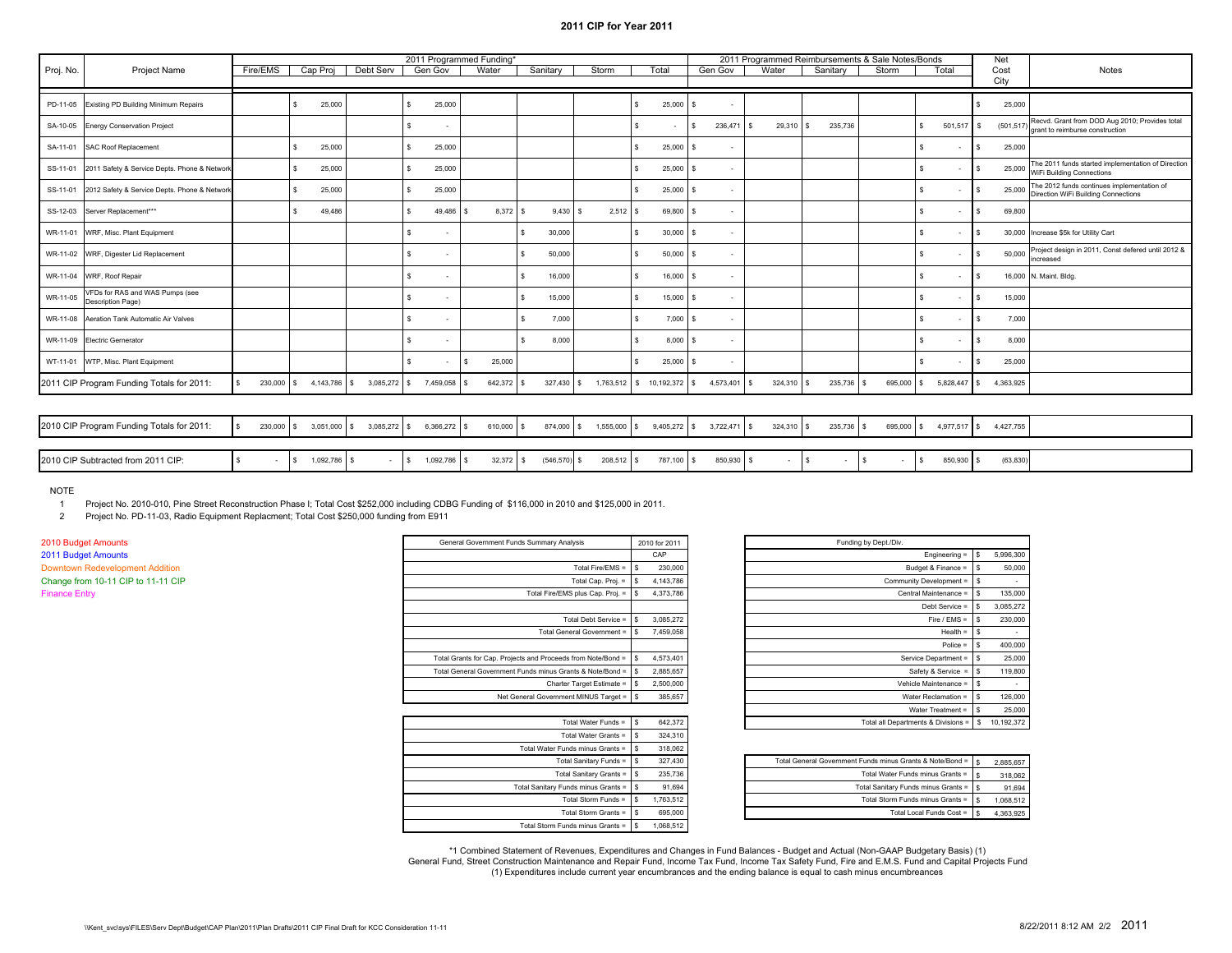|           |                                                       |                        |                |              | 2011 Programmed Funding' |              |                  |              |            |                           |                                        | 2011 Programmed Reimbursements & Sale Notes/Bonds |            |              | Net                        |                                                                                   |
|-----------|-------------------------------------------------------|------------------------|----------------|--------------|--------------------------|--------------|------------------|--------------|------------|---------------------------|----------------------------------------|---------------------------------------------------|------------|--------------|----------------------------|-----------------------------------------------------------------------------------|
| Proj. No. | Project Name                                          | Fire/EMS               | Cap Proj       | Debt Serv    | Gen Gov                  | Water        | Sanitary         | Storm        | Total      | Gen Gov                   | Water                                  | Sanitary                                          | Storm      | Total        | Cost                       | <b>Notes</b>                                                                      |
|           |                                                       |                        |                |              |                          |              |                  |              |            |                           |                                        |                                                   |            |              | City                       |                                                                                   |
|           | PD-11-05 Existing PD Building Minimum Repairs         |                        | 25,000         |              | 25,000<br>s.             |              |                  |              | 25,000     | - 1                       |                                        |                                                   |            |              | 25,000                     |                                                                                   |
|           | SA-10-05 Energy Conservation Project                  |                        |                |              | s.<br>$\sim$             |              |                  |              |            | 236,471 \$                | 29,310 \$                              | 235,736                                           |            | 501,517      | (501, 517)<br>$\mathbf{s}$ | Recvd. Grant from DOD Aug 2010; Provides total<br>grant to reimburse construction |
|           | SA-11-01 SAC Roof Replacement                         |                        | 25,000         |              | 25,000<br>s              |              |                  |              | 25,000     |                           |                                        |                                                   |            | . .          | 25,000<br>s                |                                                                                   |
|           | SS-11-01 2011 Safety & Service Depts. Phone & Network |                        | 25,000         |              | 25,000<br>s.             |              |                  |              | 25,000     | ٠.                        |                                        |                                                   |            |              | 25,000<br>s                | The 2011 funds started implementation of Direction<br>WiFi Building Connections   |
|           | SS-11-01 2012 Safety & Service Depts. Phone & Network |                        | 25,000         |              | 25,000<br>s.             |              |                  |              | 25,000     |                           |                                        |                                                   |            |              | 25,000                     | The 2012 funds continues implementation of<br>Direction WiFi Building Connections |
|           | SS-12-03 Server Replacement***                        |                        | 49,486         |              | 49,486<br>s.             | 8,372        | 9,430<br>\$.     | $2,512$ \$   | 69,800     |                           |                                        |                                                   |            |              | 69,800<br>s                |                                                                                   |
|           | WR-11-01 WRF, Misc. Plant Equipment                   |                        |                |              | $\overline{\phantom{a}}$ |              | 30,000<br>s.     |              | 30,000     |                           |                                        |                                                   |            | $\sim$       | s                          | 30,000 Increase \$5k for Utility Cart                                             |
|           | WR-11-02 WRF, Digester Lid Replacement                |                        |                |              | $\sim$                   |              | 50,000<br>\$.    |              | 50,000     | $\sim$                    |                                        |                                                   |            | $\sim$       | 50,000<br>$\mathsf{s}$     | Project design in 2011, Const defered until 2012 &<br>ncreased                    |
|           | WR-11-04 WRF, Roof Repair                             |                        |                |              | ٠.                       |              | 16,000<br>Ś.     |              | 16,000     | $\overline{\phantom{a}}$  |                                        |                                                   |            |              | s                          | 16,000 N. Maint. Bldg.                                                            |
| WR-11-05  | VFDs for RAS and WAS Pumps (see<br>Description Page)  |                        |                |              |                          |              | 15,000<br>Ś.     |              | 15,000     | $\sim$                    |                                        |                                                   |            |              | 15,000<br>s                |                                                                                   |
|           | WR-11-08 Aeration Tank Automatic Air Valves           |                        |                |              | ٠.                       |              | 7,000<br>S.      |              | 7,000      | - 1                       |                                        |                                                   |            |              | 7,000<br>s                 |                                                                                   |
|           | WR-11-09 Electric Gernerator                          |                        |                |              | ٠.                       |              | 8,000<br>S.      |              | 8,000      | $\sim$                    |                                        |                                                   |            |              | 8,000<br>s                 |                                                                                   |
|           | WT-11-01 WTP, Misc. Plant Equipment                   |                        |                |              | $\sim$                   | 25,000<br>-S |                  |              | 25,000     | $\sim$                    |                                        |                                                   |            | $\sim$       | 25,000<br>s                |                                                                                   |
|           | 2011 CIP Program Funding Totals for 2011:             | 230,000 \$<br><b>S</b> | 4,143,786      | 3,085,272    | 7,459,058 \$<br>IS.      | 642,372      | 327,430<br>-S    | 1,763,512 \$ | 10,192,372 | 4,573,401                 | 324,310 \$<br>$\overline{\phantom{a}}$ | 235,736                                           | 695,000 \$ | 5,828,447    | 4,363,925<br>S.            |                                                                                   |
|           |                                                       |                        |                |              |                          |              |                  |              |            |                           |                                        |                                                   |            |              |                            |                                                                                   |
|           | 2010 CIP Program Funding Totals for 2011:             | 230,000 \$<br>S        | $3,051,000$ \$ | 3,085,272 \$ | 6,366,272 \$             | 610,000      | 874,000 \$<br>s. | 1,555,000 \$ |            | 9,405,272 \$ 3,722,471 \$ | 324,310 \$                             | 235,736                                           | 695,000 \$ | 4,977,517 \$ | 4,427,755                  |                                                                                   |

| 2010 CIP Subtracted from 2011 CIP: |  | 1,092,786 |  | $.092,786$ \$ | 32.372 | $(546, 570)$ \$ | 208,512 \$ | 787,100 \$ | 850,930 \$ |  | $\mathsf{S}$ | 850,930 \$ | (63, 830) |  |
|------------------------------------|--|-----------|--|---------------|--------|-----------------|------------|------------|------------|--|--------------|------------|-----------|--|
|                                    |  |           |  |               |        |                 |            |            |            |  |              |            |           |  |

NOTE

1 Project No. 2010-010, Pine Street Reconstruction Phase I; Total Cost \$252,000 including CDBG Funding of \$116,000 in 2010 and \$125,000 in 2011.

2 Project No. PD-11-03, Radio Equipment Replacment; Total Cost \$250,000 funding from E911

| 2010 Budget Amounts                | General Government Funds Summary Analysis                      | 2010 for 2011   | Funding by Dept./Div.                                     |     |            |
|------------------------------------|----------------------------------------------------------------|-----------------|-----------------------------------------------------------|-----|------------|
| 2011 Budget Amounts                |                                                                | CAP             | Engineering =                                             | l s | 5,996,300  |
| Downtown Redevelopment Addition    | Total Fire/EMS =                                               | 230,000         | Budget & Finance = \$                                     |     | 50,000     |
| Change from 10-11 CIP to 11-11 CIP | Total Cap. Proj. =                                             | 4,143,786<br>ΙS | Community Development = \$                                |     | . .        |
| Finance Entry                      | Total Fire/EMS plus Cap. Proj. =                               | 4,373,786       | Central Maintenance =                                     |     | 135,000    |
|                                    |                                                                |                 | Debt Service =                                            |     | 3,085,272  |
|                                    | Total Debt Service =                                           | 3,085,272       | Fire $/$ EMS =                                            |     | 230,000    |
|                                    | Total General Government =                                     | 7,459,058       | $Health =$                                                |     | <b>A</b> 1 |
|                                    |                                                                |                 | $Police =$                                                |     | 400,000    |
|                                    | Total Grants for Cap. Projects and Proceeds from Note/Bond = S | 4,573,401       | Service Department = \$                                   |     | 25,000     |
|                                    | Total General Government Funds minus Grants & Note/Bond = \$   | 2,885,657       | Safety & Service =                                        |     | 119,800    |
|                                    | Charter Target Estimate = S                                    | 2,500,000       | Vehicle Maintenance = $\sqrt{s}$                          |     |            |
|                                    | Net General Government MINUS Target = S                        | 385,657         | Water Reclamation =                                       |     | 126,000    |
|                                    |                                                                |                 | Water Treatment = S                                       |     | 25,000     |
|                                    | Total Water Funds = $\$\$                                      | 642,372         | Total all Departments & Divisions = \$                    |     | 10,192,372 |
|                                    | Total Water Grants =                                           | 324,310         |                                                           |     |            |
|                                    | Total Water Funds minus Grants =                               | 318,062         |                                                           |     |            |
|                                    | Total Sanitary Funds = \$                                      | 327,430         | Total General Government Funds minus Grants & Note/Bond = |     | 2,885,657  |
|                                    | Total Sanitary Grants = \$                                     | 235,736         | Total Water Funds minus Grants = $\frac{1}{5}$            |     | 318,062    |
|                                    | Total Sanitary Funds minus Grants = \$                         | 91,694          | Total Sanitary Funds minus Grants = S                     |     | 91,694     |
|                                    | Total Storm Funds = $\$\$                                      | 1763512         | Total Storm Funds minus Grants $\equiv$                   |     | 1.069.513  |

Total Storm Grants =  $$ 695,000$ Total Storm Funds minus Grants =  $\boxed{\$}$  1,068,512

|     |           | Funding by Dept./Div.               |          |                          |
|-----|-----------|-------------------------------------|----------|--------------------------|
|     | CAP       | Engineering =                       | \$       | 5,996,300                |
| -S  | 230,000   | Budget & Finance =                  | s        | 50,000                   |
| s   | 4,143,786 | Community Development =             | \$       | $\overline{\phantom{a}}$ |
| s   | 4,373,786 | Central Maintenance =               | s        | 135,000                  |
|     |           | Debt Service =                      | <b>s</b> | 3,085,272                |
| s   | 3,085,272 | Fire $/$ EMS =                      | s        | 230,000                  |
| s   | 7,459,058 | $Health =$                          | s        | ٠                        |
|     |           | $Police =$                          | s        | 400,000                  |
| s   | 4,573,401 | Service Department =                | s        | 25,000                   |
| l S | 2,885,657 | Safety & Service =                  | s        | 119,800                  |
| s   | 2,500,000 | Vehicle Maintenance =               | \$       | $\sim$                   |
| l S | 385,657   | Water Reclamation =                 | s        | 126,000                  |
|     |           | Water Treatment =                   | s        | 25,000                   |
|     | 642,372   | Total all Departments & Divisions = | s        | 10,192,372               |
|     |           | 2010 for 2011                       |          |                          |

| Total Sanitary Funds = S              | 327,430   | Total General Government Funds minus Grants & Note/Bond = | \$.        | 2.885.657 |
|---------------------------------------|-----------|-----------------------------------------------------------|------------|-----------|
| Total Sanitary Grants = S             | 235,736   | Total Water Funds minus Grants =                          | $\epsilon$ | 318,062   |
| Total Sanitary Funds minus Grants = S | 91.694    | Total Sanitary Funds minus Grants =                       | \$.        | 91.694    |
| Total Storm Funds =                   | 1.763.512 | Total Storm Funds minus Grants =                          | \$.        | 1.068.512 |
| Total Storm Grants =                  | 695,000   | Total Local Funds $Cost =$ $s$                            |            | 4.363.925 |

1) Combined Statement of Revenues, Expenditures and Changes in Fund Balances - Budget and Actual (Non-GAAP Budgetary Basis) (1) ^<br>General Fund, Street Construction Maintenance and Repair Fund, Income Tax Fund, Income Tax S (1) Expenditures include current year encumbrances and the ending balance is equal to cash minus encumbreances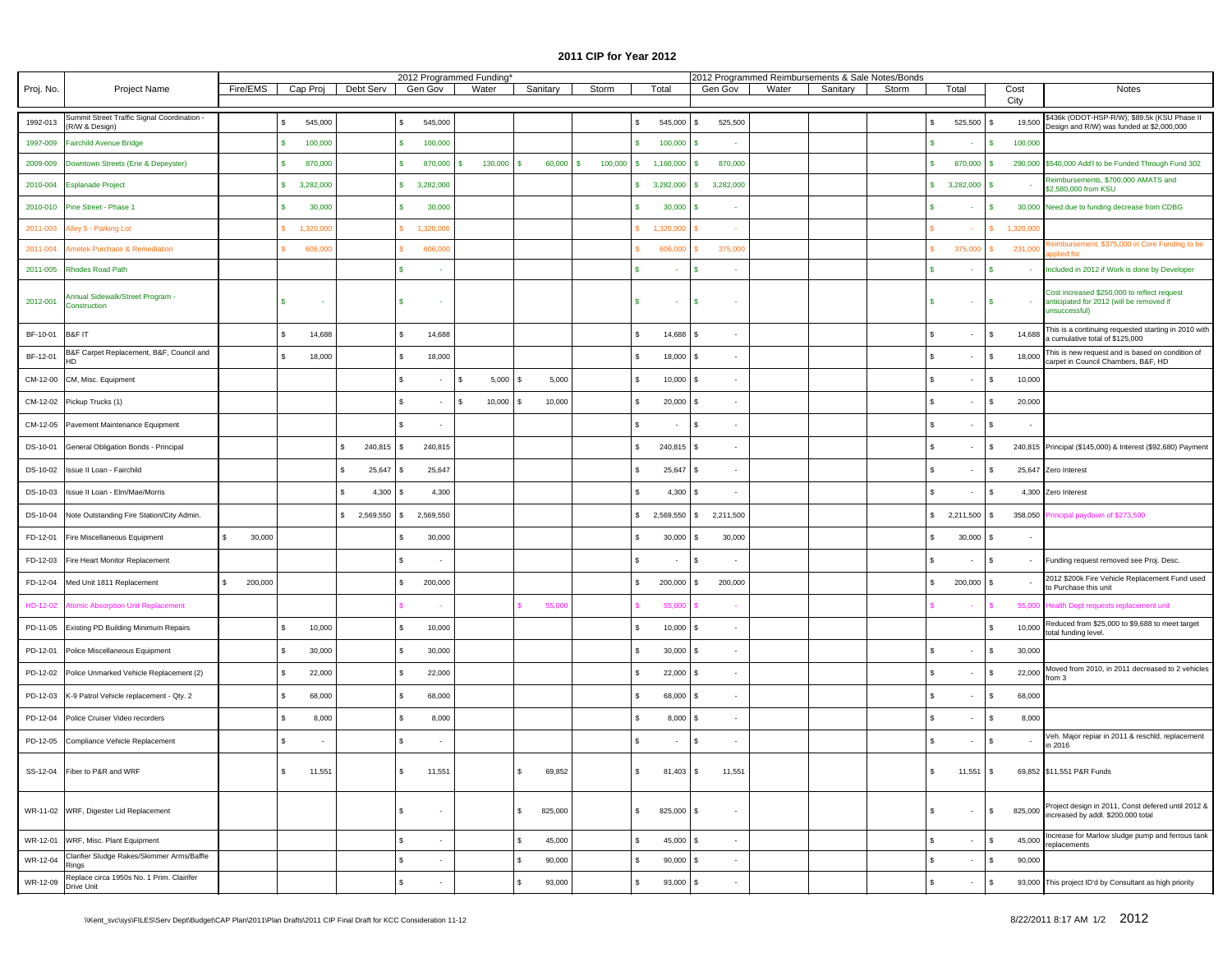|           |                                                                |                         |                        |               |                                | 2012 Programmed Funding' |                         |                     |                         |                                |       | 2012 Programmed Reimbursements & Sale Notes/Bonds |       |                        |                     |                                                                                                          |
|-----------|----------------------------------------------------------------|-------------------------|------------------------|---------------|--------------------------------|--------------------------|-------------------------|---------------------|-------------------------|--------------------------------|-------|---------------------------------------------------|-------|------------------------|---------------------|----------------------------------------------------------------------------------------------------------|
| Proj. No. | Project Name                                                   | Fire/EMS                | Cap Proj               | Debt Serv     | Gen Gov                        | Water                    | Sanitary                | Storm               | Total                   | Gen Gov                        | Water | Sanitary                                          | Storm | Total                  | Cost<br>City        | Notes                                                                                                    |
| 1992-013  | Summit Street Traffic Signal Coordination -                    |                         | 545,000                |               | 545,000                        |                          |                         |                     | 545,000                 | 525,500                        |       |                                                   |       | 525,500                | 19,500              | \$436k (ODOT-HSP-R/W); \$89.5k (KSU Phase II                                                             |
| 1997-009  | (R/W & Design)                                                 |                         | 100,000                |               | 100,000                        |                          |                         |                     | 100,000<br>\$           |                                |       |                                                   |       |                        | 100,000<br><b>S</b> | Design and R/W) was funded at \$2,000,000                                                                |
| 2009-009  | Fairchild Avenue Bridge<br>Downtown Streets (Erie & Depeyster) |                         | 870,000                |               | 870,000<br>s.                  | 130,000<br><b>s</b>      | 60,000                  | 100,000<br><b>S</b> | \$ 1,160,000            | 870,000                        |       |                                                   |       | 870,000                | 290,000<br><b>S</b> | \$540,000 Add'l to be Funded Through Fund 302                                                            |
|           |                                                                |                         |                        |               |                                |                          |                         |                     |                         |                                |       |                                                   |       |                        |                     | Reimbursements, \$700,000 AMATS and                                                                      |
| 2010-004  | <b>Esplanade Project</b>                                       |                         | 3,282,000              |               | \$3,282,000                    |                          |                         |                     | \$3,282,000             | 3,282,000<br>s.                |       |                                                   |       | 3,282,000              | s.                  | \$2,580,000 from KSU                                                                                     |
| 2010-010  | Pine Street - Phase 1                                          |                         | 30,000                 |               | 30,000                         |                          |                         |                     | 30,000<br>s.            |                                |       |                                                   |       |                        |                     | 30,000 Need due to funding decrease from CDBG                                                            |
| 2011-003  | lley 5 - Parking Lot                                           |                         | 1,320,000              |               | 1,320,00<br>S.                 |                          |                         |                     | \$1,320,000             |                                |       |                                                   |       |                        | 1,320,000           |                                                                                                          |
| 2011-004  | metek Purchase & Remediation                                   |                         | 606,000                |               | 606,000                        |                          |                         |                     | 606,000<br>s.           | 375,00                         |       |                                                   |       | 375,000                | 231,000             | eimbursement, \$375,000 in Core Funding to be<br>blied for                                               |
| 2011-005  | <b>Rhodes Road Path</b>                                        |                         |                        |               |                                |                          |                         |                     |                         |                                |       |                                                   |       |                        | $\sim$              | ncluded in 2012 if Work is done by Developer                                                             |
| 2012-001  | Annual Sidewalk/Street Program -<br>Construction               |                         | $\sim$                 |               | s.<br>$\overline{\phantom{a}}$ |                          |                         |                     | s.                      | s.<br>$\sim$                   |       |                                                   |       |                        | s.<br>$\sim$        | Cost increased \$250,000 to reflect request<br>anticipated for 2012 (will be removed if<br>unsuccessful) |
| BF-10-01  | B&F IT                                                         |                         | 14,688<br>$\mathbf{S}$ |               | 14,688<br>s.                   |                          |                         |                     | 14,688<br>\$            | \$.<br>$\blacksquare$          |       |                                                   |       |                        | s<br>14,688         | This is a continuing requested starting in 2010 with<br>a cumulative total of \$125,000                  |
| BF-12-01  | B&F Carpet Replacement, B&F, Council and                       |                         | 18,000                 |               | 18,000<br>s.                   |                          |                         |                     | 18,000<br>s.            | $\sim$                         |       |                                                   |       | $\sim$                 | 18,000<br>s.        | This is new request and is based on condition of<br>carpet in Council Chambers, B&F, HD                  |
| CM-12-00  | CM, Misc. Equipment                                            |                         |                        |               |                                | 5,000<br><b>S</b>        | 5,000<br>S              |                     | 10,000<br>\$            |                                |       |                                                   |       |                        | s<br>10,000         |                                                                                                          |
| CM-12-02  | Pickup Trucks (1)                                              |                         |                        |               | S.                             | 10,000<br>۱s             | 10,000<br>\$            |                     | 20,000<br>\$            |                                |       |                                                   |       |                        | 20,000              |                                                                                                          |
| CM-12-05  | Pavement Maintenance Equipment                                 |                         |                        |               | \$.                            |                          |                         |                     | s.                      | \$.                            |       |                                                   |       |                        | s.                  |                                                                                                          |
| DS-10-01  | General Obligation Bonds - Principal                           |                         |                        | s.<br>240,815 | s.<br>240,815                  |                          |                         |                     | $\mathsf{s}$<br>240,815 | \$.                            |       |                                                   |       |                        | \$                  | 240,815 Principal (\$145,000) & Interest (\$92,680) Payment                                              |
| DS-10-02  | Issue II Loan - Fairchild                                      |                         |                        | 25,647<br>s.  | 25,647<br>s.                   |                          |                         |                     | 25,647<br>\$            | $\blacksquare$                 |       |                                                   |       |                        | \$                  | 25,647 Zero Interest                                                                                     |
| DS-10-03  | Issue II Loan - Elm/Mae/Morris                                 |                         |                        | 4,300<br>S.   | 4,300<br>-S.                   |                          |                         |                     | 4,300<br>\$             | \$.                            |       |                                                   |       |                        | \$.                 | 4,300 Zero Interest                                                                                      |
| DS-10-04  | Note Outstanding Fire Station/City Admin.                      |                         |                        | \$2,569,550   | 2,569,550<br>S.                |                          |                         |                     | \$2,569,550             | 2,211,500<br>\$                |       |                                                   |       | 2,211,500              | \$                  | 358,050 Principal paydown of \$273,500                                                                   |
| FD-12-01  | Fire Miscellaneous Equipment                                   | 30,000                  |                        |               | 30,000<br>s.                   |                          |                         |                     | 30,000<br>\$            | 30,000<br>s                    |       |                                                   |       | 30,000                 | s                   |                                                                                                          |
| FD-12-03  | Fire Heart Monitor Replacement                                 |                         |                        |               | S.                             |                          |                         |                     | Ś.                      | \$.<br>$\sim$                  |       |                                                   |       |                        | s.                  | Funding request removed see Proj. Desc.                                                                  |
| FD-12-04  | Med Unit 1811 Replacement                                      | $\mathsf{s}$<br>200,000 |                        |               | 200,000<br>\$                  |                          |                         |                     | $\mathsf{S}$<br>200,000 | 200,000<br>S.                  |       |                                                   |       | 200,000                | s                   | 2012 \$200k Fire Vehicle Replacement Fund used<br>o Purchase this unit                                   |
| HD-12-02  | omic Absorption Unit Replacement                               |                         |                        |               |                                |                          | 55,00                   |                     | 55,00                   |                                |       |                                                   |       |                        | 55,000              | ealth Dept requests replacement unit                                                                     |
| PD-11-05  | Existing PD Building Minimum Repairs                           |                         | 10,000                 |               | 10,000<br>s.                   |                          |                         |                     | 10,000<br>\$.           | $\sim$                         |       |                                                   |       |                        | 10,000<br>S.        | Reduced from \$25,000 to \$9,688 to meet target<br>otal funding level.                                   |
| PD-12-01  | Police Miscellaneous Equipment                                 |                         | 30,000                 |               | 30,000<br>s                    |                          |                         |                     | 30,000<br>\$            |                                |       |                                                   |       |                        | \$<br>30,000        |                                                                                                          |
| PD-12-02  | Police Unmarked Vehicle Replacement (2)                        |                         | 22,000                 |               | 22,000                         |                          |                         |                     | \$<br>22,000            |                                |       |                                                   |       |                        | 22,000              | loved from 2010, in 2011 decreased to 2 vehicles<br>from 3                                               |
| PD-12-03  | K-9 Patrol Vehicle replacement - Qty. 2                        |                         | 68,000                 |               | 68,000<br>s.                   |                          |                         |                     | 68,000<br>\$            |                                |       |                                                   |       |                        | 68,000<br>\$        |                                                                                                          |
| PD-12-04  | Police Cruiser Video recorders                                 |                         | 8,000                  |               | 8,000<br>s.                    |                          |                         |                     | 8,000<br>\$.            | \$                             |       |                                                   |       |                        | 8,000               |                                                                                                          |
| PD-12-05  | Compliance Vehicle Replacement                                 |                         |                        |               | s<br>$\overline{\phantom{a}}$  |                          |                         |                     | Ŝ.                      |                                |       |                                                   |       |                        | s                   | Veh. Major repiar in 2011 & reschld. replacement<br>n 2016                                               |
|           | SS-12-04 Fiber to P&R and WRF                                  |                         | 11,551                 |               | 11,551                         |                          | \$<br>69,852            |                     | 81,403 \$               | 11,551                         |       |                                                   |       | $11,551$ $\frac{1}{3}$ |                     | 69,852 \$11,551 P&R Funds                                                                                |
|           | WR-11-02 WRF, Digester Lid Replacement                         |                         |                        |               | $\mathbb{S}$<br>$\blacksquare$ |                          | 825,000<br>$\mathbb{S}$ |                     | \$825,000               | \$<br>$\sim$                   |       |                                                   |       | $\sim$                 | s.                  | 825,000 Project design in 2011, Const defered until 2012 &<br>increased by addl. \$200,000 total         |
| WR-12-01  | WRF, Misc. Plant Equipment                                     |                         |                        |               | s.<br>$\sim$                   |                          | $\mathbb S$<br>45,000   |                     | \$<br>45,000            | $\mathbb{S}$<br>$\sim$         |       |                                                   |       | S.<br>$\sim$           | 45,000<br>S.        | Increase for Marlow sludge pump and ferrous tank<br>replacements                                         |
| WR-12-04  | Clarifier Sludge Rakes/Skimmer Arms/Baffle<br>Rings            |                         |                        |               | s.<br>$\overline{\phantom{a}}$ |                          | s.<br>90,000            |                     | 90,000<br>\$            | \$<br>$\overline{\phantom{a}}$ |       |                                                   |       |                        | 90,000<br>s         |                                                                                                          |
| WR-12-09  | Replace circa 1950s No. 1 Prim. Clairifer<br>Drive Unit        |                         |                        |               | $\overline{\phantom{a}}$       |                          | 93,000                  |                     | 93,000                  | \$.                            |       |                                                   |       |                        | 93,000              | This project ID'd by Consultant as high priority                                                         |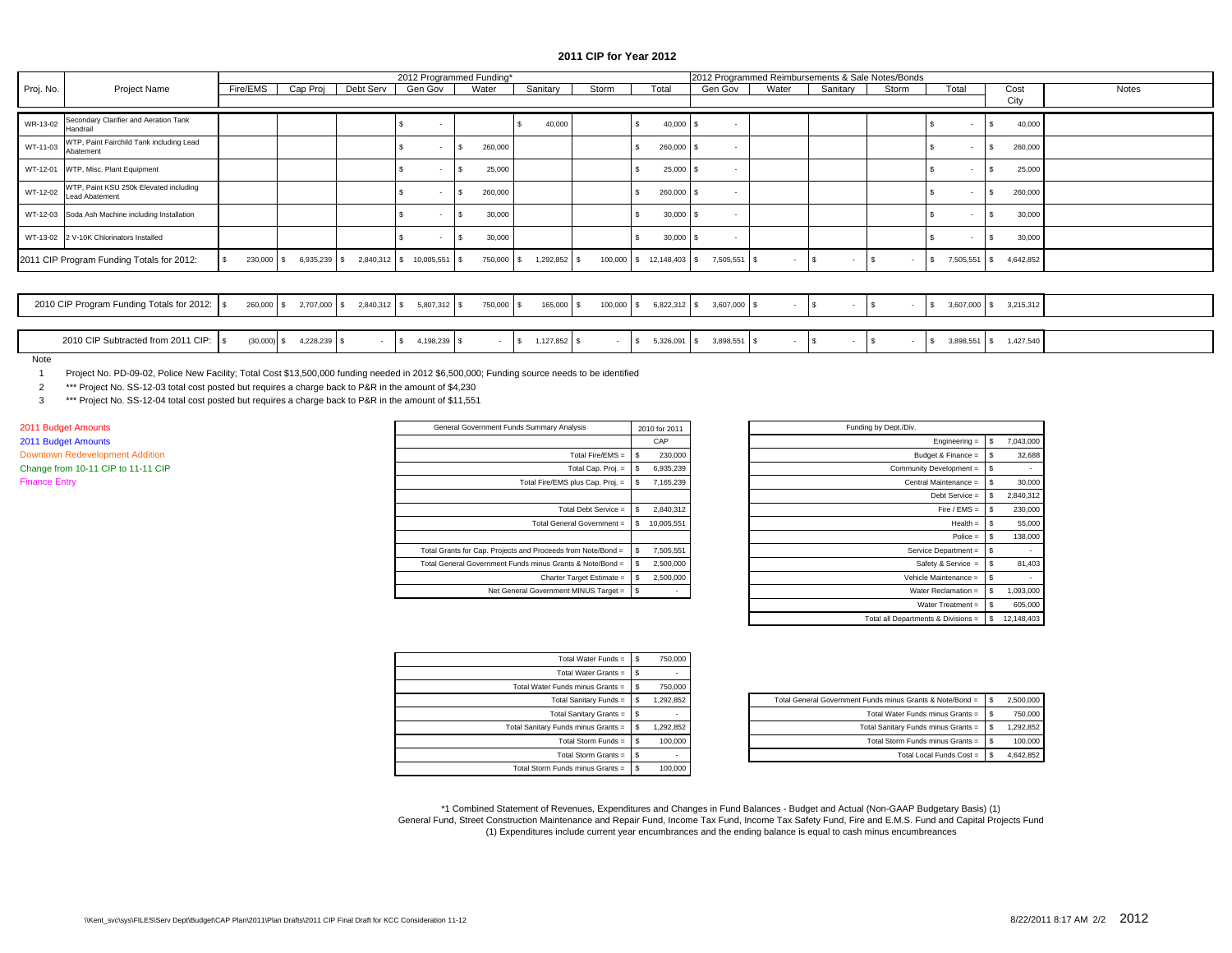|           |                                                          |            |              |              | 2012 Programmed Funding* |            |              |       |                          |              | 2012 Programmed Reimbursements & Sale Notes/Bonds |          |                          |              |           |       |
|-----------|----------------------------------------------------------|------------|--------------|--------------|--------------------------|------------|--------------|-------|--------------------------|--------------|---------------------------------------------------|----------|--------------------------|--------------|-----------|-------|
| Proj. No. | <b>Project Name</b>                                      | Fire/EMS   | Cap Proj     | Debt Serv    | Gen Gov                  | Water      | Sanitary     | Storm | Total                    | Gen Gov      | Water                                             | Sanitary | Storm                    | Total        | Cost      | Notes |
|           |                                                          |            |              |              |                          |            |              |       |                          |              |                                                   |          |                          |              | City      |       |
| WR-13-02  | Secondary Clarifier and Aeration Tank<br>Handrail        |            |              |              |                          |            | 40,000       |       | $40,000$ \$              |              |                                                   |          |                          |              | 40,000    |       |
| WT-11-03  | WTP, Paint Fairchild Tank including Lead<br>Abatement    |            |              |              | $\overline{\phantom{a}}$ | 260,000    |              |       | 260,000 \$               |              |                                                   |          |                          |              | 260,000   |       |
|           | WT-12-01 WTP, Misc. Plant Equipment                      |            |              |              | $\sim$                   | 25,000     |              |       | 25,000 \$                |              |                                                   |          |                          |              | 25,000    |       |
| WT-12-02  | WTP, Paint KSU 250k Elevated including<br>Lead Abatement |            |              |              |                          | 260,000    |              |       | 260,000 \$               |              |                                                   |          |                          |              | 260,000   |       |
|           | WT-12-03 Soda Ash Machine including Installation         |            |              |              |                          | 30,000     |              |       | $30,000$ \$              |              |                                                   |          |                          |              | 30,000    |       |
|           | WT-13-02 2 V-10K Chlorinators Installed                  |            |              |              |                          | 30,000     |              |       | $30,000$ \$              |              |                                                   |          |                          |              | 30,000    |       |
|           | 2011 CIP Program Funding Totals for 2012:                | 230,000 \$ | 6,935,239 \$ | 2,840,312 \$ | 10,005,551 \$            | 750,000 \$ | 1,292,852 \$ |       | 100,000 \$ 12,148,403 \$ | 7,505,551 \$ | $\sim$                                            |          | $\overline{\phantom{a}}$ | 7,505,551 \$ | 4,642,852 |       |
|           |                                                          |            |              |              |                          |            |              |       |                          |              |                                                   |          |                          |              |           |       |

| 2010 CIP Program Funding Totals for 2012: \$ | 260,000 \$    | 2,707,000 \$ | 2.840.312 \$ | 5.807.312 \$ | 750,000 \$ | 165,000 \$    | 100,000 \$ | 6.822.312 \ \ | 3.607.000 |  |  | 3.607.000 \$ | 3.215.312 |  |
|----------------------------------------------|---------------|--------------|--------------|--------------|------------|---------------|------------|---------------|-----------|--|--|--------------|-----------|--|
|                                              |               |              |              |              |            |               |            |               |           |  |  |              |           |  |
| 2010 CIP Subtracted from 2011 CIP: \§        | $(30,000)$ \$ | 4.228.239 \$ |              | 1,198,239    |            | $1.127.852$ S |            | 5,326,091     | 3,898,551 |  |  | 3,898,551    | 1.427.540 |  |

Note

1 Project No. PD-09-02, Police New Facility; Total Cost \$13,500,000 funding needed in 2012 \$6,500,000; Funding source needs to be identified

2 \*\*\* Project No. SS-12-03 total cost posted but requires a charge back to P&R in the amount of \$4,230

3 \*\*\* Project No. SS-12-04 total cost posted but requires a charge back to P&R in the amount of \$11,551

#### 2011 Budget Amounts

| 2011 Budget Amounts                | General Government Funds Summary Analysis                    | 2010 for 2011 | Funding by Dept./Div.   |           |
|------------------------------------|--------------------------------------------------------------|---------------|-------------------------|-----------|
| 2011 Budget Amounts                |                                                              | CAP           | $Engineering =$         | 7,043,000 |
| Downtown Redevelopment Addition    | Total Fire/EMS $=$                                           | 230,000       | Budget & Finance =      | 32,688    |
| Change from 10-11 CIP to 11-11 CIP | Total Cap. Proj. =                                           | 6,935,239     | Community Development = |           |
| <b>Finance Entry</b>               | Total Fire/EMS plus Cap. Proj. =                             | 7,165,239     | Central Maintenance =   | 30,000    |
|                                    |                                                              |               | Debt Service =          | 2,840,312 |
|                                    | Total Debt Service =                                         | 2,840,312     | Fire / $EMS =$          | 230,000   |
|                                    | Total General Government =                                   | 10,005,551    | $Health =$              | 55,000    |
|                                    |                                                              |               | $Police =$              | 138,000   |
|                                    | Total Grants for Cap. Projects and Proceeds from Note/Bond = | 7,505,551     | Service Department =    |           |
|                                    | Total General Government Funds minus Grants & Note/Bond =    | 2,500,000     | Safety & Service =      | 81,403    |
|                                    | Charter Target Estimate =                                    | 2,500,000     | Vehicle Maintenance =   |           |
|                                    | Net General Government MINUS Target =                        |               | Water Reclamation =     | 1,093,000 |
|                                    |                                                              |               |                         |           |

| General Government Funds Summary Analysis                    |    | 2010 for 2011 | Funding by Dept./Div.               |      |            |
|--------------------------------------------------------------|----|---------------|-------------------------------------|------|------------|
|                                                              |    | CAP           | $Engineering =$                     | \$   | 7,043,000  |
| Total Fire/EMS =                                             | \$ | 230,000       | Budget & Finance =                  | \$   | 32,688     |
| Total Cap. Proj. =                                           | \$ | 6,935,239     | Community Development =             | s    |            |
| Total Fire/EMS plus Cap. Proj. =                             | £. | 7,165,239     | Central Maintenance =               | \$   | 30,000     |
|                                                              |    |               | Debt Service =                      | \$   | 2,840,312  |
| Total Debt Service =                                         | \$ | 2,840,312     | Fire / $EMS =$                      | -S   | 230,000    |
| Total General Government =                                   | S  | 10,005,551    | $Health =$                          | - \$ | 55,000     |
|                                                              |    |               | $Police =$                          | \$   | 138,000    |
| Total Grants for Cap. Projects and Proceeds from Note/Bond = | \$ | 7,505,551     | Service Department =                | s    |            |
| Total General Government Funds minus Grants & Note/Bond =    |    | 2,500,000     | Safety & Service =                  | s    | 81,403     |
| Charter Target Estimate =                                    | \$ | 2,500,000     | Vehicle Maintenance =               | s    |            |
| Net General Government MINUS Target =                        | s  |               | Water Reclamation $=$               | s    | 1,093,000  |
|                                                              |    |               | Water Treatment =                   | S    | 605,000    |
|                                                              |    |               | Total all Departments & Divisions = | s    | 12,148,403 |

|           |                                                           | 750.000 T |      | $\log a$ water Funds minus Grants = $\log b$ |
|-----------|-----------------------------------------------------------|-----------|------|----------------------------------------------|
| 2.500.000 | Total General Government Funds minus Grants & Note/Bond = | 1.292.852 | £.   | Total Sanitary Funds =                       |
| 750,000   | Total Water Funds minus Grants =                          |           |      | Total Sanitary Grants = $\ S\ $              |
| 1.292.852 | Total Sanitary Funds minus Grants =                       | 1.292.852 | - \$ | Total Sanitary Funds minus Grants =          |
| 100,000   | Total Storm Funds minus Grants =                          | 100,000   |      | Total Storm Funds = $\blacksquare$           |
| 4.642.852 | Total Local Funds $Cost =$                                |           | S    | Total Storm Grants =                         |
|           |                                                           |           |      |                                              |

| 750,000       | \$  | Total Water Funds $=$               |
|---------------|-----|-------------------------------------|
|               |     | Total Water Grants $=$              |
| 750,000<br>\$ |     | Total Water Funds minus Grants =    |
| 1.292.852     | \$. | Total Sanitary Funds =              |
|               |     | Total Sanitary Grants =             |
| 1.292.852     | \$. | Total Sanitary Funds minus Grants = |
| 100.000       | \$. | Total Storm Funds $=$               |
|               | s   | Total Storm Grants =                |
| 100.000       | \$. | Total Storm Funds minus Grants =    |

\*1 Combined Statement of Revenues, Expenditures and Changes in Fund Balances - Budget and Actual (Non-GAAP Budgetary Basis) (1) General Fund, Street Construction Maintenance and Repair Fund, Income Tax Fund, Income Tax Safety Fund, Fire and E.M.S. Fund and Capital Projects Fund (1) Expenditures include current year encumbrances and the ending balance is equal to cash minus encumbreances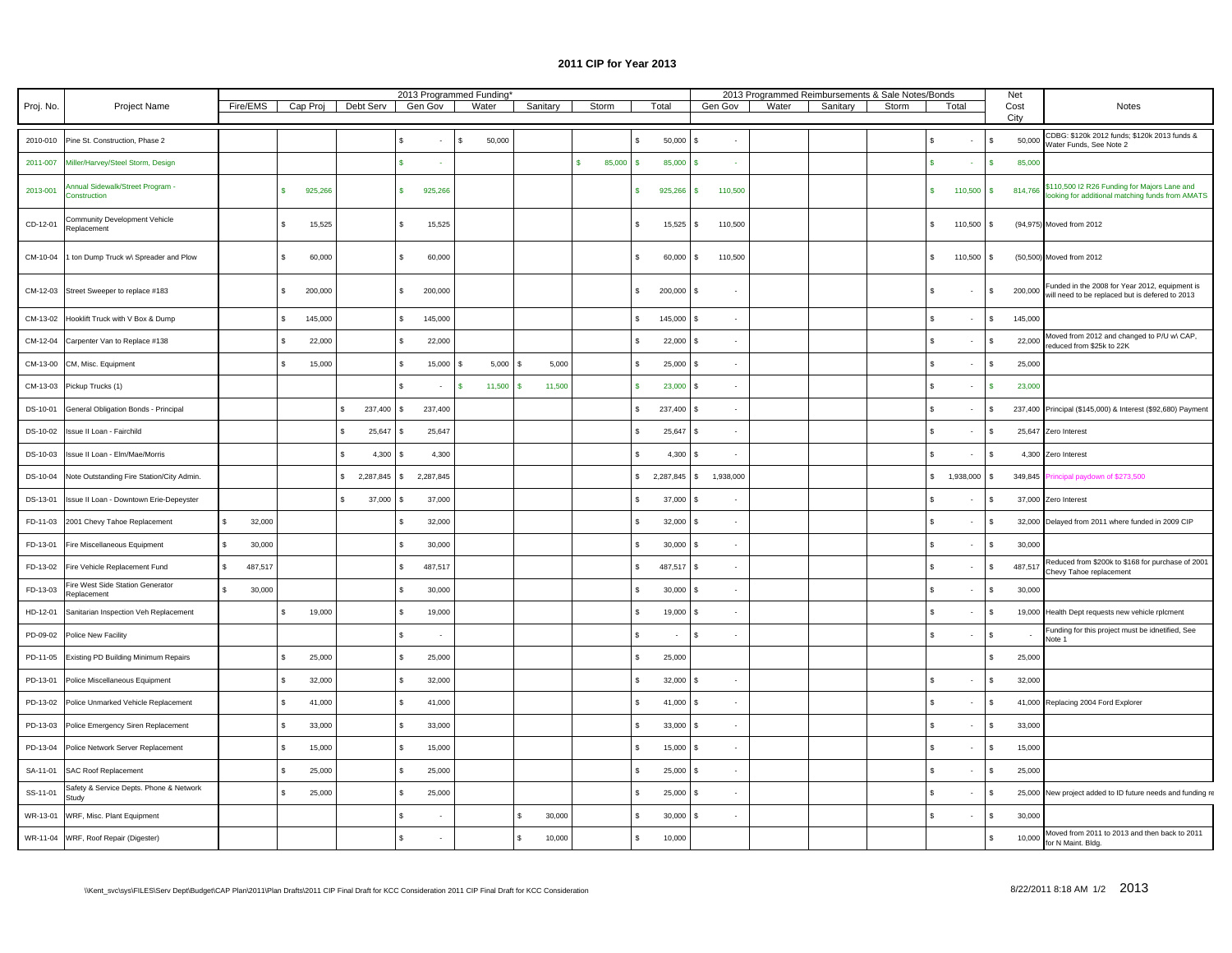|           |                                                  |              | 2013 Programmed Funding' |           |                           |                   |                       |              |                              | 2013 Programmed Reimbursements & Sale Notes/Bonds |       |          |       |                                 | Net                 |                                                                                                  |  |
|-----------|--------------------------------------------------|--------------|--------------------------|-----------|---------------------------|-------------------|-----------------------|--------------|------------------------------|---------------------------------------------------|-------|----------|-------|---------------------------------|---------------------|--------------------------------------------------------------------------------------------------|--|
| Proj. No. | Project Name                                     | Fire/EMS     | Cap Proj                 | Debt Serv | Gen Gov                   | Water             | Sanitary              | Storm        | Total                        | Gen Gov                                           | Water | Sanitary | Storm | Total                           | Cost                | Notes                                                                                            |  |
|           |                                                  |              |                          |           |                           |                   |                       |              |                              |                                                   |       |          |       |                                 | City                |                                                                                                  |  |
| 2010-010  | Pine St. Construction, Phase 2                   |              |                          |           | $\mathbf{s}$              | 50,000<br>-S      |                       |              | 50,000<br><b>S</b>           | \$.                                               |       |          |       |                                 | 50,000              | CDBG: \$120k 2012 funds; \$120k 2013 funds &<br>Vater Funds, See Note 2                          |  |
| 2011-007  | Ailler/Harvey/Steel Storm, Design                |              |                          |           |                           |                   |                       | 85,000<br>S. | 85,000<br><b>S</b>           |                                                   |       |          |       | \$.                             | 85,000              |                                                                                                  |  |
| 2013-001  | Annual Sidewalk/Street Program -<br>Construction |              | 925,266                  |           | s.<br>925,266             |                   |                       |              | $\mathbf{s}$<br>925,266      | 110,500<br>s.                                     |       |          |       | 110,500<br>s.                   | 814,766<br><b>S</b> | \$110,500 I2 R26 Funding for Majors Lane and<br>looking for additional matching funds from AMATS |  |
| CD-12-01  | ommunity Development Vehicle<br>eplacement       |              | 15,525                   |           | s.<br>15,525              |                   |                       |              | <b>S</b><br>15,525           | 110,500<br>s                                      |       |          |       | 110,500<br>s                    | l S                 | (94,975) Moved from 2012                                                                         |  |
| CM-10-04  | 1 ton Dump Truck w\ Spreader and Plow            |              | 60,000<br>S.             |           | 60,000<br>s.              |                   |                       |              | <b>S</b><br>60,000           | 110,500<br>-S                                     |       |          |       | 110,500 \$<br>S.                |                     | (50,500) Moved from 2012                                                                         |  |
|           | CM-12-03 Street Sweeper to replace #183          |              | 200,000<br>s.            |           | 200,000<br>s.             |                   |                       |              | 200,000<br>$\mathbf{s}$      | s.                                                |       |          |       | S                               | 200,000<br>S.       | unded in the 2008 for Year 2012, equipment is<br>will need to be replaced but is defered to 2013 |  |
| CM-13-02  | Hooklift Truck with V Box & Dump                 |              | 145,000                  |           | 145,000<br>s.             |                   |                       |              | 145,000<br>l \$              | $\mathfrak{S}$                                    |       |          |       | \$.<br>$\overline{\phantom{a}}$ | 145,000<br>\$.      |                                                                                                  |  |
| CM-12-04  | Carpenter Van to Replace #138                    |              | 22,000                   |           | s<br>22,000               |                   |                       |              | 22,000<br>-S                 |                                                   |       |          |       | $\sim$                          | \$<br>22,000        | loved from 2012 and changed to P/U w\ CAP,<br>educed from \$25k to 22K                           |  |
| CM-13-00  | CM, Misc. Equipment                              |              | 15,000<br>\$.            |           | $\mathbb{S}$<br>15,000    | 5,000<br><b>S</b> | 5,000<br>$\mathbf{s}$ |              | <b>S</b><br>25,000           | \$.                                               |       |          |       | \$.                             | 25,000<br>\$.       |                                                                                                  |  |
| CM-13-03  | Pickup Trucks (1)                                |              |                          |           |                           | 11,500            | 11,500                |              | $\mathbf{s}$<br>23,000       |                                                   |       |          |       | $\sim$                          | 23,000              |                                                                                                  |  |
| DS-10-01  | General Obligation Bonds - Principal             |              |                          | 237,400   | s<br>237,400              |                   |                       |              | 237,400<br><b>S</b>          | \$.                                               |       |          |       |                                 |                     | 237,400 Principal (\$145,000) & Interest (\$92,680) Payment                                      |  |
| DS-10-02  | Issue II Loan - Fairchild                        |              |                          | 25,647    | 25,647<br>s               |                   |                       |              | $\mathbf{s}$<br>25,647       |                                                   |       |          |       | \$.                             | 25,647<br>s         | Zero Interest                                                                                    |  |
| DS-10-03  | Issue II Loan - Elm/Mae/Morris                   |              |                          | 4,300     | 4,300<br>s                |                   |                       |              | 4,300<br><b>S</b>            | \$                                                |       |          |       | \$.                             | 4,300               | Zero Interest                                                                                    |  |
| DS-10-04  | Note Outstanding Fire Station/City Admin.        |              |                          | 2,287,845 | $\mathbb{S}$<br>2,287,845 |                   |                       |              | $\mathbb{S}$<br>2,287,845    | $\mathsf{s}$<br>1,938,000                         |       |          |       | 1,938,000<br>s.                 | 349,845<br>S.       | ncipal paydown of \$273,500                                                                      |  |
| DS-13-01  | Issue II Loan - Downtown Erie-Depeyster          |              |                          | 37,000    | 37,000<br>s               |                   |                       |              | 37,000<br>$\mathbf{s}$       |                                                   |       |          |       | S                               | 37,000              | Zero Interest                                                                                    |  |
| FD-11-03  | 2001 Chevy Tahoe Replacement                     | 32,000       |                          |           | 32,000                    |                   |                       |              | 32,000<br>$\mathbf{s}$       | \$.                                               |       |          |       | \$.<br>$\overline{\phantom{a}}$ | s                   | 32,000 Delayed from 2011 where funded in 2009 CIP                                                |  |
| FD-13-01  | Fire Miscellaneous Equipment                     | 30,000<br>S. |                          |           | 30,000<br>s.              |                   |                       |              | 30,000<br>$\mathbf{s}$       | \$.                                               |       |          |       | \$.                             | 30,000<br>Ś.        |                                                                                                  |  |
| FD-13-02  | Fire Vehicle Replacement Fund                    | 487,517      |                          |           | 487,517<br>s.             |                   |                       |              | 487,517<br>l s               | \$.                                               |       |          |       | \$.                             | 487,517<br>\$.      | Reduced from \$200k to \$168 for purchase of 2001<br>Chevy Tahoe replacement                     |  |
| FD-13-03  | ire West Side Station Generator<br>Replacement   | 30,000       |                          |           | Ś<br>30,000               |                   |                       |              | 30,000<br>$\mathbf{\hat{s}}$ |                                                   |       |          |       | $\sim$                          | 30,000              |                                                                                                  |  |
| HD-12-01  | Sanitarian Inspection Veh Replacement            |              | 19,000                   |           | 19,000<br>S.              |                   |                       |              | 19,000<br>$\mathbf{s}$       | \$.                                               |       |          |       |                                 | 19,000              | lealth Dept requests new vehicle rplcment                                                        |  |
| PD-09-02  | Police New Facility                              |              |                          |           | ٠                         |                   |                       |              | l S                          |                                                   |       |          |       | $\sim$                          | $\sim$              | Funding for this project must be idnetified, See<br>Note 1                                       |  |
| PD-11-05  | Existing PD Building Minimum Repairs             |              | 25,000                   |           | s<br>25,000               |                   |                       |              | $\mathbf{s}$<br>25,000       |                                                   |       |          |       |                                 | 25,000              |                                                                                                  |  |
| PD-13-01  | Police Miscellaneous Equipment                   |              | 32,000                   |           | s.<br>32,000              |                   |                       |              | l \$<br>32,000               | \$.                                               |       |          |       | \$.                             | \$.<br>32,000       |                                                                                                  |  |
| PD-13-02  | Police Unmarked Vehicle Replacement              |              | 41,000                   |           | 41,000<br>s               |                   |                       |              | 41,000<br><b>S</b>           | S                                                 |       |          |       | \$.                             | 41,000              | Replacing 2004 Ford Explorer                                                                     |  |
| PD-13-03  | Police Emergency Siren Replacement               |              | 33,000                   |           | 33,000<br>S.              |                   |                       |              | 33,000<br>$\mathbf{s}$       | \$.                                               |       |          |       | $\overline{\phantom{a}}$        | 33,000<br>\$.       |                                                                                                  |  |
| PD-13-04  | Police Network Server Replacement                |              | 15,000                   |           | 15,000<br>\$              |                   |                       |              | 15,000<br>$\mathbf{s}$       | \$.                                               |       |          |       | \$                              | 15,000<br>\$        |                                                                                                  |  |
| SA-11-01  | <b>SAC Roof Replacement</b>                      |              | 25,000                   |           | 25,000<br>S.              |                   |                       |              | 25,000<br>l s                | $\mathfrak{S}$                                    |       |          |       | \$.                             | 25,000<br>\$.       |                                                                                                  |  |
| SS-11-01  | Safety & Service Depts. Phone & Network<br>Study |              | 25,000                   |           | 25,000<br>s.              |                   |                       |              | 25,000<br>l s                | \$                                                |       |          |       |                                 | 25,000              | New project added to ID future needs and funding re                                              |  |
| WR-13-01  | WRF, Misc. Plant Equipment                       |              |                          |           |                           |                   | 30,000                |              | 30,000<br>l \$               | \$                                                |       |          |       |                                 | 30,000              |                                                                                                  |  |
| WR-11-04  | WRF, Roof Repair (Digester)                      |              |                          |           | ٠                         |                   | 10,000                |              | 10,000<br>$\mathbf{s}$       |                                                   |       |          |       |                                 | 10,000              | Moved from 2011 to 2013 and then back to 2011<br>for N Maint. Bldg                               |  |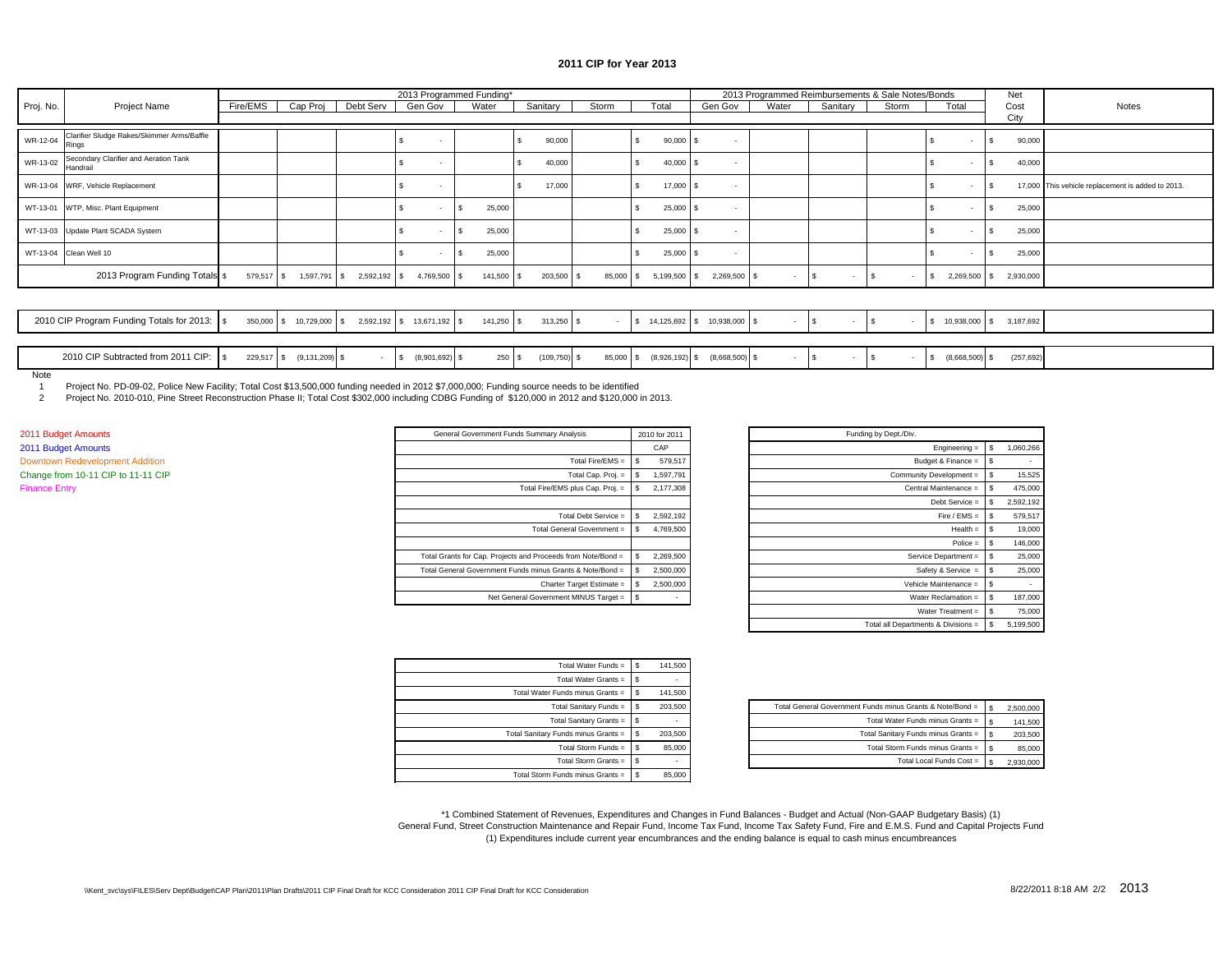|           |                                                     |          |                           |              |                            | 2013 Programmed Funding* |                 |           |                                         |               | 2013 Programmed Reimbursements & Sale Notes/Bonds |          |       |                  | Net            |                                                   |
|-----------|-----------------------------------------------------|----------|---------------------------|--------------|----------------------------|--------------------------|-----------------|-----------|-----------------------------------------|---------------|---------------------------------------------------|----------|-------|------------------|----------------|---------------------------------------------------|
| Proj. No. | Project Name                                        | Fire/EMS | Cap Proj                  | Debt Serv    | Gen Gov                    | Water                    | Sanitary        | Storm     | Total                                   | Gen Gov       | Water                                             | Sanitary | Storm | Total            | Cost           | Notes                                             |
|           |                                                     |          |                           |              |                            |                          |                 |           |                                         |               |                                                   |          |       |                  | City           |                                                   |
| WR-12-04  | Clarifier Sludge Rakes/Skimmer Arms/Baffle<br>Rings |          |                           |              | $\sim$                     |                          | 90,000          |           | 90,000                                  |               |                                                   |          |       | $\sim$           | 90,000         |                                                   |
| WR-13-02  | Secondary Clarifier and Aeration Tank<br>Handrail   |          |                           |              |                            |                          | 40,000          |           | 40,000                                  |               |                                                   |          |       | . .              | 40,000         |                                                   |
|           | WR-13-04 WRF, Vehicle Replacement                   |          |                           |              |                            |                          | 17,000          |           | 17,000                                  |               |                                                   |          |       |                  |                | 17,000 This vehicle replacement is added to 2013. |
|           | WT-13-01 WTP, Misc. Plant Equipment                 |          |                           |              | $\sim$                     | 25,000                   |                 |           | 25,000                                  |               |                                                   |          |       |                  | 25,000         |                                                   |
|           | WT-13-03 Update Plant SCADA System                  |          |                           |              |                            | 25,000                   |                 |           | 25,000                                  |               |                                                   |          |       |                  | 25,000         |                                                   |
|           | WT-13-04 Clean Well 10                              |          |                           |              | $\sim$                     | 25,000                   |                 |           | 25,000                                  |               |                                                   |          |       |                  | 25,000         |                                                   |
|           | 2013 Program Funding Totals                         | 579,517  | 1,597,791 \$              | 2,592,192 \$ | 4,769,500 \$               | 141,500                  | 203,500 \$      | 85,000 \$ | 5,199,500 \$                            | 2,269,500 \$  | $\sim$                                            |          |       | 2,269,500        | 2,930,000      |                                                   |
|           |                                                     |          |                           |              |                            |                          |                 |           |                                         |               |                                                   |          |       |                  |                |                                                   |
|           | 2010 CIP Program Funding Totals for 2013:           | 350,000  | 10,729,000 \$             |              | 2,592,192 \$ 13,671,192 \$ | 141,250                  | 313,250 \$      | ٠         | 14,125,692 \$<br>s.                     | 10,938,000 \$ |                                                   |          |       | 10,938,000       | 3,187,692<br>S |                                                   |
|           |                                                     |          |                           |              |                            |                          |                 |           |                                         |               |                                                   |          |       |                  |                |                                                   |
|           | 2010 CIP Subtracted from 2011 CIP: \$               |          | 229,517 \$ (9,131,209) \$ |              | $(8,901,692)$ \$<br>$\sim$ | 250 \$                   | $(109, 750)$ \$ |           | 85,000 \$ (8,926,192) \$ (8,668,500) \$ |               | $\overline{\phantom{a}}$                          |          |       | $(8,668,500)$ \$ | (257, 692)     |                                                   |

Note

1 Project No. PD-09-02, Police New Facility; Total Cost \$13,500,000 funding needed in 2012 \$7,000,000; Funding source needs to be identified<br>2 Project No. 2010-010, Pine Street Reconstruction Phase II; Total Cost \$302,000

2 Project No. 2010-010, Pine Street Reconstruction Phase II; Total Cost \$302,000 including CDBG Funding of \$120,000 in 2012 and \$120,000 in 2013.

| 2011 Budget Amounts                | General Government Funds Summary Analysis                    | 2010 for 2011 | Funding by Dept./Div.   |           |
|------------------------------------|--------------------------------------------------------------|---------------|-------------------------|-----------|
| 2011 Budget Amounts                |                                                              | CAP           | $Engineering =$         | 1,060,266 |
| Downtown Redevelopment Addition    | Total Fire/EMS = $$$                                         | 579,517       | Budget & Finance =      |           |
| Change from 10-11 CIP to 11-11 CIP | Total Cap. Proj. =                                           | 1,597,791     | Community Development = | 15,525    |
| <b>Finance Entry</b>               | Total Fire/EMS plus Cap. Proj. =                             | 2,177,308     | Central Maintenance =   | 475,000   |
|                                    |                                                              |               | Debt Service =          | 2,592,192 |
|                                    | Total Debt Service =                                         | 2,592,192     | Fire / $EMS =$          | 579,517   |
|                                    | Total General Government =                                   | 4,769,500     | $Health =$              | 19,000    |
|                                    |                                                              |               | $Police =$              | 146,000   |
|                                    | Total Grants for Cap. Projects and Proceeds from Note/Bond = | 2,269,500     | Service Department =    | 25,000    |
|                                    | Total General Government Funds minus Grants & Note/Bond =    | 2,500,000     | Safety & Service =      | 25,000    |
|                                    | Charter Target Estimate =                                    | 2,500,000     | Vehicle Maintenance =   |           |
|                                    | Net General Government MINUS Target =                        |               | Water Reclamation =     | 187,000   |
|                                    |                                                              |               |                         |           |

| General Government Funds Summary Analysis                    |    | 2010 for 2011            | Funding by Dept./Div.               |                |           |
|--------------------------------------------------------------|----|--------------------------|-------------------------------------|----------------|-----------|
|                                                              |    | CAP                      | $Engineering =$                     | $\mathfrak{s}$ | 1,060,266 |
| Total Fire/EMS $=$                                           | \$ | 579,517                  | Budget & Finance =                  | -S             |           |
| Total Cap. Proj. =                                           | \$ | 1,597,791                | Community Development =             | \$             | 15,525    |
| Total Fire/EMS plus Cap. Proj. =                             | \$ | 2,177,308                | Central Maintenance =               | <b>s</b>       | 475,000   |
|                                                              |    |                          | Debt Service =                      | <b>S</b>       | 2,592,192 |
| Total Debt Service =                                         | s. | 2,592,192                | Fire / $EMS =$                      | s              | 579,517   |
| Total General Government =                                   | \$ | 4,769,500                | $Health =$                          | -S             | 19,000    |
|                                                              |    |                          | $Police =$                          | <b>S</b>       | 146,000   |
| Total Grants for Cap. Projects and Proceeds from Note/Bond = | \$ | 2,269,500                | Service Department =                | -S             | 25,000    |
| Total General Government Funds minus Grants & Note/Bond =    | \$ | 2,500,000                | Safety & Service =                  | -S             | 25,000    |
| Charter Target Estimate =                                    | \$ | 2,500,000                | Vehicle Maintenance =               | <b>S</b>       |           |
| Net General Government MINUS Target =                        | \$ | $\overline{\phantom{a}}$ | Water Reclamation $=$               | <b>S</b>       | 187,000   |
|                                                              |    |                          | Water Treatment =                   | -S             | 75,000    |
|                                                              |    |                          | Total all Departments & Divisions = | -S             | 5,199,500 |

| Total Sanitary Funds =              | 203,500 | Total General Government Funds minus Grants & Note/Bond = | \$.      | 2,500,000 |
|-------------------------------------|---------|-----------------------------------------------------------|----------|-----------|
| Total Sanitary Grants =             |         | Total Water Funds minus Grants =                          | ¢        | 141,500   |
| Total Sanitary Funds minus Grants = | 203,500 | Total Sanitary Funds minus Grants =                       | <b>s</b> | 203,500   |
| Total Storm Funds =                 | 85,000  | Total Storm Funds minus Grants =                          | s        | 85,000    |
| Total Storm Grants =                |         | Total Local Funds Cost =                                  | <b>s</b> | 2,930,000 |
|                                     |         |                                                           |          |           |

| Total Water Funds $=$               | \$ | 141,500 |
|-------------------------------------|----|---------|
| Total Water Grants =                | S  |         |
| Total Water Funds minus Grants =    | \$ | 141.500 |
| Total Sanitary Funds =              | S  | 203,500 |
| Total Sanitary Grants =             | S  |         |
| Total Sanitary Funds minus Grants = | S  | 203,500 |
| Total Storm Funds =                 | \$ | 85,000  |
| Total Storm Grants =                | S  |         |
| Total Storm Funds minus Grants =    | \$ | 85,000  |

\*1 Combined Statement of Revenues, Expenditures and Changes in Fund Balances - Budget and Actual (Non-GAAP Budgetary Basis) (1) General Fund, Street Construction Maintenance and Repair Fund, Income Tax Fund, Income Tax Safety Fund, Fire and E.M.S. Fund and Capital Projects Fund (1) Expenditures include current year encumbrances and the ending balance is equal to cash minus encumbreances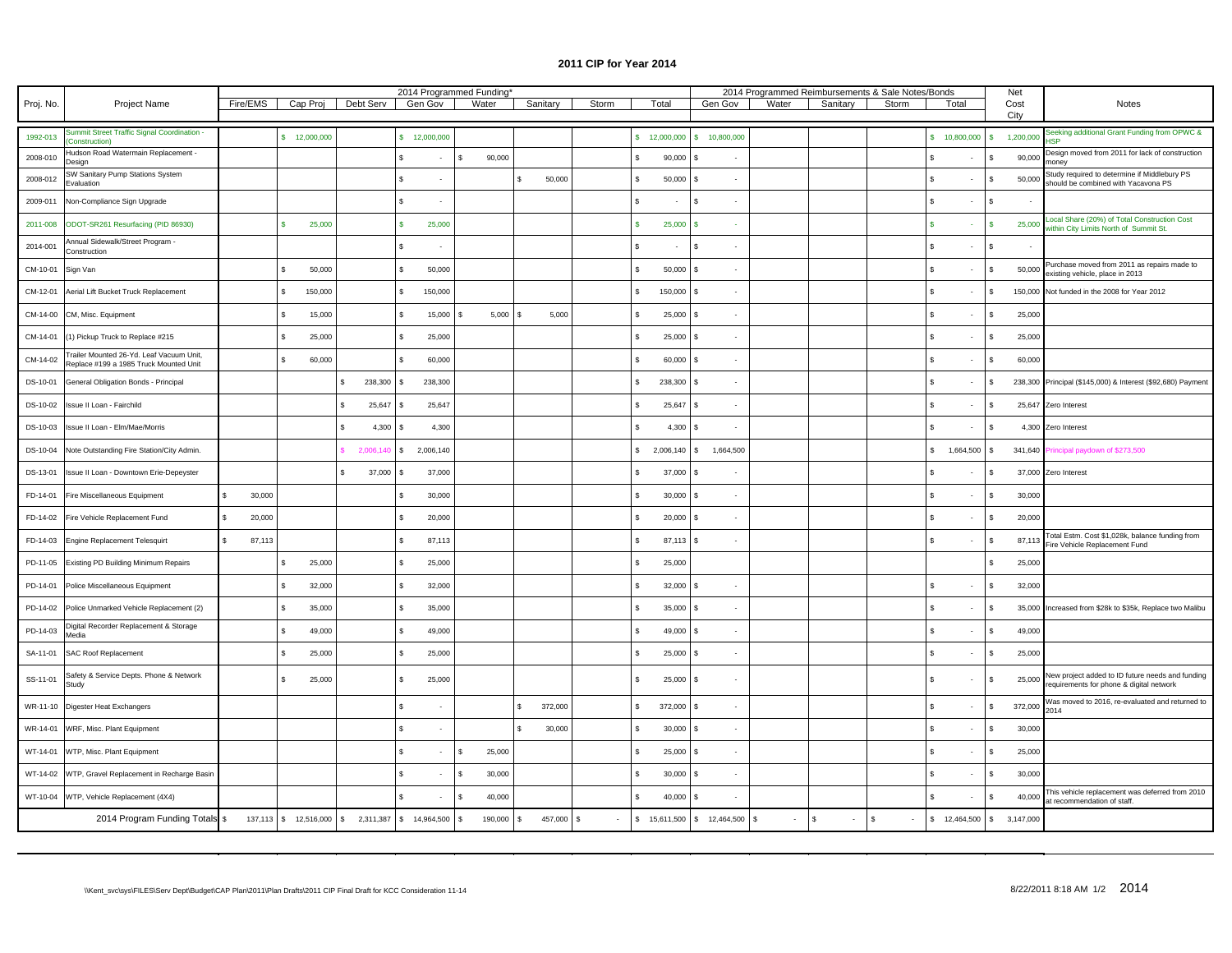|           |                                                                                  |          |               |                         |                                 | 2014 Programmed Funding® |               |       |                        | 2014 Programmed Reimbursements & Sale Notes/Bonds |              |              |       |                 | Net                        |                                                                                             |
|-----------|----------------------------------------------------------------------------------|----------|---------------|-------------------------|---------------------------------|--------------------------|---------------|-------|------------------------|---------------------------------------------------|--------------|--------------|-------|-----------------|----------------------------|---------------------------------------------------------------------------------------------|
| Proj. No. | Project Name                                                                     | Fire/EMS | Cap Proj      | Debt Serv               | Gen Gov                         | Water                    | Sanitary      | Storm | Total                  | Gen Gov                                           | Water        | Sanitary     | Storm | Total           | Cost<br>City               | Notes                                                                                       |
| 1992-013  | ummit Street Traffic Signal Coordination -<br>Construction                       |          | \$12,000,000  |                         | \$ 12,000,000                   |                          |               |       | \$12,000,000           | \$10,800,000                                      |              |              |       | \$10,800,000    | 1,200,000<br><b>S</b>      | eeking additional Grant Funding from OPWC &                                                 |
| 2008-010  | Iudson Road Watermain Replacement -<br>Design                                    |          |               |                         | \$.<br>$\overline{\phantom{a}}$ | 90,000<br>S              |               |       | 90,000<br>-S           | S.                                                |              |              |       |                 | 90,000<br>\$.              | Design moved from 2011 for lack of constructior<br>ionev                                    |
| 2008-012  | W Sanitary Pump Stations System<br>valuation                                     |          |               |                         | \$                              |                          | 50,000<br>\$. |       | 50,000                 | $\mathfrak{S}$                                    |              |              |       |                 | s.<br>50,000               | Study required to determine if Middlebury PS<br>hould be combined with Yacavona PS          |
| 2009-011  | Non-Compliance Sign Upgrade                                                      |          |               |                         |                                 |                          |               |       |                        | $\mathbf{\hat{s}}$                                |              |              |       |                 | S                          |                                                                                             |
| 2011-008  | ODOT-SR261 Resurfacing (PID 86930)                                               |          | 25,000        |                         | 25,000                          |                          |               |       | 25,000                 |                                                   |              |              |       |                 | s.<br>25,000               | ocal Share (20%) of Total Construction Cost<br>ithin City Limits North of Summit St.        |
| 2014-001  | Annual Sidewalk/Street Program -<br>Construction                                 |          |               |                         |                                 |                          |               |       |                        | £.                                                |              |              |       |                 | s                          |                                                                                             |
| CM-10-01  | Sign Van                                                                         |          | 50,000        |                         | 50,000                          |                          |               |       | 50,000                 | \$                                                |              |              |       |                 | s.<br>50,000               | Purchase moved from 2011 as repairs made to<br>xisting vehicle, place in 2013               |
| CM-12-01  | Aerial Lift Bucket Truck Replacement                                             |          | 150,000       |                         | 150,000<br>S.                   |                          |               |       | 150,000                | \$.                                               |              |              |       |                 | s                          | 150,000 Not funded in the 2008 for Year 2012                                                |
| CM-14-00  | CM, Misc. Equipment                                                              |          | 15,000        |                         | S.<br>15,000                    | 5,000<br>S               | 5,000<br>\$.  |       | 25,000                 | \$.                                               |              |              |       | $\sim$          | $\mathsf{s}$<br>25,000     |                                                                                             |
| CM-14-01  | (1) Pickup Truck to Replace #215                                                 |          | 25,000        |                         | 25,000<br>S.                    |                          |               |       | 25,000                 | \$.                                               |              |              |       |                 | s.<br>25,000               |                                                                                             |
| CM-14-02  | railer Mounted 26-Yd. Leaf Vacuum Unit,<br>eplace #199 a 1985 Truck Mounted Unit |          | 60,000        |                         | s.<br>60,000                    |                          |               |       | 60,000                 | \$.                                               |              |              |       |                 | \$.<br>60,000              |                                                                                             |
| DS-10-01  | General Obligation Bonds - Principal                                             |          |               | 238,300<br>$\mathbf{s}$ | 238,300<br>-S                   |                          |               |       | 238,300<br>S.          | $\mathbf{\hat{s}}$                                |              |              |       |                 | s.                         | 238,300 Principal (\$145,000) & Interest (\$92,680) Payment                                 |
| DS-10-02  | Issue II Loan - Fairchild                                                        |          |               | 25,647                  | 25,647<br>s                     |                          |               |       | 25,647                 | £.                                                |              |              |       |                 | $\mathbb{S}$<br>25,647     | Zero Interest                                                                               |
| DS-10-03  | Issue II Loan - Elm/Mae/Morris                                                   |          |               | 4,300                   | 4,300<br><b>S</b>               |                          |               |       | 4,300                  | \$                                                |              |              |       |                 | s                          | 4,300 Zero Interest                                                                         |
| DS-10-04  | Note Outstanding Fire Station/City Admin.                                        |          |               | 2,006.                  | 2,006,140<br>$\mathbf{s}$       |                          |               |       | \$2,006,140            | $\mathbb{S}$<br>1,664,500                         |              |              |       | s.<br>1,664,500 | 341,640<br>s.              | incipal paydown of \$273,500                                                                |
| DS-13-01  | Issue II Loan - Downtown Erie-Depeyster                                          |          |               | 37,000<br>s.            | 37,000<br>-S                    |                          |               |       | 37,000                 | $\mathfrak{L}$                                    |              |              |       | $\sim$          | -S.                        | 37,000 Zero Interest                                                                        |
| FD-14-01  | Fire Miscellaneous Equipment                                                     | 30,000   |               |                         | 30,000<br>s.                    |                          |               |       | 30,000                 | \$.                                               |              |              |       |                 | s.<br>30,000               |                                                                                             |
| FD-14-02  | Fire Vehicle Replacement Fund                                                    | 20,000   |               |                         | 20,000<br>S.                    |                          |               |       | 20,000<br>$\mathbf{S}$ | $\mathfrak{L}$                                    |              |              |       |                 | $\mathbb{S}$<br>20,000     |                                                                                             |
| FD-14-03  | Engine Replacement Telesquirt                                                    | 87,113   |               |                         | 87,113<br>s.                    |                          |               |       | 87,113                 | \$.                                               |              |              |       |                 | 87,113<br>s                | otal Estm. Cost \$1,028k, balance funding from<br>Fire Vehicle Replacement Fund             |
| PD-11-05  | Existing PD Building Minimum Repairs                                             |          | 25,000        |                         | 25,000<br>S.                    |                          |               |       | 25,000                 |                                                   |              |              |       |                 | 25,000<br>\$.              |                                                                                             |
| PD-14-01  | Police Miscellaneous Equipment                                                   |          | 32,000        |                         | 32,000<br>s.                    |                          |               |       | 32,000                 | £.                                                |              |              |       | Ŝ.              | $\mathbb{S}$<br>32,000     |                                                                                             |
| PD-14-02  | Police Unmarked Vehicle Replacement (2)                                          |          | 35,000        |                         | 35,000<br>s.                    |                          |               |       | 35,000                 | \$.                                               |              |              |       |                 | \$<br>35,000               | Increased from \$28k to \$35k, Replace two Malibu                                           |
| PD-14-03  | Digital Recorder Replacement & Storage<br>Media                                  |          | 49,000<br>\$. |                         | 49,000<br>\$.                   |                          |               |       | 49,000                 | \$                                                |              |              |       |                 | 49,000<br>\$               |                                                                                             |
| SA-11-01  | <b>SAC Roof Replacement</b>                                                      |          | 25,000        |                         | 25,000<br>s.                    |                          |               |       | 25,000                 | -96                                               |              |              |       | $\sim$          | 25,000<br>s.               |                                                                                             |
| SS-11-01  | Safety & Service Depts. Phone & Network<br>Study                                 |          | 25,000<br>-S  |                         | 25,000<br>S.                    |                          |               |       | $25,000$ \$<br>-SG     |                                                   |              |              |       | S.<br>$\sim$    | 25,000<br>-S.              | New project added to ID future needs and funding<br>equirements for phone & digital network |
| WR-11-10  | Digester Heat Exchangers                                                         |          |               |                         |                                 |                          | \$<br>372,000 |       | 372,000<br>S.          | £.                                                |              |              |       |                 | 372,000<br>s.              | Was moved to 2016, re-evaluated and returned to<br>014                                      |
| WR-14-01  | WRF, Misc. Plant Equipment                                                       |          |               |                         |                                 |                          | \$<br>30,000  |       | 30,000                 | \$                                                |              |              |       |                 | s<br>30,000                |                                                                                             |
| WT-14-01  | WTP, Misc. Plant Equipment                                                       |          |               |                         |                                 | 25,000<br>-S             |               |       | 25,000                 | £.                                                |              |              |       |                 | 25,000<br>s.               |                                                                                             |
| WT-14-02  | WTP, Gravel Replacement in Recharge Basin                                        |          |               |                         | \$.<br>$\sim$                   | s<br>30,000              |               |       | 30,000                 | \$                                                |              |              |       | $\sim$          | $\mathsf{s}$<br>30,000     |                                                                                             |
|           | WT-10-04 WTP, Vehicle Replacement (4X4)                                          |          |               |                         |                                 | 40,000<br>-S             |               |       | 40,000                 | \$                                                |              |              |       |                 | 40,000<br>\$               | his vehicle replacement was deferred from 2010<br>t recommendation of staff.                |
|           | 2014 Program Funding Totals \$                                                   | 137,113  | \$12,516,000  | \$2,311,387             | \$14,964,500                    | 190,000<br>\$.           | 457,000       |       | \$15,611,500           | \$12,464,500                                      | $\mathbf{s}$ | $\mathbf{s}$ |       | \$12,464,500    | $\mathsf{\$}$<br>3,147,000 |                                                                                             |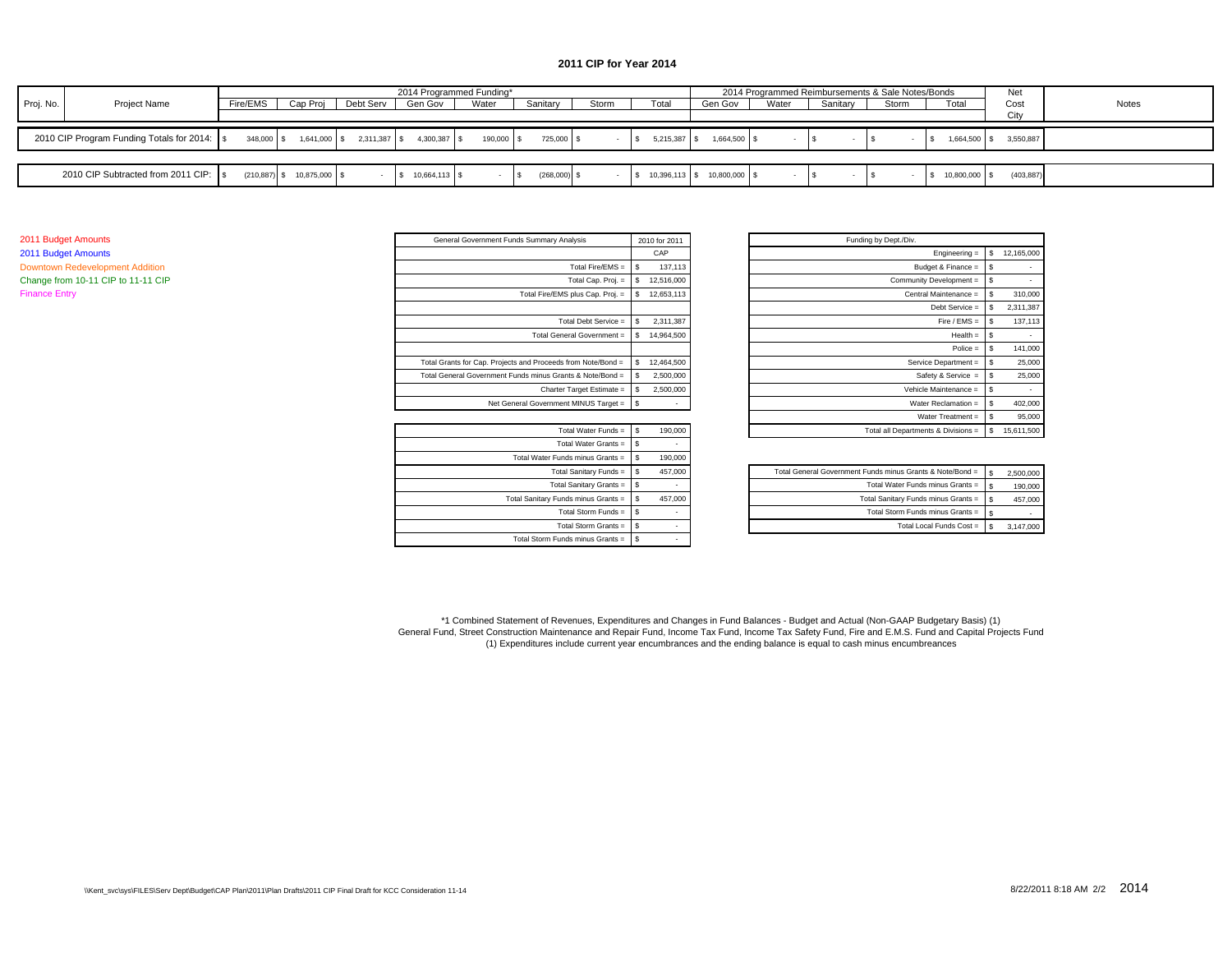| 2014 Programmed Reimbursements & Sale Notes/Bonds<br>2014 Programmed Funding* |                                              |              |               |              |               |         |                |       |               |            | Net   |          |       |               |            |       |
|-------------------------------------------------------------------------------|----------------------------------------------|--------------|---------------|--------------|---------------|---------|----------------|-------|---------------|------------|-------|----------|-------|---------------|------------|-------|
| Proj. No.                                                                     | Project Name                                 | Fire/EMS     | Cap Proj      | Debt Serv    | Gen Gov       | Water   | Sanitary       | Storm | Total         | Gen Gov    | Water | Sanitarv | Storm | Total         | Cost       | Notes |
|                                                                               |                                              |              |               |              |               |         |                |       |               |            |       |          |       |               | City       |       |
|                                                                               | 2010 CIP Program Funding Totals for 2014: \$ | 348,000      | 1,641,000     | 2.311.387 \$ | 4,300,387 \$  | 190,000 | 725,000 \$     |       | 5,215,387     | 1,664,500  |       |          |       | 1,664,500 \$  | 3,550,887  |       |
|                                                                               |                                              |              |               |              |               |         |                |       |               |            |       |          |       |               |            |       |
|                                                                               | 2010 CIP Subtracted from 2011 CIP:           | $'210,887$ ) | 10,875,000 \$ |              | 10,664,113 \$ |         | $(268,000)$ \$ |       | 10,396,113 \$ | 10,800,000 |       |          |       | 10,800,000 \$ | (403, 887) |       |

| General Government Funds Summary Analysis                    | 2010 for 2011                 | Funding by Dept./Div.               |                  |
|--------------------------------------------------------------|-------------------------------|-------------------------------------|------------------|
|                                                              | CAP                           | $Engineering =$                     | \$<br>12,165,000 |
| Total Fire/EMS =                                             | \$<br>137,113                 | Budget & Finance =                  | \$               |
| Total Cap. Proj. =                                           | 12,516,000<br>S               | Community Development =             | s                |
| Total Fire/EMS plus Cap. Proj. =                             | 12,653,113                    | Central Maintenance =               | 310,000<br>\$    |
|                                                              |                               | Debt Service =                      | \$<br>2,311,387  |
| Total Debt Service =                                         | \$<br>2,311,387               | Fire / $EMS =$                      | 137,113<br>\$    |
| Total General Government =                                   | 14,964,500<br>\$              | $Health =$                          | s<br>$\sim$      |
|                                                              |                               | $Police =$                          | s<br>141,000     |
| Total Grants for Cap. Projects and Proceeds from Note/Bond = | \$<br>12,464,500              | Service Department =                | 25,000<br>s      |
| Total General Government Funds minus Grants & Note/Bond =    | 2,500,000                     | Safety & Service =                  | 25,000<br>\$     |
| Charter Target Estimate =                                    | 2,500,000<br>\$               | Vehicle Maintenance =               | s                |
| Net General Government MINUS Target =                        | s<br>$\overline{\phantom{a}}$ | Water Reclamation =                 | s<br>402,000     |
|                                                              |                               | Water $Treatment =$                 | s<br>95,000      |
| Total Water Funds $=$                                        | \$<br>190,000                 | Total all Departments & Divisions = | 15,611,500<br>s  |
|                                                              |                               |                                     |                  |

| Total Sanitary Funds =              | 457,000 | Total General Government Funds minus Grants & Note/Bond = | \$. | 2.500.000 |
|-------------------------------------|---------|-----------------------------------------------------------|-----|-----------|
| Total Sanitary Grants =             |         | Total Water Funds minus Grants =                          |     | 190,000   |
| Total Sanitary Funds minus Grants = | 457,000 | Total Sanitary Funds minus Grants =                       |     | 457,000   |
| Total Storm Funds =                 |         | Total Storm Funds minus Grants =                          |     |           |
| Total Storm Grants =                |         | Total Local Funds Cost =                                  |     | 3.147.000 |

| 2011 Budget Amounts                |                                                              |             | CAP        | Engineering =                                             |    | 12,165,000 |
|------------------------------------|--------------------------------------------------------------|-------------|------------|-----------------------------------------------------------|----|------------|
| Downtown Redevelopment Addition    | Total Fire/EMS =                                             |             | 137,113    | Budget & Finance = $$$                                    |    |            |
| Change from 10-11 CIP to 11-11 CIP | Total Cap. Proj. =                                           | $5^{\circ}$ | 12,516,000 | Community Development = \$                                |    |            |
| <b>Finance Entry</b>               | Total Fire/EMS plus Cap. Proj. =                             |             | 12,653,113 | Central Maintenance =                                     |    | 310,000    |
|                                    |                                                              |             |            | Debt Service =                                            |    | 2,311,387  |
|                                    | Total Debt Service =                                         |             | 2,311,387  | Fire / $EMS =$                                            |    | 137,113    |
|                                    | Total General Government =                                   | \$          | 14,964,500 | $Health =$                                                |    |            |
|                                    |                                                              |             |            | $Police =$                                                |    | 141,000    |
|                                    | Total Grants for Cap. Projects and Proceeds from Note/Bond = |             | 12,464,500 | Service Department =                                      |    | 25,000     |
|                                    | Total General Government Funds minus Grants & Note/Bond =    |             | 2,500,000  | Safety & Service =                                        |    | 25,000     |
|                                    | Charter Target Estimate =                                    |             | 2,500,000  | Vehicle Maintenance =                                     |    | $\sim$     |
|                                    | Net General Government MINUS Target =                        | l s         | $\sim$     | Water Reclamation =                                       |    | 402,000    |
|                                    |                                                              |             |            | Water Treatment =                                         |    | 95,000     |
|                                    | Total Water Funds =                                          | IS          | 190,000    | Total all Departments & Divisions =                       | -S | 15,611,500 |
|                                    | Total Water Grants =                                         | ΙS          | $\sim$     |                                                           |    |            |
|                                    | Total Water Funds minus Grants =                             |             | 190,000    |                                                           |    |            |
|                                    | Total Sanitary Funds =                                       |             | 457,000    | Total General Government Funds minus Grants & Note/Bond = |    | 2,500,000  |
|                                    | Total Sanitary Grants = \$                                   |             | $\sim$     | Total Water Funds minus Grants =                          |    | 190,000    |
|                                    | Total Sanitary Funds minus Grants =                          |             | 457,000    | Total Sanitary Funds minus Grants =                       |    | 457,000    |
|                                    | Total Storm Funds =                                          |             |            | Total Storm Funds minus Grants = \§                       |    |            |
|                                    | Total Storm Grants =                                         |             |            | Total Local Funds Cost =                                  |    | 3,147,000  |
|                                    | Total Storm Funds minus Grants = S                           |             | $\sim$     |                                                           |    |            |

2011 Budget Amounts Covernment Funds Summary Analysis 2010 for 2011 Funds Summary Analysis 2010 for 2011 Downtown Redevelopment Addition Change from 10-11 CIP to 11-11 CIP Finance Entry

> \*1 Combined Statement of Revenues, Expenditures and Changes in Fund Balances - Budget and Actual (Non-GAAP Budgetary Basis) (1)<br>General Fund, Street Construction Maintenance and Repair Fund, Income Tax Fund, Income Tax Saf (1) Expenditures include current year encumbrances and the ending balance is equal to cash minus encumbreances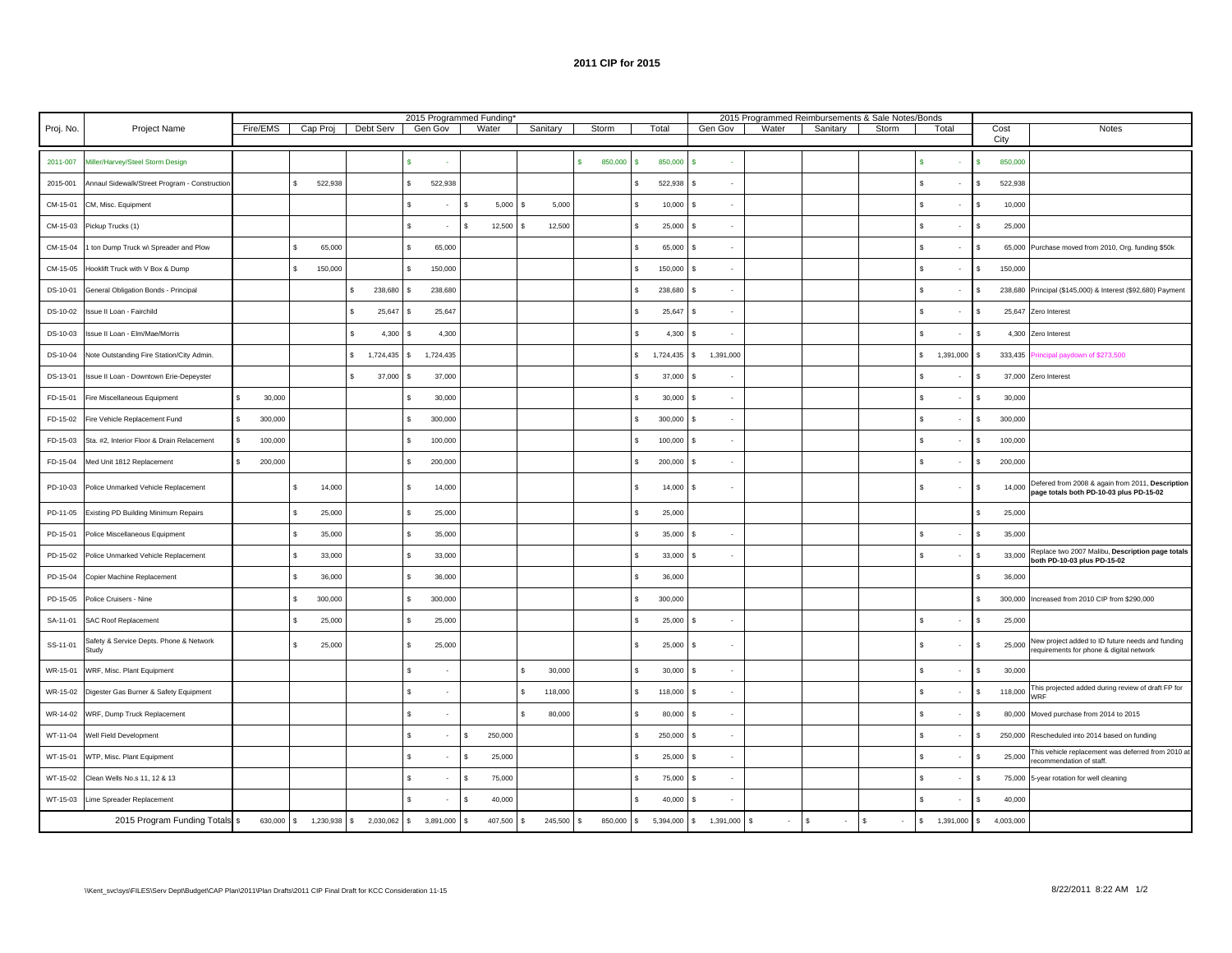#### **2011 CIP for 2015**

|           |                                                  |                         |                     |                           |                           | 2015 Programmed Funding |                       |                |                 |                  |       | 2015 Programmed Reimbursements & Sale Notes/Bonds |              |                                |                         |                                                                                              |
|-----------|--------------------------------------------------|-------------------------|---------------------|---------------------------|---------------------------|-------------------------|-----------------------|----------------|-----------------|------------------|-------|---------------------------------------------------|--------------|--------------------------------|-------------------------|----------------------------------------------------------------------------------------------|
| Proj. No. | Project Name                                     | Fire/EMS                | Cap Proj            | Debt Serv                 | Gen Gov                   | Water                   | Sanitary              | Storm          | Total           | Gen Gov          | Water | Sanitary                                          | Storm        | Total                          | Cost<br>City            | Notes                                                                                        |
| 2011-007  | Miller/Harvey/Steel Storm Design                 |                         |                     |                           |                           |                         |                       | 850,000<br>is. | 850,000         | <b>s</b>         |       |                                                   |              |                                | 850,000<br>s            |                                                                                              |
| 2015-001  | Annaul Sidewalk/Street Program - Constructior    |                         | 522,938             |                           | 522,938<br>$\mathbf{s}$   |                         |                       |                | 522,938         |                  |       |                                                   |              | \$<br>$\Delta$                 | 522,938<br>s.           |                                                                                              |
| CM-15-01  | CM, Misc. Equipment                              |                         |                     |                           | $\overline{\phantom{a}}$  | 5,000<br>۱s             | 5,000<br>$\mathsf{S}$ |                | 10,000          | l \$             |       |                                                   |              | \$<br>$\overline{\phantom{a}}$ | 10,000<br>l S           |                                                                                              |
|           | CM-15-03 Pickup Trucks (1)                       |                         |                     |                           | ٠                         | 12,500<br>l s           | 12,500<br>S           |                | 25,000<br>s.    |                  |       |                                                   |              | $\sim$                         | 25,000<br>$\mathbb{S}$  |                                                                                              |
| CM-15-04  | ton Dump Truck w\ Spreader and Plow              |                         | 65,000              |                           | 65,000<br>s.              |                         |                       |                | 65,000          | s.               |       |                                                   |              | S.                             | l S                     | 65,000 Purchase moved from 2010, Org. funding \$50k                                          |
| CM-15-05  | Hooklift Truck with V Box & Dump                 |                         | 150,000<br>s        |                           | 150,000<br>s.             |                         |                       |                | 150,000<br>\$.  | -S               |       |                                                   |              | \$<br>$\epsilon$               | s.<br>150,000           |                                                                                              |
| DS-10-01  | General Obligation Bonds - Principal             |                         |                     | 238,680                   | 238,680<br>s              |                         |                       |                | 238,680         |                  |       |                                                   |              | S.<br>$\overline{\phantom{a}}$ | l S                     | 238,680 Principal (\$145,000) & Interest (\$92,680) Payment                                  |
| DS-10-02  | Issue II Loan - Fairchild                        |                         |                     | 25,647                    | 25,647<br>s.              |                         |                       |                | 25,647          |                  |       |                                                   |              | $\sim$                         | s<br>25,647             | Zero Interest                                                                                |
| DS-10-03  | Issue II Loan - Elm/Mae/Morris                   |                         |                     | 4,300                     | 4,300<br>-S               |                         |                       |                | 4,300           |                  |       |                                                   |              |                                | \$.<br>4,300            | Zero Interest                                                                                |
| DS-10-04  | Note Outstanding Fire Station/City Admin.        |                         |                     | 1,724,435                 | $\mathbb{S}$<br>1,724,435 |                         |                       |                | \$ 1,724,435    | \$<br>1,391,000  |       |                                                   |              | 1,391,000                      | $\mathsf{s}$<br>333,435 | incipal paydown of \$273,500                                                                 |
| DS-13-01  | Issue II Loan - Downtown Erie-Depeyster          |                         |                     | 37,000                    | 37,000<br>s               |                         |                       |                | 37,000          |                  |       |                                                   |              |                                | s                       | 37,000 Zero Interest                                                                         |
| FD-15-01  | Fire Miscellaneous Equipment                     | $\mathbf{s}$<br>30,000  |                     |                           | 30,000                    |                         |                       |                | $30,000$ \$     |                  |       |                                                   |              | \$<br>$\overline{\phantom{a}}$ | 30,000<br>l S           |                                                                                              |
| FD-15-02  | Fire Vehicle Replacement Fund                    | s.<br>300,000           |                     |                           | 300,000                   |                         |                       |                | 300,000<br>s.   | <b>s</b>         |       |                                                   |              | \$<br>$\sim$                   | s<br>300,000            |                                                                                              |
| FD-15-03  | Sta. #2, Interior Floor & Drain Relacement       | 100,000<br>$\mathbf{s}$ |                     |                           | 100,000                   |                         |                       |                | 100,000         | $\mathbf{s}$     |       |                                                   |              | \$<br>$\epsilon$               | 100,000<br><b>S</b>     |                                                                                              |
| FD-15-04  | Med Unit 1812 Replacement                        | $\mathbf{s}$<br>200,000 |                     |                           | 200,000                   |                         |                       |                | 200,000<br>s.   | s.               |       |                                                   |              | S.<br>$\Delta$                 | 200,000<br>s.           |                                                                                              |
|           | PD-10-03 Police Unmarked Vehicle Replacement     |                         | 14,000<br>s         |                           | 14,000<br>s.              |                         |                       |                | 14,000<br>s.    | s                |       |                                                   |              | S.                             | l s<br>14,000           | Defered from 2008 & again from 2011, Description<br>page totals both PD-10-03 plus PD-15-02  |
|           | PD-11-05 Existing PD Building Minimum Repairs    |                         | 25,000              |                           | 25,000                    |                         |                       |                | 25,000          |                  |       |                                                   |              |                                | 25,000                  |                                                                                              |
| PD-15-01  | Police Miscellaneous Equipment                   |                         | 35,000              |                           | 35,000<br>s.              |                         |                       |                | 35,000<br>s.    |                  |       |                                                   |              | $\epsilon$                     | 35,000<br>s             |                                                                                              |
|           | PD-15-02 Police Unmarked Vehicle Replacement     |                         | 33,000              |                           | 33,000<br>s.              |                         |                       |                | 33,000          | s.               |       |                                                   |              | S.<br>$\overline{\phantom{a}}$ | $\mathbf{s}$<br>33,000  | Replace two 2007 Malibu, Description page totals<br>both PD-10-03 plus PD-15-02              |
| PD-15-04  | Copier Machine Replacement                       |                         | 36,000              |                           | 36,000<br>s.              |                         |                       |                | 36,000          |                  |       |                                                   |              |                                | s.<br>36,000            |                                                                                              |
| PD-15-05  | Police Cruisers - Nine                           |                         | 300,000             |                           | 300,000<br>s.             |                         |                       |                | 300,000         |                  |       |                                                   |              |                                | s                       | 300,000 Increased from 2010 CIP from \$290,000                                               |
| SA-11-01  | SAC Roof Replacement                             |                         | 25,000              |                           | 25,000<br>s               |                         |                       |                | 25,000          |                  |       |                                                   |              | ٠                              | s<br>25,000             |                                                                                              |
| SS-11-01  | Safety & Service Depts. Phone & Network<br>Study |                         | 25,000<br>s         |                           | 25,000<br>s.              |                         |                       |                | 25,000          | $\mathbf{s}$     |       |                                                   |              | s.<br>٠                        | 25,000<br><b>S</b>      | New project added to ID future needs and funding<br>requirements for phone & digital network |
| WR-15-01  | WRF, Misc. Plant Equipment                       |                         |                     |                           |                           |                         | 30,000<br>s           |                | 30,000<br>S.    | $\mathbf{s}$     |       |                                                   |              | S.                             | l s<br>30,000           |                                                                                              |
|           | WR-15-02 Digester Gas Burner & Safety Equipment  |                         |                     |                           | $\sim$                    |                         | \$.<br>118,000        |                | 118,000         |                  |       |                                                   |              | $\epsilon$                     | s<br>118,000            | This projected added during review of draft FP for<br><b>WRF</b>                             |
|           | WR-14-02 WRF, Dump Truck Replacement             |                         |                     |                           |                           |                         | \$.<br>80,000         |                | 80,000          |                  |       |                                                   |              | S.<br>$\sim$                   | s                       | 80,000 Moved purchase from 2014 to 2015                                                      |
|           | WT-11-04 Well Field Development                  |                         |                     |                           | $\hat{\phantom{a}}$       | <sub>S</sub><br>250,000 |                       |                | 250,000         |                  |       |                                                   |              | $\sim$                         | $\mathsf{s}$<br>250,000 | Rescheduled into 2014 based on funding                                                       |
| WT-15-01  | <b>NTP, Misc. Plant Equipment</b>                |                         |                     |                           | S.                        | 25,000<br>l s           |                       |                | 25,000          | s                |       |                                                   |              | S.                             | s<br>25,000             | This vehicle replacement was deferred from 2010 at<br>recommendation of staff.               |
| WT-15-02  | Clean Wells No.s 11, 12 & 13                     |                         |                     |                           | $\overline{\phantom{a}}$  | 75,000<br>l s           |                       |                | 75,000          | $\mathbf{s}$     |       |                                                   |              | \$<br>$\overline{\phantom{a}}$ | $\mathbf{s}$<br>75,000  | 5-year rotation for well cleaning                                                            |
| WT-15-03  | Lime Spreader Replacement                        |                         |                     |                           |                           | 40,000<br>l S           |                       |                | 40,000          | <b>s</b>         |       |                                                   |              |                                | 40,000                  |                                                                                              |
|           | 2015 Program Funding Totals \$                   | 630,000                 | 1,230,938<br>$\sim$ | 2,030,062<br>$\mathbf{s}$ | 3,891,000 \$<br>S.        | 407,500                 | 245,500<br>\$         | 850,000<br>-S. | 5,394,000<br>\$ | 1,391,000<br>l S | ١s    | s.<br>$\sim$                                      | -S<br>$\sim$ | 1,391,000 \$<br>$\mathbf{s}$   | 4,003,000               |                                                                                              |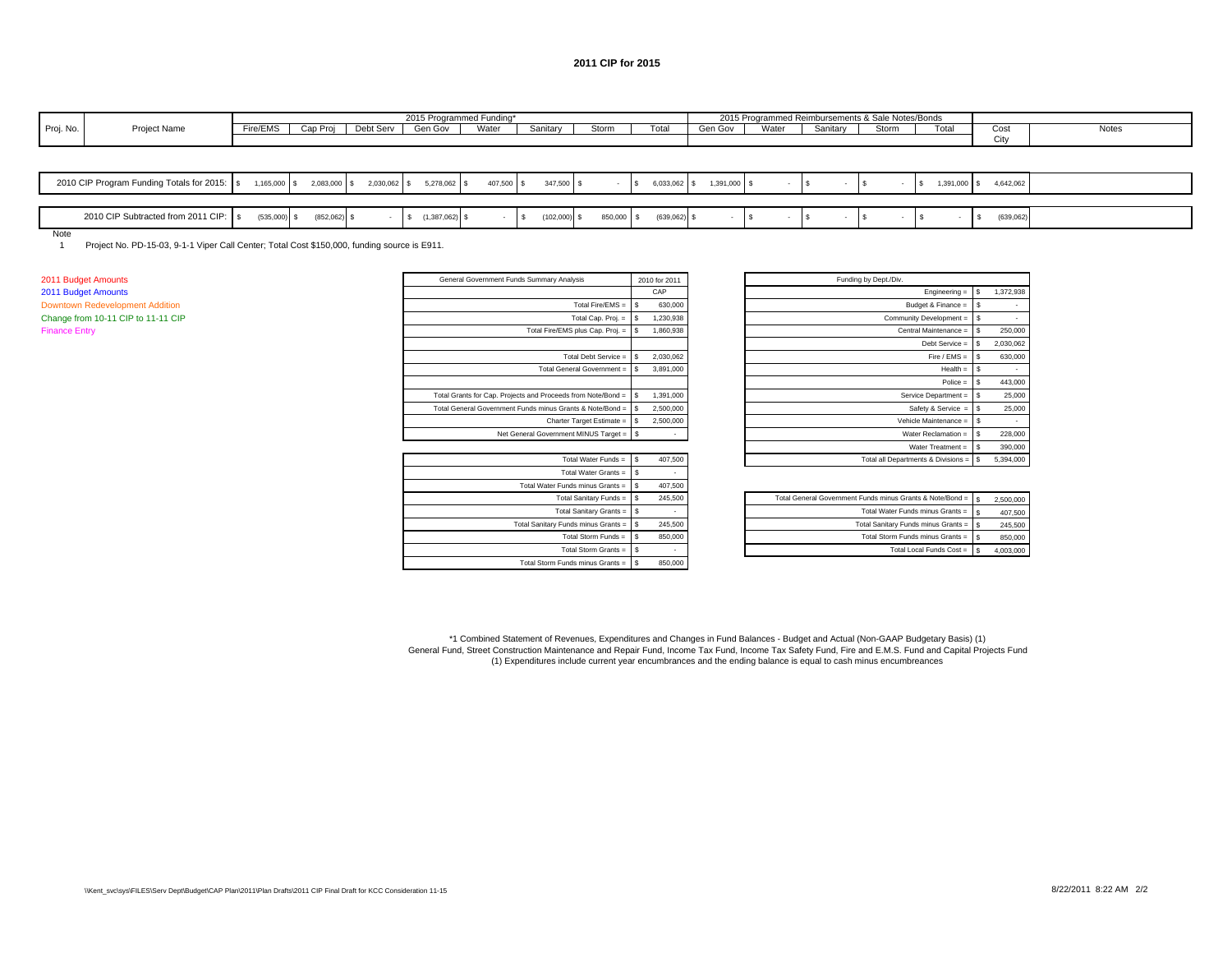#### **2011 CIP for 2015**

|           |                                              |          |                |                |                      |                  | 2015 Programmed Funding* |                |            |                |              |       | 2015 Programmed Reimbursements & Sale Notes/Bonds |       |              |           |       |
|-----------|----------------------------------------------|----------|----------------|----------------|----------------------|------------------|--------------------------|----------------|------------|----------------|--------------|-------|---------------------------------------------------|-------|--------------|-----------|-------|
| Proj. No. | Project Name                                 | Fire/EMS |                |                | Cap Proj   Debt Serv | Gen Gov          | Water                    | Sanitary       | Storm      | Total          | Gen Gov      | Water | Sanitary                                          | Storm | Total        | Cost      | Notes |
|           |                                              |          |                |                |                      |                  |                          |                |            |                |              |       |                                                   |       |              | City      |       |
|           |                                              |          |                |                |                      |                  |                          |                |            |                |              |       |                                                   |       |              |           |       |
|           |                                              |          |                |                |                      |                  |                          |                |            |                |              |       |                                                   |       |              |           |       |
|           | 2010 CIP Program Funding Totals for 2015: \$ |          | 1,165,000 \$   | 2,083,000 \$   | 2,030,062 \$         | 5,278,062 \$     | 407,500 \$               | 347,500 \$     |            | 6,033,062 \$   | 1,391,000 \$ |       |                                                   |       | 1,391,000 \$ | 4,642,062 |       |
|           |                                              |          |                |                |                      |                  |                          |                |            |                |              |       |                                                   |       |              |           |       |
|           |                                              |          |                |                |                      |                  |                          |                |            |                |              |       |                                                   |       |              |           |       |
|           | 2010 CIP Subtracted from 2011 CIP: \$        |          | $(535,000)$ \$ | $(852,062)$ \$ |                      | $(1,387,062)$ \$ |                          | $(102,000)$ \$ | 850,000 \$ | $(639,062)$ \$ |              |       |                                                   |       |              | (639,062) |       |
|           |                                              |          |                |                |                      |                  |                          |                |            |                |              |       |                                                   |       |              |           |       |
| Note      |                                              |          |                |                |                      |                  |                          |                |            |                |              |       |                                                   |       |              |           |       |

 $\sim$  1 Project No. PD-15-03, 9-1-1 Viper Call Center; Total Cost \$150,000, funding source is E911.

| 2011 Budget Amounts                | General Government Funds Summary Analysis                       | 2010 for 2011            | Funding by Dept./Div.               |           |
|------------------------------------|-----------------------------------------------------------------|--------------------------|-------------------------------------|-----------|
| 2011 Budget Amounts                |                                                                 | CAP                      | Engineering                         | 1,372,938 |
| Downtown Redevelopment Addition    | Total Fire/EMS =                                                | 630,000                  | Budget & Finance =                  |           |
| Change from 10-11 CIP to 11-11 CIP | Total Cap. Proj. =                                              | 1,230,938                | Community Development =             |           |
| <b>Finance Entry</b>               | Total Fire/EMS plus Cap. Proj. =                                | 1,860,938                | Central Maintenance =               | 250,000   |
|                                    |                                                                 |                          | Debt Service                        | 2,030,062 |
|                                    | Total Debt Service =                                            | 2,030,062                | Fire / $EMS =$                      | 630,000   |
|                                    | Total General Government =                                      | 3,891,000                | Health =                            |           |
|                                    |                                                                 |                          | $Police =$                          | 443,000   |
|                                    | Total Grants for Cap. Projects and Proceeds from Note/Bond = \$ | 1,391,000                | Service Department =                | 25,000    |
|                                    | Total General Government Funds minus Grants & Note/Bond = \$    | 2,500,000                | Safety & Service = $\sqrt{5}$       | 25,000    |
|                                    | Charter Target Estimate =                                       | 2,500,000                | Vehicle Maintenance =               |           |
|                                    | Net General Government MINUS Target = \$                        | $\overline{\phantom{a}}$ | Water Reclamation =                 | 228,000   |
|                                    |                                                                 |                          | Water Treatment =                   | 390,000   |
|                                    | Total Water Funds =                                             | 407,500                  | Total all Departments & Divisions a | 5,394,000 |

| Total Sanitary Funds = $\sqrt{S}$      | 245,500 | Total General Government Funds minus Grants & Note/Bond = S | 2.500.000 |
|----------------------------------------|---------|-------------------------------------------------------------|-----------|
| Total Sanitary Grants = $\sqrt{s}$     |         | Total Water Funds minus Grants =                            | 407.500   |
| Total Sanitary Funds minus Grants = \$ | 245,500 | Total Sanitary Funds minus Grants = S                       | 245,500   |
| Total Storm Funds = $\sqrt{\ }$        | 850,000 | Total Storm Funds minus Grants =                            | 850,000   |
| Total Storm Grants = $\sqrt{\ }$       |         | Total Local Funds Cost =                                    | 4.003.000 |

| Total Fire/EMS =                                             | S  | 630,000   |
|--------------------------------------------------------------|----|-----------|
| Total Cap. Proj. =                                           | \$ | 1,230,938 |
| Total Fire/EMS plus Cap. Proj. =                             | S  | 1,860,938 |
|                                                              |    |           |
| Total Debt Service =                                         | Ś  | 2.030.062 |
| Total General Government =                                   | Ś  | 3,891,000 |
|                                                              |    |           |
| Total Grants for Cap. Projects and Proceeds from Note/Bond = | Ś  | 1,391,000 |
| Total General Government Funds minus Grants & Note/Bond =    | Ś  | 2.500.000 |
| Charter Target Estimate =                                    | Ś  | 2.500.000 |
| Net General Government MINUS Target =                        | \$ |           |
|                                                              |    |           |
| Total Water Funds =                                          | \$ | 407,500   |
| Total Water Grants $=$                                       | \$ | ٠         |
| Total Water Funds minus Grants =                             | \$ | 407,500   |
| Total Sanitary Funds =                                       | \$ | 245.500   |
| Total Sanitary Grants =                                      | \$ |           |
| Total Sanitary Funds minus Grants =                          | S  | 245.500   |
| Total Storm Funds $=$                                        | S  | 850,000   |
| Total Storm Grants =                                         | \$ | ٠         |
| Total Storm Funds minus Grants =                             | S  | 850,000   |

\*1 Combined Statement of Revenues, Expenditures and Changes in Fund Balances - Budget and Actual (Non-GAAP Budgetary Basis) (1) General Fund, Street Construction Maintenance and Repair Fund, Income Tax Fund, Income Tax Safety Fund, Fire and E.M.S. Fund and Capital Projects Fund<br>(1) Expenditures include current year encumbrances and the ending balan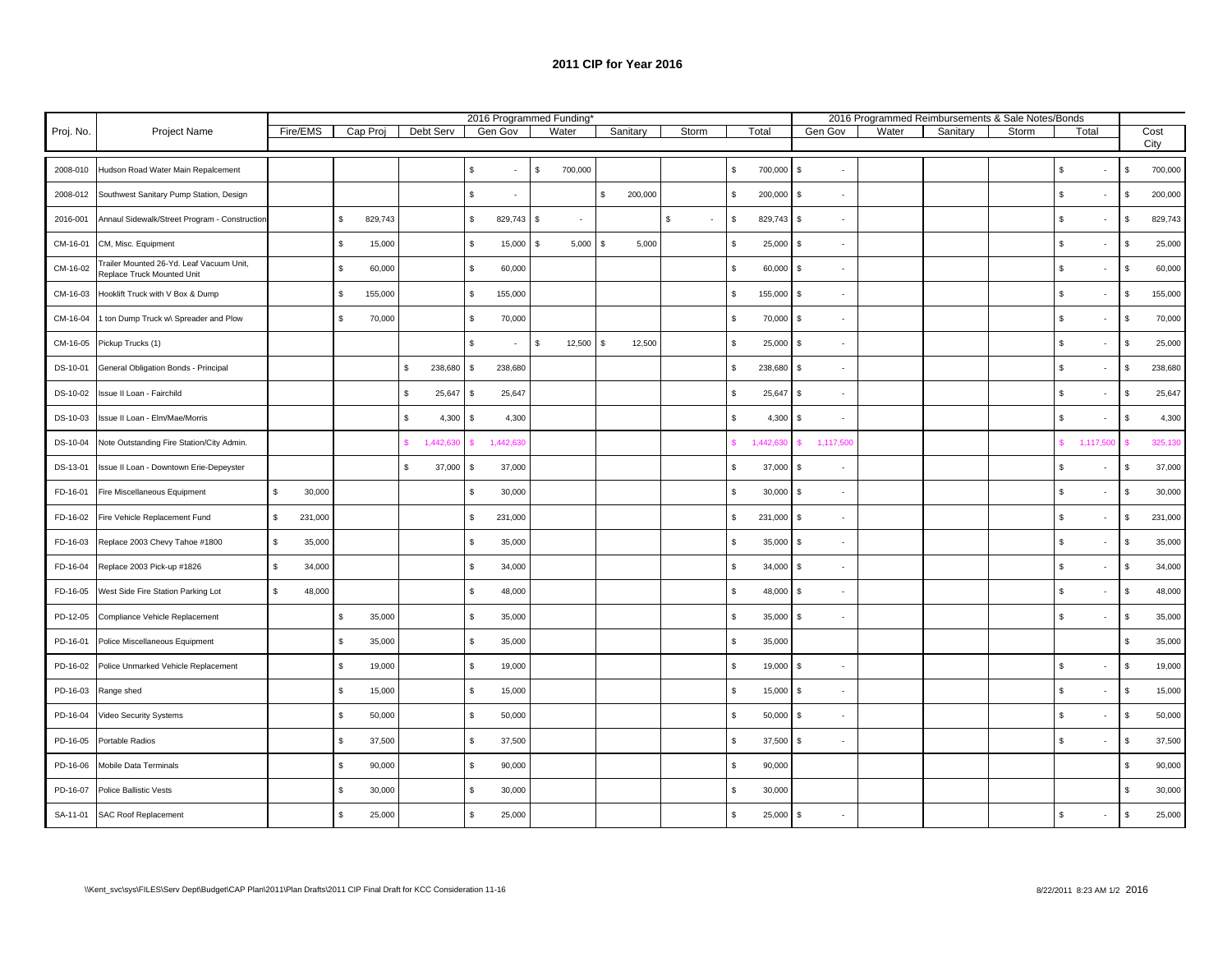|           |                                                                        |                        |                         |        |                 | 2016 Programmed Funding |                          |          |         |              |          |              | 2016 Programmed Reimbursements & Sale Notes/Bonds |             |                                |       |          |       |                |                             |              |         |
|-----------|------------------------------------------------------------------------|------------------------|-------------------------|--------|-----------------|-------------------------|--------------------------|----------|---------|--------------|----------|--------------|---------------------------------------------------|-------------|--------------------------------|-------|----------|-------|----------------|-----------------------------|--------------|---------|
| Proj. No. | Project Name                                                           | Fire/EMS               | Cap Proj                |        | Debt Serv       |                         | Gen Gov                  | Water    |         |              | Sanitary | Storm        |                                                   | Total       | Gen Gov                        | Water | Sanitary | Storm |                | Total                       |              | Cost    |
|           |                                                                        |                        |                         |        |                 |                         |                          |          |         |              |          |              |                                                   |             |                                |       |          |       |                |                             |              | City    |
| 2008-010  | Hudson Road Water Main Repalcement                                     |                        |                         |        |                 | $\mathbb{S}$            |                          | <b>S</b> | 700,000 |              |          |              | \$                                                | 700,000 \$  | $\sim$                         |       |          |       | $\mathbb{S}$   |                             | S.           | 700,000 |
| 2008-012  | Southwest Sanitary Pump Station, Design                                |                        |                         |        |                 | $$\mathbb{S}$$          | $\overline{\phantom{a}}$ |          |         | \$           | 200,000  |              | \$                                                | 200,000 \$  | $\sim$                         |       |          |       | $$\mathbb{S}$$ | $\sim$                      | - \$         | 200,000 |
| 2016-001  | Annaul Sidewalk/Street Program - Construction                          |                        | \$<br>829,743           |        |                 | $\mathbb{S}$            | 829,743 \$               |          |         |              |          | $\mathbb{S}$ | \$                                                | 829,743 \$  | $\sim$                         |       |          |       | \$             | $\overline{\phantom{a}}$    | s.           | 829,743 |
| CM-16-01  | CM, Misc. Equipment                                                    |                        | s                       | 15,000 |                 | $$\mathbb{S}$$          | 15,000                   | l \$     | 5,000   | \$           | 5,000    |              | \$                                                | 25,000      | \$.<br>$\sim$                  |       |          |       | $$\mathbb{S}$$ | $\overline{\phantom{a}}$    | -S           | 25,000  |
| CM-16-02  | Trailer Mounted 26-Yd. Leaf Vacuum Unit,<br>Replace Truck Mounted Unit |                        | \$<br>60,000            |        |                 | \$                      | 60,000                   |          |         |              |          |              | \$                                                | 60,000      | $\sqrt{3}$<br>$\sim$           |       |          |       | $\mathbb S$    | $\sim$                      | S.           | 60,000  |
| CM-16-03  | Hooklift Truck with V Box & Dump                                       |                        | S<br>155,000            |        |                 | \$                      | 155,000                  |          |         |              |          |              | \$                                                | 155,000 \$  | $\sim$                         |       |          |       | $$\mathbb{S}$$ | ÷.                          | \$           | 155,000 |
| CM-16-04  | 1 ton Dump Truck w\ Spreader and Plow                                  |                        | \$<br>70,000            |        |                 | \$                      | 70,000                   |          |         |              |          |              | \$                                                | 70,000 \$   | $\sim$                         |       |          |       | $\,$           | $\sim$                      | l S          | 70,000  |
| CM-16-05  | Pickup Trucks (1)                                                      |                        |                         |        |                 | $$\mathbb{S}$$          |                          | \$       | 12,500  | $\mathbb{S}$ | 12,500   |              | \$                                                | 25,000 \$   | $\overline{\phantom{a}}$       |       |          |       | $\mathbb S$    | $\overline{\phantom{a}}$    | \$           | 25,000  |
| DS-10-01  | General Obligation Bonds - Principal                                   |                        |                         |        | \$<br>238,680   | \$                      | 238,680                  |          |         |              |          |              | \$                                                | 238,680     | \$<br>$\overline{\phantom{a}}$ |       |          |       | $$\mathbb{S}$$ | $\overline{\phantom{a}}$    | S.           | 238,680 |
| DS-10-02  | Issue II Loan - Fairchild                                              |                        |                         |        | 25,647<br>\$    | \$                      | 25,647                   |          |         |              |          |              | \$                                                | 25,647      | \$<br>$\sim$                   |       |          |       | $\,$           | $\overline{\phantom{a}}$    | S            | 25,647  |
| DS-10-03  | Issue II Loan - Elm/Mae/Morris                                         |                        |                         |        | 4,300<br>\$     | \$                      | 4,300                    |          |         |              |          |              | \$                                                | 4,300       | $\mathbf s$<br>$\sim$          |       |          |       | \$             | ٠                           | \$           | 4,300   |
| DS-10-04  | Note Outstanding Fire Station/City Admin.                              |                        |                         |        | 1,442,630       | S.                      | 1,442,63                 |          |         |              |          |              |                                                   | 1,442,63    | 1,117,500                      |       |          |       |                | 1,117,500                   |              | 325,130 |
| DS-13-01  | Issue II Loan - Downtown Erie-Depeyster                                |                        |                         |        | 37,000 \$<br>£. |                         | 37,000                   |          |         |              |          |              | \$                                                | 37,000 \$   | $\sim$                         |       |          |       | \$             | $\sim$                      | $\mathbf{s}$ | 37,000  |
| FD-16-01  | Fire Miscellaneous Equipment                                           | $\mathbb{S}$<br>30,000 |                         |        |                 | \$                      | 30,000                   |          |         |              |          |              | S                                                 | 30,000      | \$<br>$\overline{\phantom{a}}$ |       |          |       | \$             | $\overline{\phantom{a}}$    | \$           | 30,000  |
| FD-16-02  | Fire Vehicle Replacement Fund                                          | \$<br>231,000          |                         |        |                 | \$                      | 231,000                  |          |         |              |          |              | \$                                                | 231,000 \$  | $\sim$                         |       |          |       | $$\mathbb{S}$$ | $\sim$                      | \$           | 231,000 |
| FD-16-03  | Replace 2003 Chevy Tahoe #1800                                         | $\mathbb{S}$<br>35,000 |                         |        |                 | \$                      | 35,000                   |          |         |              |          |              | \$                                                | 35,000 \$   | $\sim$                         |       |          |       | $$\mathbb{S}$$ | $\overline{\phantom{a}}$    | S.           | 35,000  |
| FD-16-04  | Replace 2003 Pick-up #1826                                             | s.<br>34,000           |                         |        |                 | \$.                     | 34,000                   |          |         |              |          |              | s.                                                | $34,000$ \$ | $\sim$                         |       |          |       | \$             | $\overline{\phantom{a}}$    | - \$         | 34,000  |
| FD-16-05  | West Side Fire Station Parking Lot                                     | s.<br>48,000           |                         |        |                 | \$                      | 48,000                   |          |         |              |          |              | $\mathbb{S}$                                      | 48,000 \$   | $\sim$                         |       |          |       | $\mathbb{S}$   | $\mathcal{L}_{\mathcal{A}}$ | l S          | 48,000  |
| PD-12-05  | Compliance Vehicle Replacement                                         |                        | $\mathbb S$<br>35,000   |        |                 | \$                      | 35,000                   |          |         |              |          |              | \$                                                | 35,000      | S<br>$\overline{\phantom{a}}$  |       |          |       | $\mathbb S$    | $\overline{\phantom{a}}$    | \$           | 35,000  |
| PD-16-01  | Police Miscellaneous Equipment                                         |                        | ${\mathbb S}$<br>35,000 |        |                 | \$                      | 35,000                   |          |         |              |          |              | \$                                                | 35,000      |                                |       |          |       |                |                             | £.           | 35,000  |
| PD-16-02  | Police Unmarked Vehicle Replacement                                    |                        | \$                      | 19,000 |                 | \$                      | 19,000                   |          |         |              |          |              | \$                                                | 19,000      | \$<br>$\overline{\phantom{a}}$ |       |          |       | $$\mathbb{S}$$ | $\overline{\phantom{a}}$    | \$           | 19,000  |
| PD-16-03  | Range shed                                                             |                        | \$                      | 15,000 |                 | \$                      | 15,000                   |          |         |              |          |              | \$                                                | 15,000 \$   | $\overline{\phantom{a}}$       |       |          |       | $$\mathbb{S}$$ | $\overline{\phantom{a}}$    | \$           | 15,000  |
| PD-16-04  | Video Security Systems                                                 |                        | \$.<br>50,000           |        |                 | \$                      | 50,000                   |          |         |              |          |              | \$                                                | 50,000 \$   | $\sim$                         |       |          |       | $$\mathbb{S}$$ | $\sim$                      | l S          | 50,000  |
| PD-16-05  | Portable Radios                                                        |                        | \$<br>37,500            |        |                 | \$                      | 37,500                   |          |         |              |          |              | \$                                                | 37,500      | S<br>$\sim$                    |       |          |       | \$             | $\overline{\phantom{a}}$    | \$           | 37,500  |
| PD-16-06  | Mobile Data Terminals                                                  |                        | s<br>90,000             |        |                 | \$                      | 90,000                   |          |         |              |          |              | \$                                                | 90,000      |                                |       |          |       |                |                             | £.           | 90,000  |
| PD-16-07  | <b>Police Ballistic Vests</b>                                          |                        | S<br>30,000             |        |                 | \$                      | 30,000                   |          |         |              |          |              | \$                                                | 30,000      |                                |       |          |       |                |                             | \$           | 30,000  |
| SA-11-01  | <b>SAC Roof Replacement</b>                                            |                        | S<br>25,000             |        |                 | \$                      | 25,000                   |          |         |              |          |              | S                                                 | 25,000      | S<br>$\sim$                    |       |          |       | \$             |                             |              | 25,000  |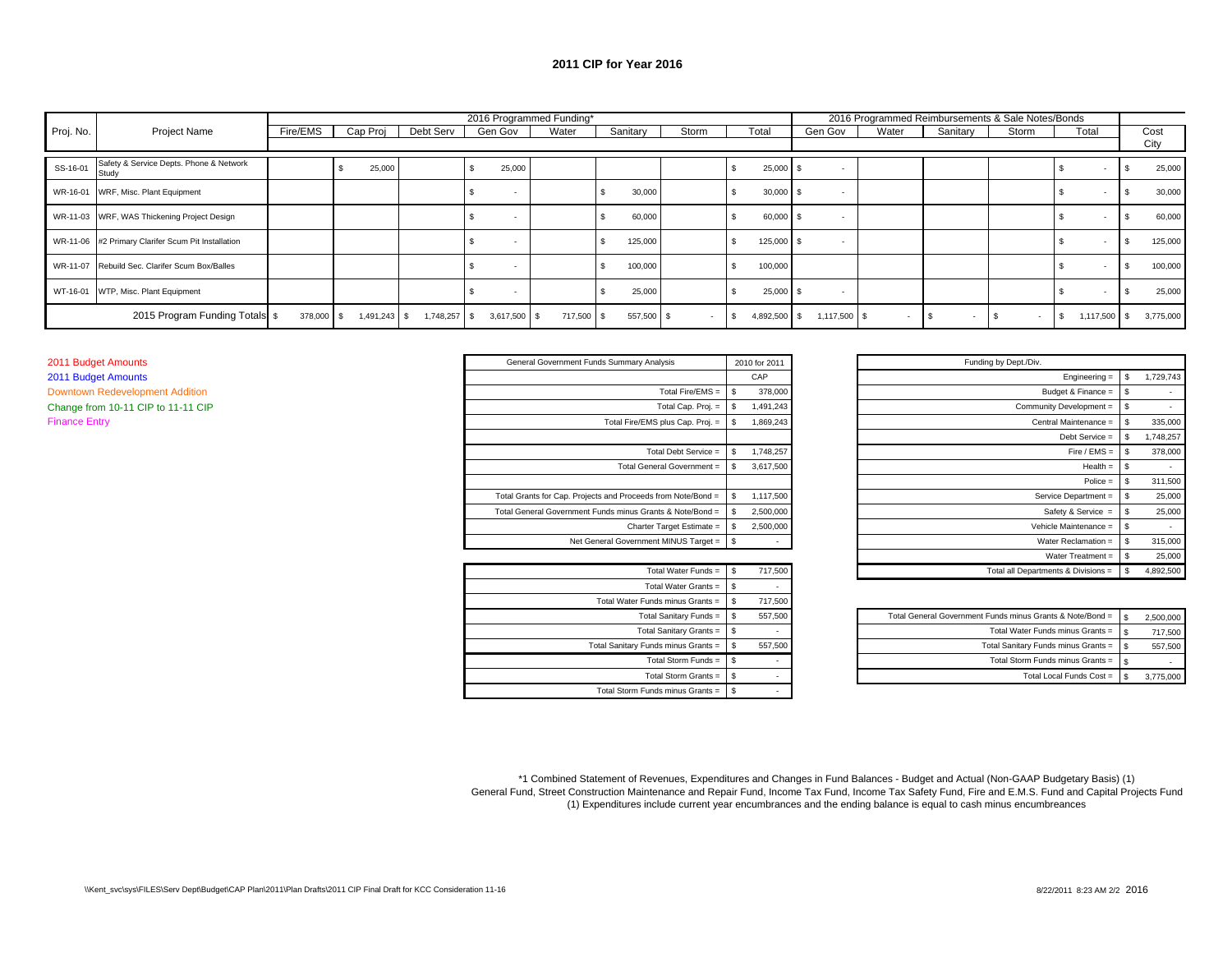|           |                                                          |            |              | 2016 Programmed Funding* |                |            |            | 2016 Programmed Reimbursements & Sale Notes/Bonds |              |              |       |          |       |              |           |
|-----------|----------------------------------------------------------|------------|--------------|--------------------------|----------------|------------|------------|---------------------------------------------------|--------------|--------------|-------|----------|-------|--------------|-----------|
| Proj. No. | <b>Project Name</b>                                      | Fire/EMS   | Cap Proj     | Debt Serv                | Gen Gov        | Water      | Sanitary   | Storm                                             | Total        | Gen Gov      | Water | Sanitary | Storm | Total        | Cost      |
|           |                                                          |            |              |                          |                |            |            |                                                   |              |              |       |          |       |              | City      |
| SS-16-01  | Safety & Service Depts. Phone & Network<br><b>IStudv</b> |            | 25,000       |                          | 25,000         |            |            |                                                   | 25,000 \$    |              |       |          |       |              | 25,000    |
| WR-16-01  | WRF, Misc. Plant Equipment                               |            |              |                          |                |            | 30,000     |                                                   | $30,000$ \$  | $\sim$       |       |          |       |              | 30,000    |
|           | WR-11-03 WRF, WAS Thickening Project Design              |            |              |                          |                |            | 60,000     |                                                   | 60,000       |              |       |          |       | $\sim$       | 60,000    |
|           | WR-11-06 #2 Primary Clarifer Scum Pit Installation       |            |              |                          |                |            | 125,000    |                                                   | 125,000 \$   | $\sim$       |       |          |       |              | 125,000   |
|           | WR-11-07 Rebuild Sec. Clarifer Scum Box/Balles           |            |              |                          |                |            | 100,000    |                                                   | 100,000      |              |       |          |       | $\sim$       | 100,000   |
| WT-16-01  | WTP, Misc. Plant Equipment                               |            |              |                          |                |            | 25,000     |                                                   | 25,000 \$    |              |       |          |       |              | 25,000    |
|           | 2015 Program Funding Totals \$                           | 378,000 \$ | 1,491,243 \$ | 1,748,257 \$             | $3,617,500$ \$ | 717,500 \$ | 557,500 \$ |                                                   | 4,892,500 \$ | 1,117,500 \$ |       |          |       | 1,117,500 \$ | 3,775,000 |

| General Government Funds Summary Analysis                    |    | 2010 for 2011 | Funding by Dept./Div.               |    |           |
|--------------------------------------------------------------|----|---------------|-------------------------------------|----|-----------|
|                                                              |    | CAP           | $Engineering =$                     | \$ | 1,729,743 |
| Total Fire/EMS $=$                                           | S  | 378,000       | Budget & Finance =                  | \$ |           |
| Total Cap. Proj. =                                           | \$ | 1,491,243     | Community Development =             | \$ |           |
| Total Fire/EMS plus Cap. Proj. =                             | \$ | 1,869,243     | Central Maintenance =               | \$ | 335,000   |
|                                                              |    |               | Debt Service =                      | S  | 1,748,257 |
| Total Debt Service =                                         | S  | 1,748,257     | Fire / $EMS =$                      | S  | 378,000   |
| Total General Government =                                   | \$ | 3,617,500     | $Health =$                          | S  |           |
|                                                              |    |               | $Police =$                          | S  | 311,500   |
| Total Grants for Cap. Projects and Proceeds from Note/Bond = | \$ | 1,117,500     | Service Department =                | S  |           |
| Total General Government Funds minus Grants & Note/Bond =    | S  | 2,500,000     | Safety & Service =                  | S  |           |
| Charter Target Estimate =                                    | S  | 2,500,000     | Vehicle Maintenance =               | \$ |           |
| Net General Government MINUS Target =                        | \$ | ٠             | Water Reclamation $=$               | \$ | 315,000   |
|                                                              |    |               | Water Treatment =                   | \$ |           |
| Total Water Funds =                                          | \$ | 717,500       | Total all Departments & Divisions = | \$ | 4,892,500 |

| £.<br>2,500,000 | Total General Government Funds minus Grants & Note/Bond = | 557,500 | Total Sanitary Funds =              |
|-----------------|-----------------------------------------------------------|---------|-------------------------------------|
| 717.500         | Total Water Funds minus Grants =                          |         | Total Sanitary Grants =             |
| 557.500         | Total Sanitary Funds minus Grants =                       | 557,500 | Total Sanitary Funds minus Grants = |
|                 | Total Storm Funds minus Grants =                          |         | Total Storm Funds =                 |
| 3.775.000       | Total Local Funds Cost =                                  |         | Total Storm Grants =                |
|                 |                                                           |         |                                     |

| 2011 Budget Amounts                | General Government Funds Summary Analysis                    | 2010 for 2011 | Funding by Dept./Div.        |           |
|------------------------------------|--------------------------------------------------------------|---------------|------------------------------|-----------|
| 2011 Budget Amounts                |                                                              | CAP           | $Engineering =$              | 1,729,743 |
| Downtown Redevelopment Addition    | Total Fire/EMS =                                             | 378,000       | Budget & Finance =           |           |
| Change from 10-11 CIP to 11-11 CIP | Total Cap. Proj. =                                           | 1,491,243     | Community Development =      |           |
| Finance Entry                      | Total Fire/EMS plus Cap. Proj. =                             | 1,869,243     | Central Maintenance =        | 335,000   |
|                                    |                                                              |               | Debt Service =               | 1,748,257 |
|                                    | Total Debt Service =                                         | 1,748,257     | Fire / $EMS =$               | 378,000   |
|                                    | Total General Government =                                   | 3,617,500     | $Health =$                   |           |
|                                    |                                                              |               | $Police =$                   | 311,500   |
|                                    | Total Grants for Cap. Projects and Proceeds from Note/Bond = | 1,117,500     | Service Department = $\vert$ | 25,000    |
|                                    | Total General Government Funds minus Grants & Note/Bond =    | 2,500,000     | Safety & Service = $$$       | 25,000    |
|                                    | Charter Target Estimate =                                    | 2,500,000     | Vehicle Maintenance =        |           |
|                                    | Net General Government MINUS Target =                        |               | Water Reclamation =          | 315,000   |
|                                    |                                                              |               |                              |           |

| S<br>717,500 | Total Water Funds =                 |
|--------------|-------------------------------------|
| \$           | Total Water Grants =                |
| S<br>717,500 | Total Water Funds minus Grants =    |
| S<br>557.500 | Total Sanitary Funds =              |
| S            | Total Sanitary Grants =             |
| S<br>557,500 | Total Sanitary Funds minus Grants = |
| S            | Total Storm Funds =                 |
| S            | Total Storm Grants =                |
| S            | Total Storm Funds minus Grants =    |

\*1 Combined Statement of Revenues, Expenditures and Changes in Fund Balances - Budget and Actual (Non-GAAP Budgetary Basis) (1) General Fund, Street Construction Maintenance and Repair Fund, Income Tax Fund, Income Tax Safety Fund, Fire and E.M.S. Fund and Capital Projects Fund (1) Expenditures include current year encumbrances and the ending balance is equal to cash minus encumbreances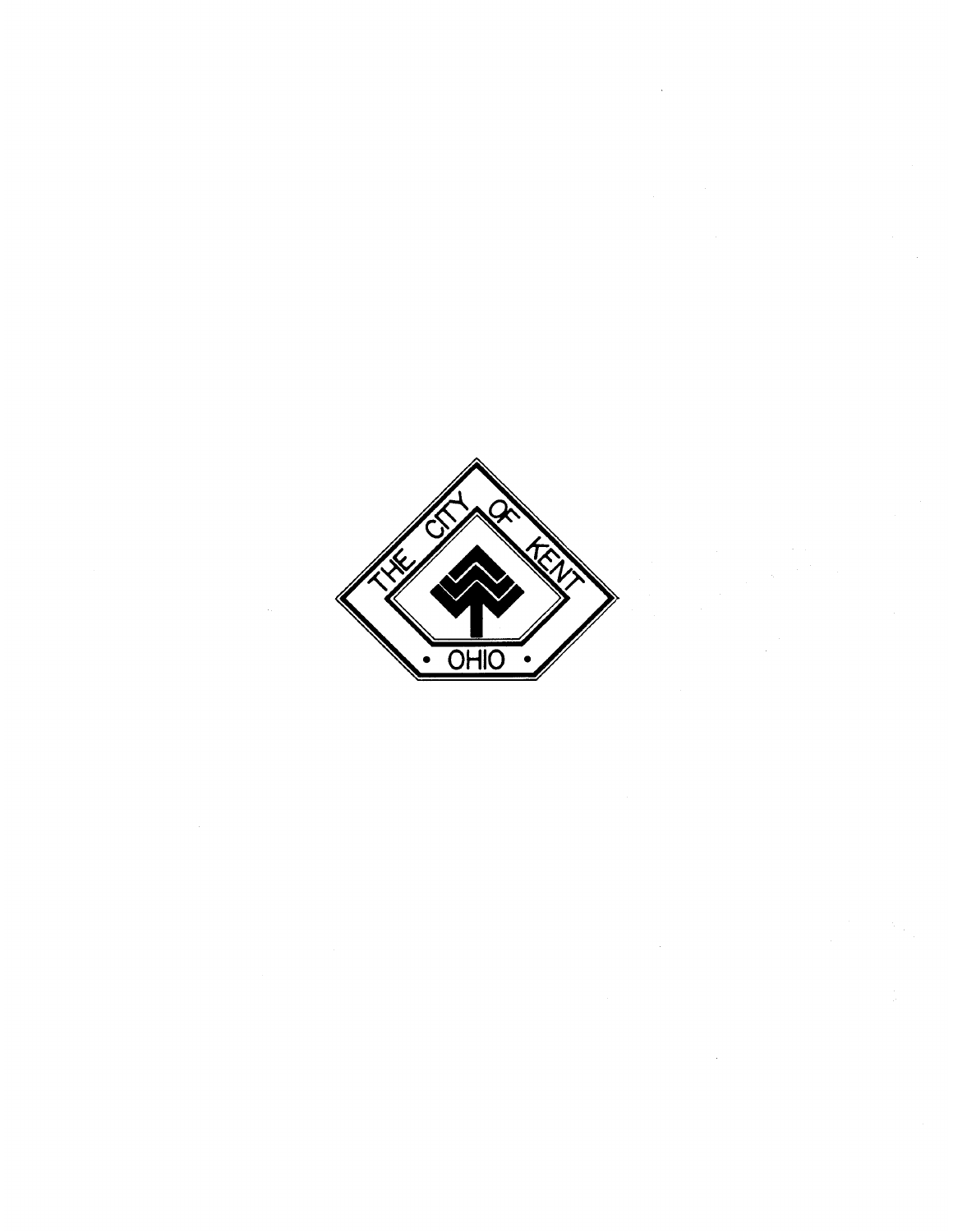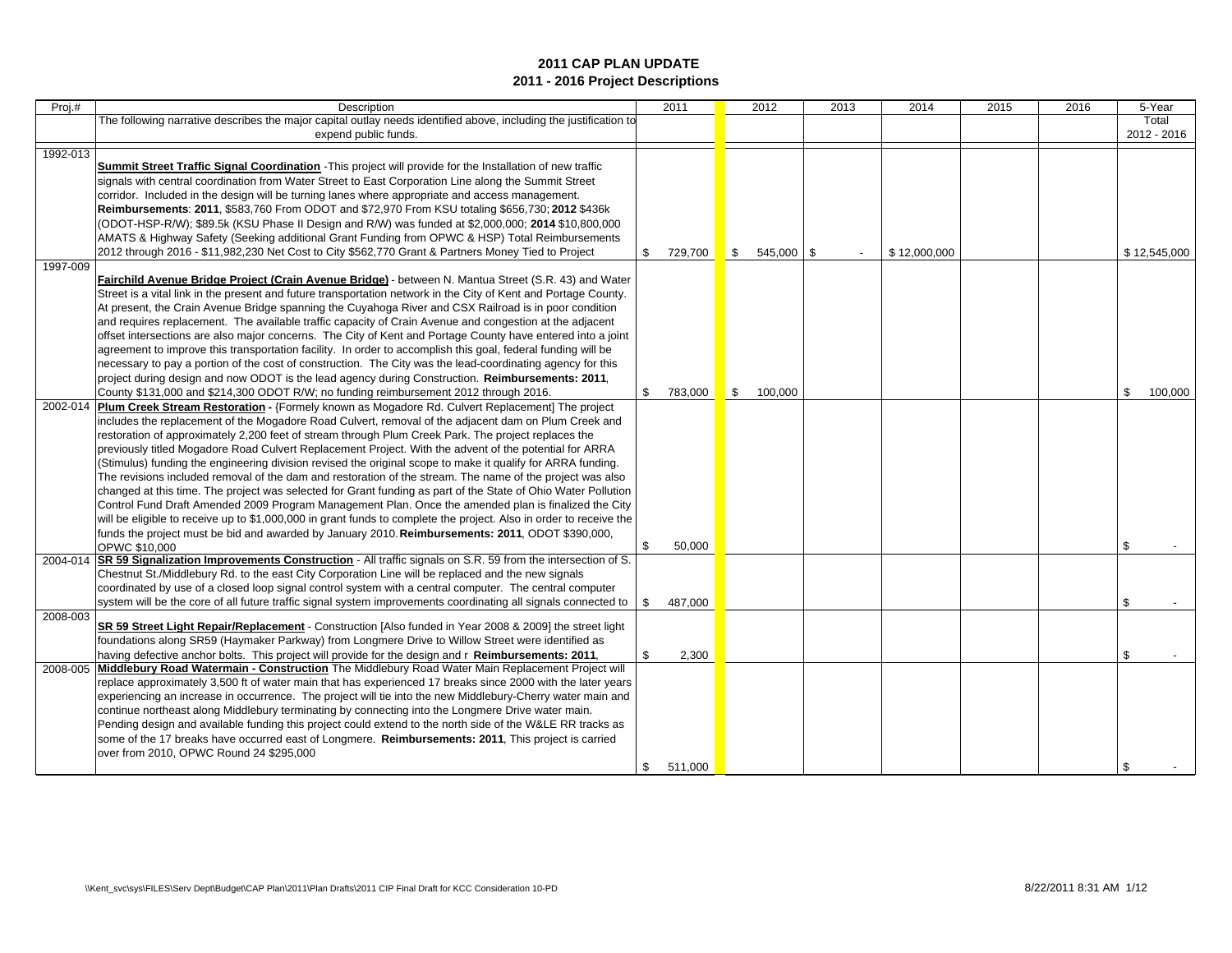| Proj.#   | Description                                                                                                        |              | 2011    | 2012                | 2013 |        | 2014         | 2015 | 2016 | 5-Year        |
|----------|--------------------------------------------------------------------------------------------------------------------|--------------|---------|---------------------|------|--------|--------------|------|------|---------------|
|          | The following narrative describes the major capital outlay needs identified above, including the justification to  |              |         |                     |      |        |              |      |      | Total         |
|          | expend public funds.                                                                                               |              |         |                     |      |        |              |      |      | 2012 - 2016   |
| 1992-013 |                                                                                                                    |              |         |                     |      |        |              |      |      |               |
|          | Summit Street Traffic Signal Coordination - This project will provide for the Installation of new traffic          |              |         |                     |      |        |              |      |      |               |
|          | signals with central coordination from Water Street to East Corporation Line along the Summit Street               |              |         |                     |      |        |              |      |      |               |
|          | corridor. Included in the design will be turning lanes where appropriate and access management.                    |              |         |                     |      |        |              |      |      |               |
|          | Reimbursements: 2011, \$583,760 From ODOT and \$72,970 From KSU totaling \$656,730; 2012 \$436k                    |              |         |                     |      |        |              |      |      |               |
|          | (ODOT-HSP-R/W); \$89.5k (KSU Phase II Design and R/W) was funded at \$2,000,000; 2014 \$10,800,000                 |              |         |                     |      |        |              |      |      |               |
|          | AMATS & Highway Safety (Seeking additional Grant Funding from OPWC & HSP) Total Reimbursements                     |              |         |                     |      |        |              |      |      |               |
|          | 2012 through 2016 - \$11,982,230 Net Cost to City \$562,770 Grant & Partners Money Tied to Project                 | $\mathbb{S}$ | 729,700 | \$<br>$545,000$ \\$ |      | $\sim$ | \$12,000,000 |      |      | \$12,545,000  |
| 1997-009 |                                                                                                                    |              |         |                     |      |        |              |      |      |               |
|          | Fairchild Avenue Bridge Project (Crain Avenue Bridge) - between N. Mantua Street (S.R. 43) and Water               |              |         |                     |      |        |              |      |      |               |
|          | Street is a vital link in the present and future transportation network in the City of Kent and Portage County.    |              |         |                     |      |        |              |      |      |               |
|          | At present, the Crain Avenue Bridge spanning the Cuyahoga River and CSX Railroad is in poor condition              |              |         |                     |      |        |              |      |      |               |
|          | and requires replacement. The available traffic capacity of Crain Avenue and congestion at the adjacent            |              |         |                     |      |        |              |      |      |               |
|          | offset intersections are also major concerns. The City of Kent and Portage County have entered into a joint        |              |         |                     |      |        |              |      |      |               |
|          | agreement to improve this transportation facility. In order to accomplish this goal, federal funding will be       |              |         |                     |      |        |              |      |      |               |
|          | necessary to pay a portion of the cost of construction. The City was the lead-coordinating agency for this         |              |         |                     |      |        |              |      |      |               |
|          | project during design and now ODOT is the lead agency during Construction. Reimbursements: 2011,                   |              |         |                     |      |        |              |      |      |               |
|          | County \$131,000 and \$214,300 ODOT R/W; no funding reimbursement 2012 through 2016.                               | \$           | 783,000 | \$<br>100,000       |      |        |              |      |      | \$<br>100,000 |
| 2002-014 | Plum Creek Stream Restoration - {Formely known as Mogadore Rd. Culvert Replacement] The project                    |              |         |                     |      |        |              |      |      |               |
|          | includes the replacement of the Mogadore Road Culvert, removal of the adjacent dam on Plum Creek and               |              |         |                     |      |        |              |      |      |               |
|          | restoration of approximately 2,200 feet of stream through Plum Creek Park. The project replaces the                |              |         |                     |      |        |              |      |      |               |
|          | previously titled Mogadore Road Culvert Replacement Project. With the advent of the potential for ARRA             |              |         |                     |      |        |              |      |      |               |
|          | (Stimulus) funding the engineering division revised the original scope to make it qualify for ARRA funding.        |              |         |                     |      |        |              |      |      |               |
|          | The revisions included removal of the dam and restoration of the stream. The name of the project was also          |              |         |                     |      |        |              |      |      |               |
|          | changed at this time. The project was selected for Grant funding as part of the State of Ohio Water Pollution      |              |         |                     |      |        |              |      |      |               |
|          | Control Fund Draft Amended 2009 Program Management Plan. Once the amended plan is finalized the City               |              |         |                     |      |        |              |      |      |               |
|          | will be eligible to receive up to \$1,000,000 in grant funds to complete the project. Also in order to receive the |              |         |                     |      |        |              |      |      |               |
|          | funds the project must be bid and awarded by January 2010. Reimbursements: 2011, ODOT \$390,000,                   |              |         |                     |      |        |              |      |      |               |
|          | OPWC \$10,000                                                                                                      | \$           | 50,000  |                     |      |        |              |      |      | \$            |
| 2004-014 | SR 59 Signalization Improvements Construction - All traffic signals on S.R. 59 from the intersection of S.         |              |         |                     |      |        |              |      |      |               |
|          | Chestnut St./Middlebury Rd. to the east City Corporation Line will be replaced and the new signals                 |              |         |                     |      |        |              |      |      |               |
|          | coordinated by use of a closed loop signal control system with a central computer. The central computer            |              |         |                     |      |        |              |      |      |               |
|          | system will be the core of all future traffic signal system improvements coordinating all signals connected to     | \$           | 487,000 |                     |      |        |              |      |      | \$            |
| 2008-003 | SR 59 Street Light Repair/Replacement - Construction [Also funded in Year 2008 & 2009] the street light            |              |         |                     |      |        |              |      |      |               |
|          | foundations along SR59 (Haymaker Parkway) from Longmere Drive to Willow Street were identified as                  |              |         |                     |      |        |              |      |      |               |
|          | having defective anchor bolts. This project will provide for the design and r Reimbursements: 2011,                | \$           | 2,300   |                     |      |        |              |      |      | \$            |
| 2008-005 | Middlebury Road Watermain - Construction The Middlebury Road Water Main Replacement Project will                   |              |         |                     |      |        |              |      |      |               |
|          | replace approximately 3,500 ft of water main that has experienced 17 breaks since 2000 with the later years        |              |         |                     |      |        |              |      |      |               |
|          | experiencing an increase in occurrence. The project will tie into the new Middlebury-Cherry water main and         |              |         |                     |      |        |              |      |      |               |
|          | continue northeast along Middlebury terminating by connecting into the Longmere Drive water main.                  |              |         |                     |      |        |              |      |      |               |
|          | Pending design and available funding this project could extend to the north side of the W&LE RR tracks as          |              |         |                     |      |        |              |      |      |               |
|          | some of the 17 breaks have occurred east of Longmere. Reimbursements: 2011, This project is carried                |              |         |                     |      |        |              |      |      |               |
|          | over from 2010, OPWC Round 24 \$295,000                                                                            |              |         |                     |      |        |              |      |      |               |
|          |                                                                                                                    | \$           | 511,000 |                     |      |        |              |      |      |               |
|          |                                                                                                                    |              |         |                     |      |        |              |      |      |               |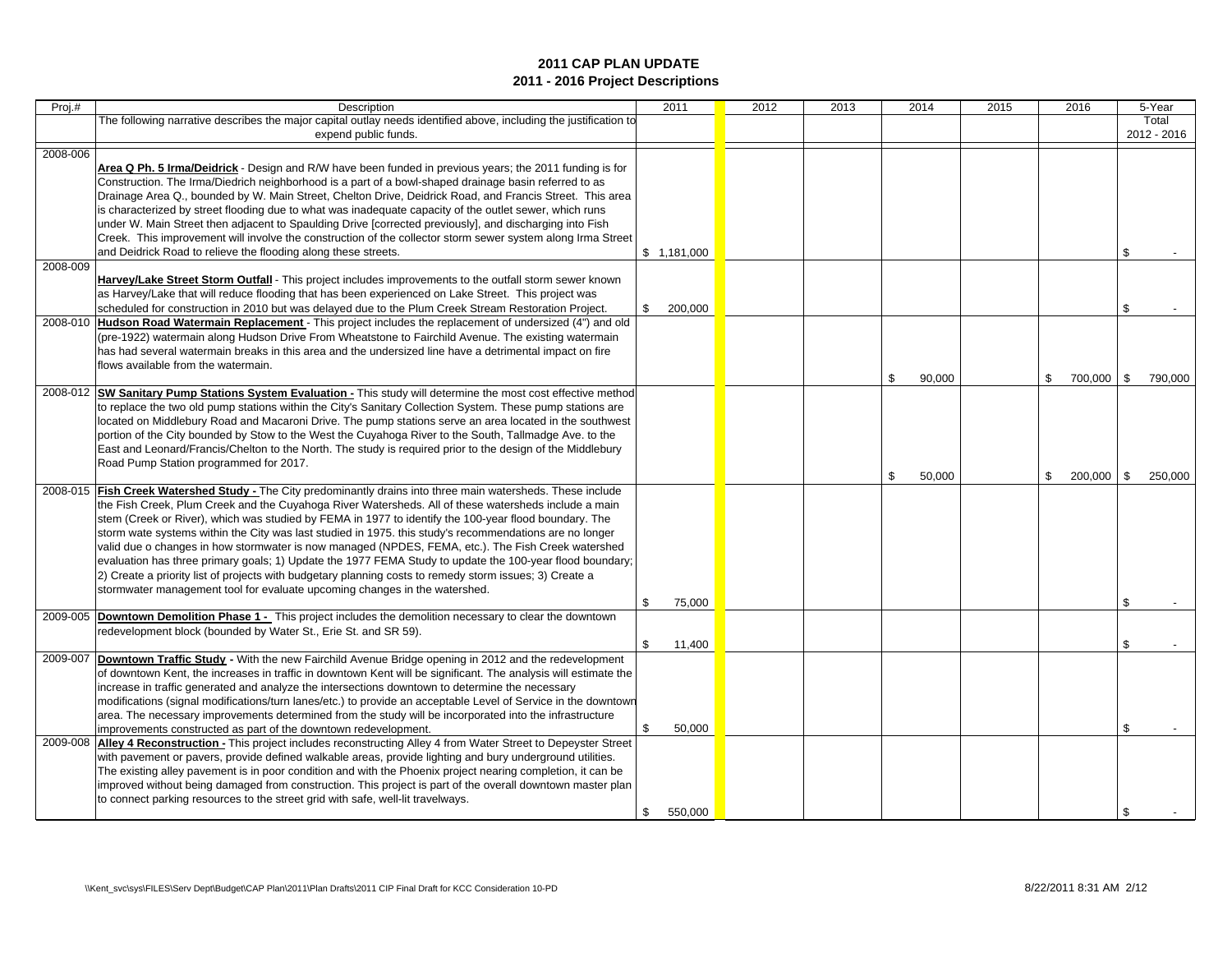| Proj.#   | Description                                                                                                       | 2011          | 2012 | 2013 | 2014         | 2015 | 2016               |      | 5-Year      |
|----------|-------------------------------------------------------------------------------------------------------------------|---------------|------|------|--------------|------|--------------------|------|-------------|
|          | The following narrative describes the major capital outlay needs identified above, including the justification to |               |      |      |              |      |                    |      | Total       |
|          |                                                                                                                   |               |      |      |              |      |                    |      |             |
|          | expend public funds.                                                                                              |               |      |      |              |      |                    |      | 2012 - 2016 |
| 2008-006 |                                                                                                                   |               |      |      |              |      |                    |      |             |
|          | Area Q Ph. 5 Irma/Deidrick - Design and R/W have been funded in previous years; the 2011 funding is for           |               |      |      |              |      |                    |      |             |
|          | Construction. The Irma/Diedrich neighborhood is a part of a bowl-shaped drainage basin referred to as             |               |      |      |              |      |                    |      |             |
|          | Drainage Area Q., bounded by W. Main Street, Chelton Drive, Deidrick Road, and Francis Street. This area          |               |      |      |              |      |                    |      |             |
|          | is characterized by street flooding due to what was inadequate capacity of the outlet sewer, which runs           |               |      |      |              |      |                    |      |             |
|          | under W. Main Street then adjacent to Spaulding Drive [corrected previously], and discharging into Fish           |               |      |      |              |      |                    |      |             |
|          | Creek. This improvement will involve the construction of the collector storm sewer system along Irma Street       |               |      |      |              |      |                    |      |             |
|          | and Deidrick Road to relieve the flooding along these streets.                                                    | \$1,181,000   |      |      |              |      |                    | \$   |             |
| 2008-009 |                                                                                                                   |               |      |      |              |      |                    |      |             |
|          | Harvey/Lake Street Storm Outfall - This project includes improvements to the outfall storm sewer known            |               |      |      |              |      |                    |      |             |
|          | as Harvey/Lake that will reduce flooding that has been experienced on Lake Street. This project was               |               |      |      |              |      |                    |      |             |
|          | scheduled for construction in 2010 but was delayed due to the Plum Creek Stream Restoration Project.              | \$<br>200,000 |      |      |              |      |                    | \$   |             |
|          | 2008-010 Hudson Road Watermain Replacement - This project includes the replacement of undersized (4") and old     |               |      |      |              |      |                    |      |             |
|          | (pre-1922) watermain along Hudson Drive From Wheatstone to Fairchild Avenue. The existing watermain               |               |      |      |              |      |                    |      |             |
|          | has had several watermain breaks in this area and the undersized line have a detrimental impact on fire           |               |      |      |              |      |                    |      |             |
|          | flows available from the watermain.                                                                               |               |      |      |              |      |                    |      |             |
|          |                                                                                                                   |               |      |      | \$<br>90,000 |      | \$<br>700,000      | l \$ | 790,000     |
|          | 2008-012 SW Sanitary Pump Stations System Evaluation - This study will determine the most cost effective method   |               |      |      |              |      |                    |      |             |
|          | to replace the two old pump stations within the City's Sanitary Collection System. These pump stations are        |               |      |      |              |      |                    |      |             |
|          | located on Middlebury Road and Macaroni Drive. The pump stations serve an area located in the southwest           |               |      |      |              |      |                    |      |             |
|          |                                                                                                                   |               |      |      |              |      |                    |      |             |
|          | portion of the City bounded by Stow to the West the Cuyahoga River to the South, Tallmadge Ave. to the            |               |      |      |              |      |                    |      |             |
|          | East and Leonard/Francis/Chelton to the North. The study is required prior to the design of the Middlebury        |               |      |      |              |      |                    |      |             |
|          | Road Pump Station programmed for 2017.                                                                            |               |      |      | \$<br>50,000 |      | \$<br>$200,000$ \$ |      |             |
|          |                                                                                                                   |               |      |      |              |      |                    |      | 250,000     |
|          | 2008-015 Fish Creek Watershed Study - The City predominantly drains into three main watersheds. These include     |               |      |      |              |      |                    |      |             |
|          | the Fish Creek, Plum Creek and the Cuyahoga River Watersheds. All of these watersheds include a main              |               |      |      |              |      |                    |      |             |
|          | stem (Creek or River), which was studied by FEMA in 1977 to identify the 100-year flood boundary. The             |               |      |      |              |      |                    |      |             |
|          | storm wate systems within the City was last studied in 1975. this study's recommendations are no longer           |               |      |      |              |      |                    |      |             |
|          | valid due o changes in how stormwater is now managed (NPDES, FEMA, etc.). The Fish Creek watershed                |               |      |      |              |      |                    |      |             |
|          | evaluation has three primary goals; 1) Update the 1977 FEMA Study to update the 100-year flood boundary;          |               |      |      |              |      |                    |      |             |
|          | 2) Create a priority list of projects with budgetary planning costs to remedy storm issues; 3) Create a           |               |      |      |              |      |                    |      |             |
|          | stormwater management tool for evaluate upcoming changes in the watershed.                                        |               |      |      |              |      |                    |      |             |
|          |                                                                                                                   | \$<br>75,000  |      |      |              |      |                    | \$   |             |
|          | 2009-005 Downtown Demolition Phase 1 - This project includes the demolition necessary to clear the downtown       |               |      |      |              |      |                    |      |             |
|          | redevelopment block (bounded by Water St., Erie St. and SR 59).                                                   |               |      |      |              |      |                    |      |             |
|          |                                                                                                                   | \$<br>11,400  |      |      |              |      |                    | \$   |             |
| 2009-007 | Downtown Traffic Study - With the new Fairchild Avenue Bridge opening in 2012 and the redevelopment               |               |      |      |              |      |                    |      |             |
|          | of downtown Kent, the increases in traffic in downtown Kent will be significant. The analysis will estimate the   |               |      |      |              |      |                    |      |             |
|          | increase in traffic generated and analyze the intersections downtown to determine the necessary                   |               |      |      |              |      |                    |      |             |
|          | modifications (signal modifications/turn lanes/etc.) to provide an acceptable Level of Service in the downtown    |               |      |      |              |      |                    |      |             |
|          | area. The necessary improvements determined from the study will be incorporated into the infrastructure           |               |      |      |              |      |                    |      |             |
|          | improvements constructed as part of the downtown redevelopment.                                                   | \$.<br>50,000 |      |      |              |      |                    | \$   |             |
| 2009-008 | Alley 4 Reconstruction - This project includes reconstructing Alley 4 from Water Street to Depeyster Street       |               |      |      |              |      |                    |      |             |
|          | with pavement or pavers, provide defined walkable areas, provide lighting and bury underground utilities.         |               |      |      |              |      |                    |      |             |
|          | The existing alley pavement is in poor condition and with the Phoenix project nearing completion, it can be       |               |      |      |              |      |                    |      |             |
|          | improved without being damaged from construction. This project is part of the overall downtown master plan        |               |      |      |              |      |                    |      |             |
|          | to connect parking resources to the street grid with safe, well-lit travelways.                                   |               |      |      |              |      |                    |      |             |
|          |                                                                                                                   | 550,000<br>\$ |      |      |              |      |                    | \$   |             |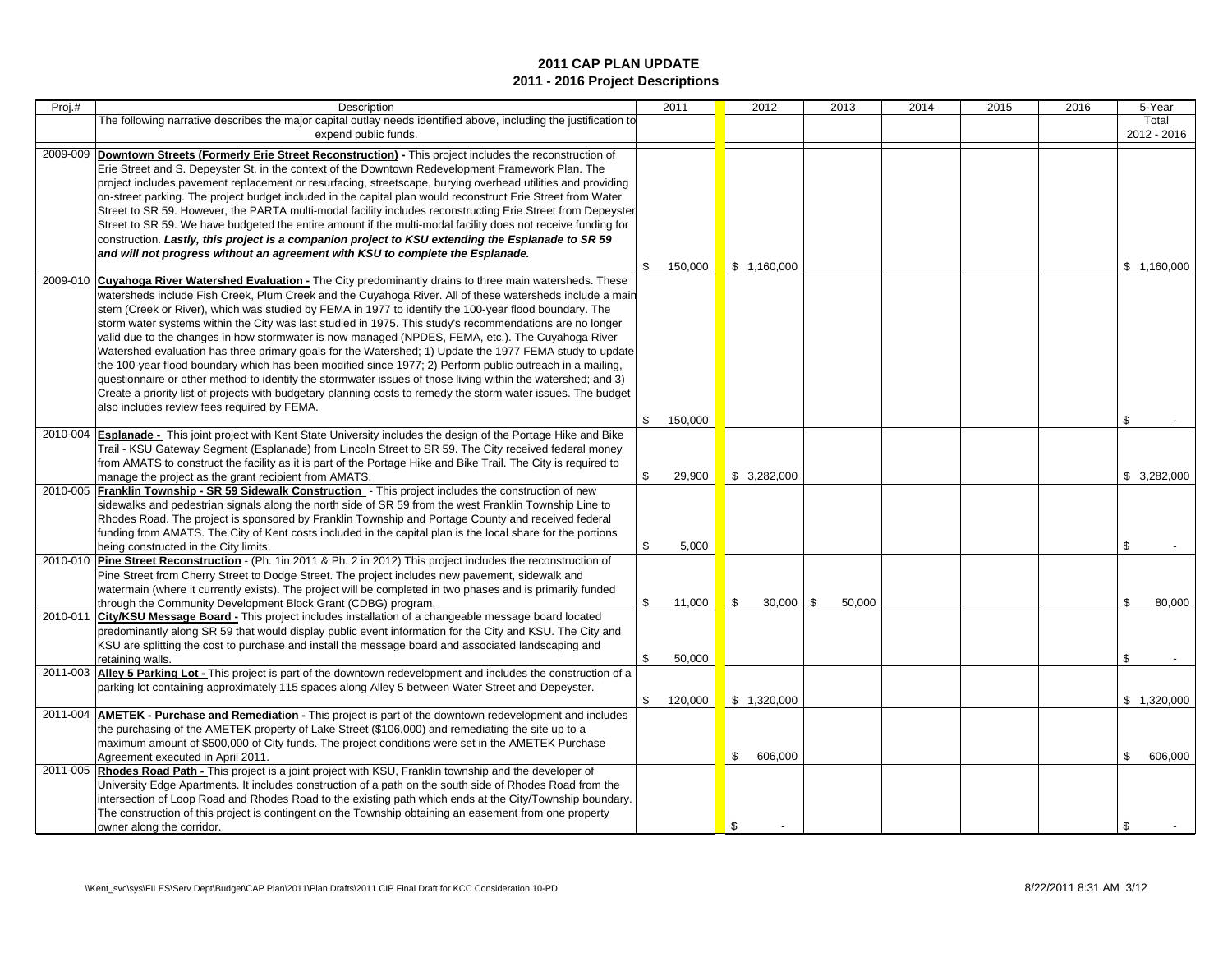| Proj. #  | Description                                                                                                          | 2011          | 2012                    | 2013   | 2014 | 2015 | 2016 | 5-Year         |
|----------|----------------------------------------------------------------------------------------------------------------------|---------------|-------------------------|--------|------|------|------|----------------|
|          |                                                                                                                      |               |                         |        |      |      |      |                |
|          | The following narrative describes the major capital outlay needs identified above, including the justification to    |               |                         |        |      |      |      | Total          |
|          | expend public funds.                                                                                                 |               |                         |        |      |      |      | 2012 - 2016    |
|          |                                                                                                                      |               |                         |        |      |      |      |                |
|          | 2009-009 Downtown Streets (Formerly Erie Street Reconstruction) - This project includes the reconstruction of        |               |                         |        |      |      |      |                |
|          | Erie Street and S. Depeyster St. in the context of the Downtown Redevelopment Framework Plan. The                    |               |                         |        |      |      |      |                |
|          | project includes pavement replacement or resurfacing, streetscape, burying overhead utilities and providing          |               |                         |        |      |      |      |                |
|          | on-street parking. The project budget included in the capital plan would reconstruct Erie Street from Water          |               |                         |        |      |      |      |                |
|          | Street to SR 59. However, the PARTA multi-modal facility includes reconstructing Erie Street from Depeyster          |               |                         |        |      |      |      |                |
|          | Street to SR 59. We have budgeted the entire amount if the multi-modal facility does not receive funding for         |               |                         |        |      |      |      |                |
|          |                                                                                                                      |               |                         |        |      |      |      |                |
|          | construction. Lastly, this project is a companion project to KSU extending the Esplanade to SR 59                    |               |                         |        |      |      |      |                |
|          | and will not progress without an agreement with KSU to complete the Esplanade.                                       |               |                         |        |      |      |      |                |
|          |                                                                                                                      | 150,000<br>\$ | \$1,160,000             |        |      |      |      | \$1,160,000    |
|          | 2009-010 Cuyahoga River Watershed Evaluation - The City predominantly drains to three main watersheds. These         |               |                         |        |      |      |      |                |
|          | watersheds include Fish Creek, Plum Creek and the Cuyahoga River. All of these watersheds include a main             |               |                         |        |      |      |      |                |
|          |                                                                                                                      |               |                         |        |      |      |      |                |
|          | stem (Creek or River), which was studied by FEMA in 1977 to identify the 100-year flood boundary. The                |               |                         |        |      |      |      |                |
|          | storm water systems within the City was last studied in 1975. This study's recommendations are no longer             |               |                         |        |      |      |      |                |
|          | valid due to the changes in how stormwater is now managed (NPDES, FEMA, etc.). The Cuyahoga River                    |               |                         |        |      |      |      |                |
|          | Watershed evaluation has three primary goals for the Watershed; 1) Update the 1977 FEMA study to update              |               |                         |        |      |      |      |                |
|          | the 100-year flood boundary which has been modified since 1977; 2) Perform public outreach in a mailing,             |               |                         |        |      |      |      |                |
|          | questionnaire or other method to identify the stormwater issues of those living within the watershed; and 3)         |               |                         |        |      |      |      |                |
|          |                                                                                                                      |               |                         |        |      |      |      |                |
|          | Create a priority list of projects with budgetary planning costs to remedy the storm water issues. The budget        |               |                         |        |      |      |      |                |
|          | also includes review fees required by FEMA.                                                                          |               |                         |        |      |      |      |                |
|          |                                                                                                                      | 150,000<br>\$ |                         |        |      |      |      | \$             |
| 2010-004 | <b>Esplanade -</b> This joint project with Kent State University includes the design of the Portage Hike and Bike    |               |                         |        |      |      |      |                |
|          | Trail - KSU Gateway Segment (Esplanade) from Lincoln Street to SR 59. The City received federal money                |               |                         |        |      |      |      |                |
|          |                                                                                                                      |               |                         |        |      |      |      |                |
|          | from AMATS to construct the facility as it is part of the Portage Hike and Bike Trail. The City is required to       |               |                         |        |      |      |      |                |
|          | \$<br>manage the project as the grant recipient from AMATS.                                                          | 29,900        | \$3,282,000             |        |      |      |      | \$ 3.282.000   |
|          | 2010-005 Franklin Township - SR 59 Sidewalk Construction - This project includes the construction of new             |               |                         |        |      |      |      |                |
|          | sidewalks and pedestrian signals along the north side of SR 59 from the west Franklin Township Line to               |               |                         |        |      |      |      |                |
|          | Rhodes Road. The project is sponsored by Franklin Township and Portage County and received federal                   |               |                         |        |      |      |      |                |
|          | funding from AMATS. The City of Kent costs included in the capital plan is the local share for the portions          |               |                         |        |      |      |      |                |
|          | \$                                                                                                                   | 5,000         |                         |        |      |      |      | \$             |
|          | being constructed in the City limits.                                                                                |               |                         |        |      |      |      |                |
| 2010-010 | Pine Street Reconstruction - (Ph. 1in 2011 & Ph. 2 in 2012) This project includes the reconstruction of              |               |                         |        |      |      |      |                |
|          | Pine Street from Cherry Street to Dodge Street. The project includes new pavement, sidewalk and                      |               |                         |        |      |      |      |                |
|          | watermain (where it currently exists). The project will be completed in two phases and is primarily funded           |               |                         |        |      |      |      |                |
|          | through the Community Development Block Grant (CDBG) program.                                                        | \$<br>11,000  | \$<br>$30,000$ \$       | 50,000 |      |      |      | \$<br>80,000   |
| 2010-011 | City/KSU Message Board - This project includes installation of a changeable message board located                    |               |                         |        |      |      |      |                |
|          |                                                                                                                      |               |                         |        |      |      |      |                |
|          | predominantly along SR 59 that would display public event information for the City and KSU. The City and             |               |                         |        |      |      |      |                |
|          | KSU are splitting the cost to purchase and install the message board and associated landscaping and                  |               |                         |        |      |      |      |                |
|          | retaining walls.                                                                                                     | \$<br>50,000  |                         |        |      |      |      | \$             |
|          | 2011-003 Alley 5 Parking Lot - This project is part of the downtown redevelopment and includes the construction of a |               |                         |        |      |      |      |                |
|          | parking lot containing approximately 115 spaces along Alley 5 between Water Street and Depeyster.                    |               |                         |        |      |      |      |                |
|          |                                                                                                                      | \$<br>120,000 | \$1,320,000             |        |      |      |      | \$1,320,000    |
|          |                                                                                                                      |               |                         |        |      |      |      |                |
| 2011-004 | <b>AMETEK - Purchase and Remediation - This project is part of the downtown redevelopment and includes</b>           |               |                         |        |      |      |      |                |
|          | the purchasing of the AMETEK property of Lake Street (\$106,000) and remediating the site up to a                    |               |                         |        |      |      |      |                |
|          | maximum amount of \$500,000 of City funds. The project conditions were set in the AMETEK Purchase                    |               |                         |        |      |      |      |                |
|          | Agreement executed in April 2011.                                                                                    |               | $\mathbb{S}$<br>606,000 |        |      |      |      | \$<br>606,000  |
|          | 2011-005 Rhodes Road Path - This project is a joint project with KSU, Franklin township and the developer of         |               |                         |        |      |      |      |                |
|          | University Edge Apartments. It includes construction of a path on the south side of Rhodes Road from the             |               |                         |        |      |      |      |                |
|          |                                                                                                                      |               |                         |        |      |      |      |                |
|          | intersection of Loop Road and Rhodes Road to the existing path which ends at the City/Township boundary.             |               |                         |        |      |      |      |                |
|          | The construction of this project is contingent on the Township obtaining an easement from one property               |               |                         |        |      |      |      |                |
|          | owner along the corridor.                                                                                            |               | \$                      |        |      |      |      | $\mathfrak{s}$ |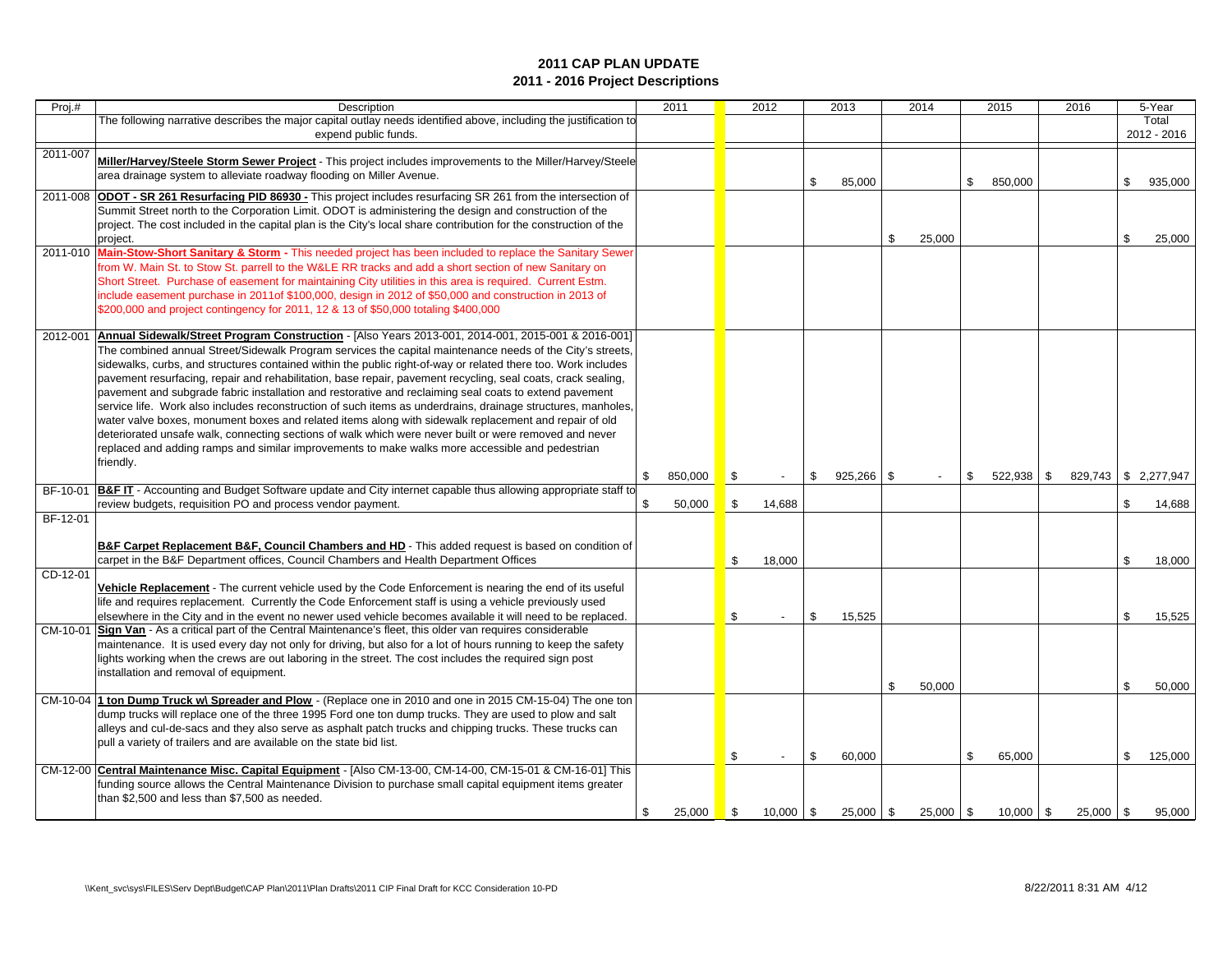| Proj #       | Description                                                                                                       | 2011          | 2012         | 2013          | 2014 |        |     | 2015    | 2016 |        |      | 5-Year                 |
|--------------|-------------------------------------------------------------------------------------------------------------------|---------------|--------------|---------------|------|--------|-----|---------|------|--------|------|------------------------|
|              | The following narrative describes the major capital outlay needs identified above, including the justification to |               |              |               |      |        |     |         |      |        |      | Total                  |
|              | expend public funds.                                                                                              |               |              |               |      |        |     |         |      |        |      | 2012 - 2016            |
|              |                                                                                                                   |               |              |               |      |        |     |         |      |        |      |                        |
| $2011 - 007$ |                                                                                                                   |               |              |               |      |        |     |         |      |        |      |                        |
|              | Miller/Harvey/Steele Storm Sewer Project - This project includes improvements to the Miller/Harvey/Steele         |               |              |               |      |        |     |         |      |        |      |                        |
|              | area drainage system to alleviate roadway flooding on Miller Avenue.                                              |               |              | \$<br>85,000  |      |        | \$  | 850,000 |      |        | \$   | 935,000                |
|              |                                                                                                                   |               |              |               |      |        |     |         |      |        |      |                        |
|              | 2011-008 ODOT - SR 261 Resurfacing PID 86930 - This project includes resurfacing SR 261 from the intersection of  |               |              |               |      |        |     |         |      |        |      |                        |
|              | Summit Street north to the Corporation Limit. ODOT is administering the design and construction of the            |               |              |               |      |        |     |         |      |        |      |                        |
|              | project. The cost included in the capital plan is the City's local share contribution for the construction of the |               |              |               |      |        |     |         |      |        |      |                        |
|              | project.                                                                                                          |               |              |               | \$   | 25,000 |     |         |      |        | \$   | 25,000                 |
|              | 2011-010 Main-Stow-Short Sanitary & Storm - This needed project has been included to replace the Sanitary Sewer   |               |              |               |      |        |     |         |      |        |      |                        |
|              |                                                                                                                   |               |              |               |      |        |     |         |      |        |      |                        |
|              | from W. Main St. to Stow St. parrell to the W&LE RR tracks and add a short section of new Sanitary on             |               |              |               |      |        |     |         |      |        |      |                        |
|              | Short Street. Purchase of easement for maintaining City utilities in this area is required. Current Estm.         |               |              |               |      |        |     |         |      |        |      |                        |
|              | include easement purchase in 2011of \$100,000, design in 2012 of \$50,000 and construction in 2013 of             |               |              |               |      |        |     |         |      |        |      |                        |
|              | \$200,000 and project contingency for 2011, 12 & 13 of \$50,000 totaling \$400,000                                |               |              |               |      |        |     |         |      |        |      |                        |
|              |                                                                                                                   |               |              |               |      |        |     |         |      |        |      |                        |
|              |                                                                                                                   |               |              |               |      |        |     |         |      |        |      |                        |
| 2012-001     | Annual Sidewalk/Street Program Construction - [Also Years 2013-001, 2014-001, 2015-001 & 2016-001]                |               |              |               |      |        |     |         |      |        |      |                        |
|              | The combined annual Street/Sidewalk Program services the capital maintenance needs of the City's streets,         |               |              |               |      |        |     |         |      |        |      |                        |
|              | sidewalks, curbs, and structures contained within the public right-of-way or related there too. Work includes     |               |              |               |      |        |     |         |      |        |      |                        |
|              | pavement resurfacing, repair and rehabilitation, base repair, pavement recycling, seal coats, crack sealing,      |               |              |               |      |        |     |         |      |        |      |                        |
|              | pavement and subgrade fabric installation and restorative and reclaiming seal coats to extend pavement            |               |              |               |      |        |     |         |      |        |      |                        |
|              |                                                                                                                   |               |              |               |      |        |     |         |      |        |      |                        |
|              | service life. Work also includes reconstruction of such items as underdrains, drainage structures, manholes,      |               |              |               |      |        |     |         |      |        |      |                        |
|              | water valve boxes, monument boxes and related items along with sidewalk replacement and repair of old             |               |              |               |      |        |     |         |      |        |      |                        |
|              | deteriorated unsafe walk, connecting sections of walk which were never built or were removed and never            |               |              |               |      |        |     |         |      |        |      |                        |
|              | replaced and adding ramps and similar improvements to make walks more accessible and pedestrian                   |               |              |               |      |        |     |         |      |        |      |                        |
|              |                                                                                                                   |               |              |               |      |        |     |         |      |        |      |                        |
|              | friendly.                                                                                                         |               |              |               |      |        |     |         |      |        |      |                        |
|              |                                                                                                                   | \$<br>850,000 | \$           | \$<br>925,266 | \$   |        | \$  | 522,938 | \$   |        |      | 829,743   \$ 2,277,947 |
| BF-10-01     | B&F IT - Accounting and Budget Software update and City internet capable thus allowing appropriate staff to       |               |              |               |      |        |     |         |      |        |      |                        |
|              | review budgets, requisition PO and process vendor payment.                                                        | \$<br>50,000  | \$<br>14,688 |               |      |        |     |         |      |        | \$   | 14,688                 |
| BF-12-01     |                                                                                                                   |               |              |               |      |        |     |         |      |        |      |                        |
|              |                                                                                                                   |               |              |               |      |        |     |         |      |        |      |                        |
|              |                                                                                                                   |               |              |               |      |        |     |         |      |        |      |                        |
|              | B&F Carpet Replacement B&F, Council Chambers and HD - This added request is based on condition of                 |               |              |               |      |        |     |         |      |        |      |                        |
|              | carpet in the B&F Department offices, Council Chambers and Health Department Offices                              |               | \$<br>18,000 |               |      |        |     |         |      |        | \$   | 18,000                 |
| CD-12-01     |                                                                                                                   |               |              |               |      |        |     |         |      |        |      |                        |
|              | Vehicle Replacement - The current vehicle used by the Code Enforcement is nearing the end of its useful           |               |              |               |      |        |     |         |      |        |      |                        |
|              | life and requires replacement. Currently the Code Enforcement staff is using a vehicle previously used            |               |              |               |      |        |     |         |      |        |      |                        |
|              |                                                                                                                   |               | \$           | \$            |      |        |     |         |      |        | \$   |                        |
|              | elsewhere in the City and in the event no newer used vehicle becomes available it will need to be replaced.       |               |              | 15.525        |      |        |     |         |      |        |      | 15,525                 |
|              | CM-10-01 Sign Van - As a critical part of the Central Maintenance's fleet, this older van requires considerable   |               |              |               |      |        |     |         |      |        |      |                        |
|              | maintenance. It is used every day not only for driving, but also for a lot of hours running to keep the safety    |               |              |               |      |        |     |         |      |        |      |                        |
|              | lights working when the crews are out laboring in the street. The cost includes the required sign post            |               |              |               |      |        |     |         |      |        |      |                        |
|              | installation and removal of equipment.                                                                            |               |              |               |      |        |     |         |      |        |      |                        |
|              |                                                                                                                   |               |              |               | \$   | 50,000 |     |         |      |        | \$   |                        |
|              |                                                                                                                   |               |              |               |      |        |     |         |      |        |      | 50,000                 |
|              | CM-10-04 1 ton Dump Truck w\ Spreader and Plow - (Replace one in 2010 and one in 2015 CM-15-04) The one ton       |               |              |               |      |        |     |         |      |        |      |                        |
|              | dump trucks will replace one of the three 1995 Ford one ton dump trucks. They are used to plow and salt           |               |              |               |      |        |     |         |      |        |      |                        |
|              | alleys and cul-de-sacs and they also serve as asphalt patch trucks and chipping trucks. These trucks can          |               |              |               |      |        |     |         |      |        |      |                        |
|              | pull a variety of trailers and are available on the state bid list.                                               |               |              |               |      |        |     |         |      |        |      |                        |
|              |                                                                                                                   |               | \$           | \$<br>60,000  |      |        | \$  | 65,000  |      |        | \$   | 125,000                |
|              |                                                                                                                   |               |              |               |      |        |     |         |      |        |      |                        |
|              | CM-12-00 Central Maintenance Misc. Capital Equipment - [Also CM-13-00, CM-14-00, CM-15-01 & CM-16-01] This        |               |              |               |      |        |     |         |      |        |      |                        |
|              | funding source allows the Central Maintenance Division to purchase small capital equipment items greater          |               |              |               |      |        |     |         |      |        |      |                        |
|              | than \$2,500 and less than \$7,500 as needed.                                                                     |               |              |               |      |        |     |         |      |        |      |                        |
|              |                                                                                                                   | \$<br>25.000  | \$<br>10.000 | \$<br>25,000  | \$.  | 25.000 | -\$ | 10,000  | -\$  | 25,000 | - \$ | 95.000                 |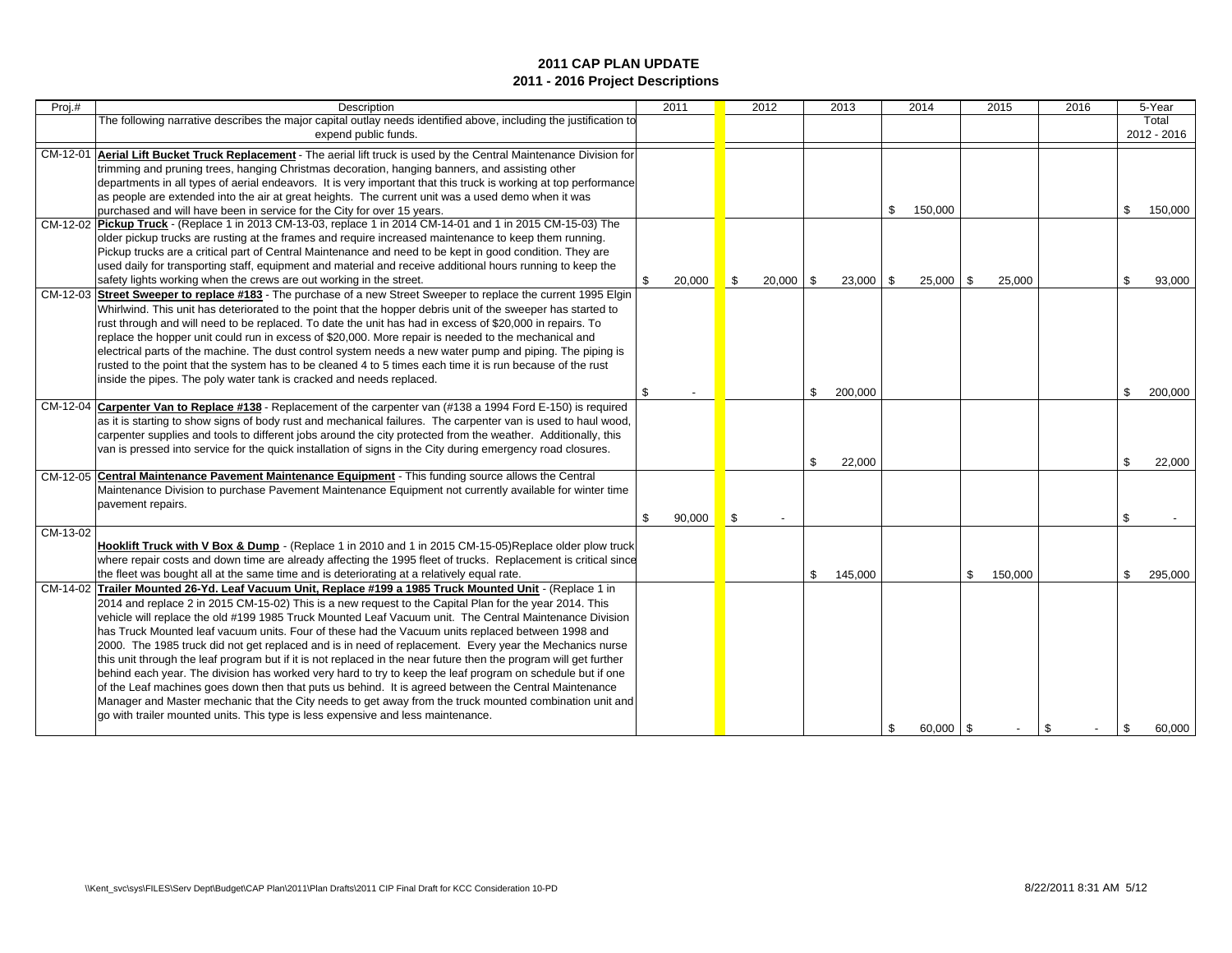| Proj.#   | Description                                                                                                                                                                            |              | 2011   | 2012              | 2013          | 2014          |        | 2015          | 2016 |              | 5-Year      |
|----------|----------------------------------------------------------------------------------------------------------------------------------------------------------------------------------------|--------------|--------|-------------------|---------------|---------------|--------|---------------|------|--------------|-------------|
|          | The following narrative describes the major capital outlay needs identified above, including the justification to                                                                      |              |        |                   |               |               |        |               |      |              | Total       |
|          | expend public funds.                                                                                                                                                                   |              |        |                   |               |               |        |               |      |              | 2012 - 2016 |
| CM-12-01 | Aerial Lift Bucket Truck Replacement - The aerial lift truck is used by the Central Maintenance Division for                                                                           |              |        |                   |               |               |        |               |      |              |             |
|          |                                                                                                                                                                                        |              |        |                   |               |               |        |               |      |              |             |
|          | trimming and pruning trees, hanging Christmas decoration, hanging banners, and assisting other                                                                                         |              |        |                   |               |               |        |               |      |              |             |
|          | departments in all types of aerial endeavors. It is very important that this truck is working at top performance                                                                       |              |        |                   |               |               |        |               |      |              |             |
|          | as people are extended into the air at great heights. The current unit was a used demo when it was                                                                                     |              |        |                   |               | 150,000<br>\$ |        |               |      | \$           | 150,000     |
|          | purchased and will have been in service for the City for over 15 years.<br>CM-12-02 Pickup Truck - (Replace 1 in 2013 CM-13-03, replace 1 in 2014 CM-14-01 and 1 in 2015 CM-15-03) The |              |        |                   |               |               |        |               |      |              |             |
|          |                                                                                                                                                                                        |              |        |                   |               |               |        |               |      |              |             |
|          | older pickup trucks are rusting at the frames and require increased maintenance to keep them running.                                                                                  |              |        |                   |               |               |        |               |      |              |             |
|          | Pickup trucks are a critical part of Central Maintenance and need to be kept in good condition. They are                                                                               |              |        |                   |               |               |        |               |      |              |             |
|          | used daily for transporting staff, equipment and material and receive additional hours running to keep the                                                                             |              |        |                   |               |               |        |               |      |              |             |
|          | safety lights working when the crews are out working in the street.                                                                                                                    | $\mathbf{s}$ | 20,000 | \$<br>$20,000$ \$ | $23,000$ \$   |               | 25,000 | \$<br>25,000  |      | \$           | 93.000      |
|          | CM-12-03 Street Sweeper to replace #183 - The purchase of a new Street Sweeper to replace the current 1995 Elgin                                                                       |              |        |                   |               |               |        |               |      |              |             |
|          | Whirlwind. This unit has deteriorated to the point that the hopper debris unit of the sweeper has started to                                                                           |              |        |                   |               |               |        |               |      |              |             |
|          | rust through and will need to be replaced. To date the unit has had in excess of \$20,000 in repairs. To                                                                               |              |        |                   |               |               |        |               |      |              |             |
|          | replace the hopper unit could run in excess of \$20,000. More repair is needed to the mechanical and                                                                                   |              |        |                   |               |               |        |               |      |              |             |
|          | electrical parts of the machine. The dust control system needs a new water pump and piping. The piping is                                                                              |              |        |                   |               |               |        |               |      |              |             |
|          | rusted to the point that the system has to be cleaned 4 to 5 times each time it is run because of the rust                                                                             |              |        |                   |               |               |        |               |      |              |             |
|          | inside the pipes. The poly water tank is cracked and needs replaced.                                                                                                                   |              |        |                   |               |               |        |               |      |              |             |
|          |                                                                                                                                                                                        | \$           |        |                   | \$<br>200,000 |               |        |               |      | $\mathbf{s}$ | 200,000     |
|          | CM-12-04 Carpenter Van to Replace #138 - Replacement of the carpenter van (#138 a 1994 Ford E-150) is required                                                                         |              |        |                   |               |               |        |               |      |              |             |
|          | as it is starting to show signs of body rust and mechanical failures. The carpenter van is used to haul wood,                                                                          |              |        |                   |               |               |        |               |      |              |             |
|          | carpenter supplies and tools to different jobs around the city protected from the weather. Additionally, this                                                                          |              |        |                   |               |               |        |               |      |              |             |
|          | van is pressed into service for the quick installation of signs in the City during emergency road closures.                                                                            |              |        |                   |               |               |        |               |      |              |             |
|          |                                                                                                                                                                                        |              |        |                   | \$<br>22,000  |               |        |               |      | \$.          | 22,000      |
|          | CM-12-05 Central Maintenance Pavement Maintenance Equipment - This funding source allows the Central                                                                                   |              |        |                   |               |               |        |               |      |              |             |
|          | Maintenance Division to purchase Pavement Maintenance Equipment not currently available for winter time                                                                                |              |        |                   |               |               |        |               |      |              |             |
|          | pavement repairs.                                                                                                                                                                      |              |        |                   |               |               |        |               |      |              |             |
|          |                                                                                                                                                                                        | \$           | 90,000 | \$                |               |               |        |               |      | Ŝ.           |             |
| CM-13-02 |                                                                                                                                                                                        |              |        |                   |               |               |        |               |      |              |             |
|          | Hooklift Truck with V Box & Dump - (Replace 1 in 2010 and 1 in 2015 CM-15-05) Replace older plow truck                                                                                 |              |        |                   |               |               |        |               |      |              |             |
|          | where repair costs and down time are already affecting the 1995 fleet of trucks. Replacement is critical since                                                                         |              |        |                   |               |               |        |               |      |              |             |
|          | the fleet was bought all at the same time and is deteriorating at a relatively equal rate.                                                                                             |              |        |                   | \$<br>145.000 |               |        | \$<br>150.000 |      | -S           | 295.000     |
|          | CM-14-02 Trailer Mounted 26-Yd. Leaf Vacuum Unit, Replace #199 a 1985 Truck Mounted Unit - (Replace 1 in                                                                               |              |        |                   |               |               |        |               |      |              |             |
|          | 2014 and replace 2 in 2015 CM-15-02) This is a new request to the Capital Plan for the year 2014. This                                                                                 |              |        |                   |               |               |        |               |      |              |             |
|          | vehicle will replace the old #199 1985 Truck Mounted Leaf Vacuum unit. The Central Maintenance Division                                                                                |              |        |                   |               |               |        |               |      |              |             |
|          | has Truck Mounted leaf vacuum units. Four of these had the Vacuum units replaced between 1998 and                                                                                      |              |        |                   |               |               |        |               |      |              |             |
|          | 2000. The 1985 truck did not get replaced and is in need of replacement. Every year the Mechanics nurse                                                                                |              |        |                   |               |               |        |               |      |              |             |
|          | this unit through the leaf program but if it is not replaced in the near future then the program will get further                                                                      |              |        |                   |               |               |        |               |      |              |             |
|          | behind each year. The division has worked very hard to try to keep the leaf program on schedule but if one                                                                             |              |        |                   |               |               |        |               |      |              |             |
|          | of the Leaf machines goes down then that puts us behind. It is agreed between the Central Maintenance                                                                                  |              |        |                   |               |               |        |               |      |              |             |
|          | Manager and Master mechanic that the City needs to get away from the truck mounted combination unit and                                                                                |              |        |                   |               |               |        |               |      |              |             |
|          | go with trailer mounted units. This type is less expensive and less maintenance.                                                                                                       |              |        |                   |               |               |        |               |      |              |             |
|          |                                                                                                                                                                                        |              |        |                   |               | \$            | 60.000 | \$.           | \$.  |              | 60.000      |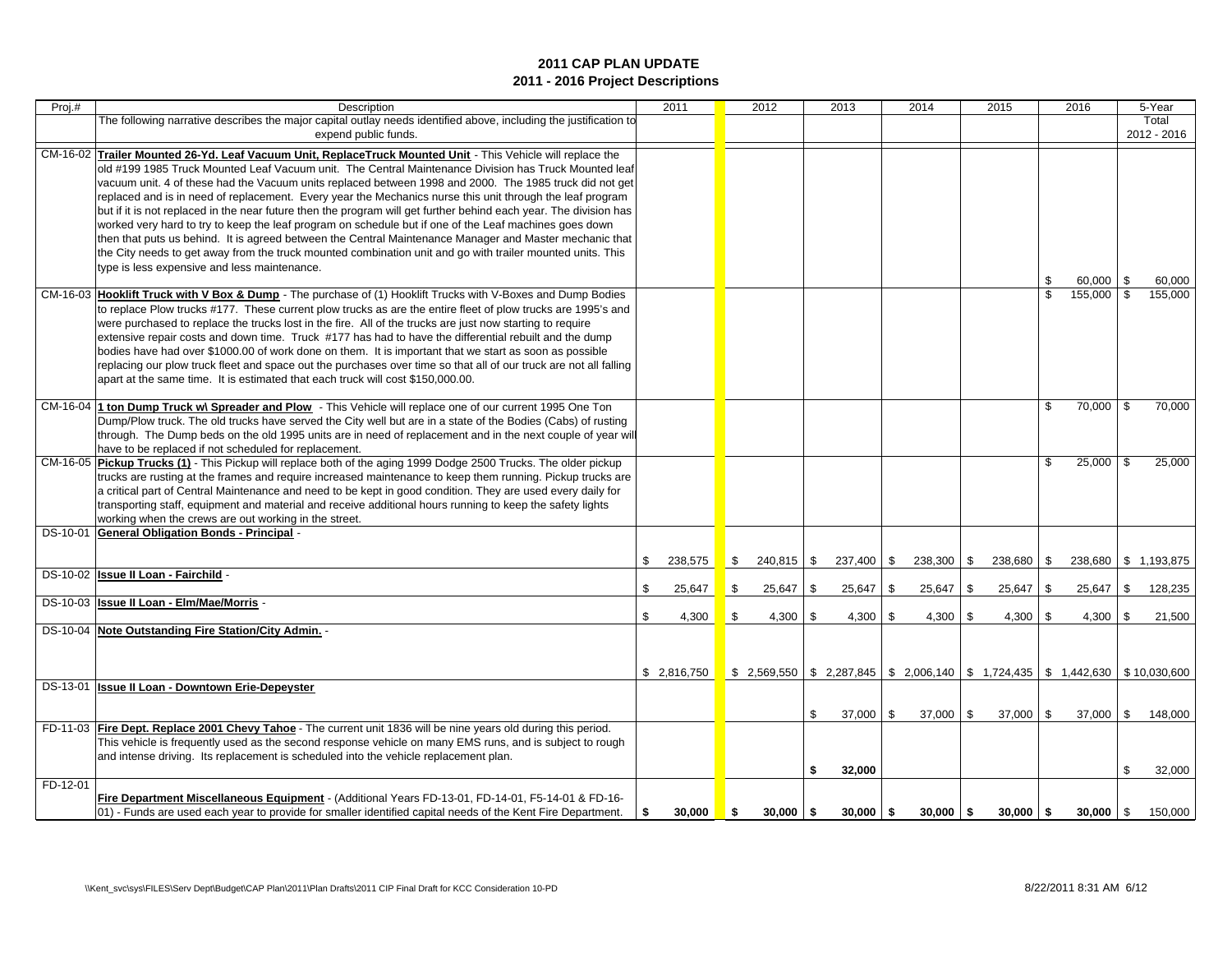| Proj.#   | Description                                                                                                       | 2011           |     | 2012         | 2013         |    | 2014                | 2015                                                                                                          |      | 2016          |      | 5-Year                 |
|----------|-------------------------------------------------------------------------------------------------------------------|----------------|-----|--------------|--------------|----|---------------------|---------------------------------------------------------------------------------------------------------------|------|---------------|------|------------------------|
|          | The following narrative describes the major capital outlay needs identified above, including the justification to |                |     |              |              |    |                     |                                                                                                               |      |               |      | Total                  |
|          | expend public funds.                                                                                              |                |     |              |              |    |                     |                                                                                                               |      |               |      | 2012 - 2016            |
|          |                                                                                                                   |                |     |              |              |    |                     |                                                                                                               |      |               |      |                        |
|          | CM-16-02 Trailer Mounted 26-Yd. Leaf Vacuum Unit, ReplaceTruck Mounted Unit - This Vehicle will replace the       |                |     |              |              |    |                     |                                                                                                               |      |               |      |                        |
|          | old #199 1985 Truck Mounted Leaf Vacuum unit. The Central Maintenance Division has Truck Mounted leaf             |                |     |              |              |    |                     |                                                                                                               |      |               |      |                        |
|          | vacuum unit. 4 of these had the Vacuum units replaced between 1998 and 2000. The 1985 truck did not get           |                |     |              |              |    |                     |                                                                                                               |      |               |      |                        |
|          | replaced and is in need of replacement. Every year the Mechanics nurse this unit through the leaf program         |                |     |              |              |    |                     |                                                                                                               |      |               |      |                        |
|          | but if it is not replaced in the near future then the program will get further behind each year. The division has |                |     |              |              |    |                     |                                                                                                               |      |               |      |                        |
|          | worked very hard to try to keep the leaf program on schedule but if one of the Leaf machines goes down            |                |     |              |              |    |                     |                                                                                                               |      |               |      |                        |
|          | then that puts us behind. It is agreed between the Central Maintenance Manager and Master mechanic that           |                |     |              |              |    |                     |                                                                                                               |      |               |      |                        |
|          | the City needs to get away from the truck mounted combination unit and go with trailer mounted units. This        |                |     |              |              |    |                     |                                                                                                               |      |               |      |                        |
|          | type is less expensive and less maintenance.                                                                      |                |     |              |              |    |                     |                                                                                                               |      |               |      |                        |
|          |                                                                                                                   |                |     |              |              |    |                     |                                                                                                               | \$   | 60,000        | - \$ | 60,000                 |
|          | CM-16-03 Hooklift Truck with V Box & Dump - The purchase of (1) Hooklift Trucks with V-Boxes and Dump Bodies      |                |     |              |              |    |                     |                                                                                                               | \$   | 155,000       | - \$ | 155,000                |
|          | to replace Plow trucks #177. These current plow trucks as are the entire fleet of plow trucks are 1995's and      |                |     |              |              |    |                     |                                                                                                               |      |               |      |                        |
|          | were purchased to replace the trucks lost in the fire. All of the trucks are just now starting to require         |                |     |              |              |    |                     |                                                                                                               |      |               |      |                        |
|          | extensive repair costs and down time. Truck #177 has had to have the differential rebuilt and the dump            |                |     |              |              |    |                     |                                                                                                               |      |               |      |                        |
|          | bodies have had over \$1000.00 of work done on them. It is important that we start as soon as possible            |                |     |              |              |    |                     |                                                                                                               |      |               |      |                        |
|          | replacing our plow truck fleet and space out the purchases over time so that all of our truck are not all falling |                |     |              |              |    |                     |                                                                                                               |      |               |      |                        |
|          | apart at the same time. It is estimated that each truck will cost \$150,000.00.                                   |                |     |              |              |    |                     |                                                                                                               |      |               |      |                        |
|          |                                                                                                                   |                |     |              |              |    |                     |                                                                                                               |      |               |      |                        |
|          | CM-16-04 1 ton Dump Truck w\ Spreader and Plow - This Vehicle will replace one of our current 1995 One Ton        |                |     |              |              |    |                     |                                                                                                               | \$   | $70,000$ \$   |      | 70,000                 |
|          | Dump/Plow truck. The old trucks have served the City well but are in a state of the Bodies (Cabs) of rusting      |                |     |              |              |    |                     |                                                                                                               |      |               |      |                        |
|          | through. The Dump beds on the old 1995 units are in need of replacement and in the next couple of year will       |                |     |              |              |    |                     |                                                                                                               |      |               |      |                        |
|          | have to be replaced if not scheduled for replacement.                                                             |                |     |              |              |    |                     |                                                                                                               |      |               |      |                        |
|          | CM-16-05 Pickup Trucks (1) - This Pickup will replace both of the aging 1999 Dodge 2500 Trucks. The older pickup  |                |     |              |              |    |                     |                                                                                                               | \$   | 25,000        | - \$ | 25,000                 |
|          | trucks are rusting at the frames and require increased maintenance to keep them running. Pickup trucks are        |                |     |              |              |    |                     |                                                                                                               |      |               |      |                        |
|          | a critical part of Central Maintenance and need to be kept in good condition. They are used every daily for       |                |     |              |              |    |                     |                                                                                                               |      |               |      |                        |
|          | transporting staff, equipment and material and receive additional hours running to keep the safety lights         |                |     |              |              |    |                     |                                                                                                               |      |               |      |                        |
|          | working when the crews are out working in the street.                                                             |                |     |              |              |    |                     |                                                                                                               |      |               |      |                        |
|          | DS-10-01 General Obligation Bonds - Principal -                                                                   |                |     |              |              |    |                     |                                                                                                               |      |               |      |                        |
|          |                                                                                                                   |                |     |              |              |    |                     |                                                                                                               |      |               |      |                        |
|          |                                                                                                                   | \$<br>238,575  | \$  | $240,815$ \$ | $237,400$ \$ |    | $238,300$ \$        | 238,680 \$                                                                                                    |      |               |      | 238,680   \$ 1,193,875 |
|          | DS-10-02 Issue II Loan - Fairchild -                                                                              |                |     |              |              |    |                     |                                                                                                               |      |               |      |                        |
|          |                                                                                                                   | \$<br>25,647   | \$  | $25,647$ \$  | $25,647$ \$  |    | $25,647$ \$         | 25,647                                                                                                        | \$   | 25,647        | - \$ | 128,235                |
|          | DS-10-03 Issue II Loan - Elm/Mae/Morris -                                                                         | \$             |     |              |              |    |                     |                                                                                                               | - \$ |               | - \$ |                        |
|          |                                                                                                                   | 4,300          | \$  | $4,300$ \$   | $4,300$ \$   |    | $4,300$ \$          | 4,300                                                                                                         |      | 4,300         |      | 21,500                 |
|          | DS-10-04 Note Outstanding Fire Station/City Admin. -                                                              |                |     |              |              |    |                     |                                                                                                               |      |               |      |                        |
|          |                                                                                                                   |                |     |              |              |    |                     |                                                                                                               |      |               |      |                        |
|          |                                                                                                                   | \$ 2,816,750   |     |              |              |    |                     | $\frac{1}{2}$ 2,569,550 \ \ \$ 2,287,845 \ \ \$ 2,006,140 \ \ \$ 1,724,435 \ \ \$ 1,442,630 \ \ \$ 10,030,600 |      |               |      |                        |
|          | DS-13-01 Issue II Loan - Downtown Erie-Depeyster                                                                  |                |     |              |              |    |                     |                                                                                                               |      |               |      |                        |
|          |                                                                                                                   |                |     |              |              |    |                     |                                                                                                               |      |               |      |                        |
|          |                                                                                                                   |                |     |              | \$<br>37,000 | \$ | $37,000$ \$         | $37,000$ \$                                                                                                   |      | $37,000$ \$   |      | 148,000                |
|          | FD-11-03 Fire Dept. Replace 2001 Chevy Tahoe - The current unit 1836 will be nine years old during this period.   |                |     |              |              |    |                     |                                                                                                               |      |               |      |                        |
|          | This vehicle is frequently used as the second response vehicle on many EMS runs, and is subject to rough          |                |     |              |              |    |                     |                                                                                                               |      |               |      |                        |
|          | and intense driving. Its replacement is scheduled into the vehicle replacement plan.                              |                |     |              |              |    |                     |                                                                                                               |      |               |      |                        |
|          |                                                                                                                   |                |     |              | \$<br>32,000 |    |                     |                                                                                                               |      |               | \$   | 32,000                 |
| FD-12-01 |                                                                                                                   |                |     |              |              |    |                     |                                                                                                               |      |               |      |                        |
|          | Fire Department Miscellaneous Equipment - (Additional Years FD-13-01, FD-14-01, F5-14-01 & FD-16-                 |                |     |              |              |    |                     |                                                                                                               |      |               |      |                        |
|          | 01) - Funds are used each year to provide for smaller identified capital needs of the Kent Fire Department.       | - \$<br>30.000 | ∎ s | $30,000$ \$  | 30,000       | -S | $30.000$ $\sqrt{5}$ | $30,000$ \$                                                                                                   |      | $30,000$ \ \$ |      | 150,000                |
|          |                                                                                                                   |                |     |              |              |    |                     |                                                                                                               |      |               |      |                        |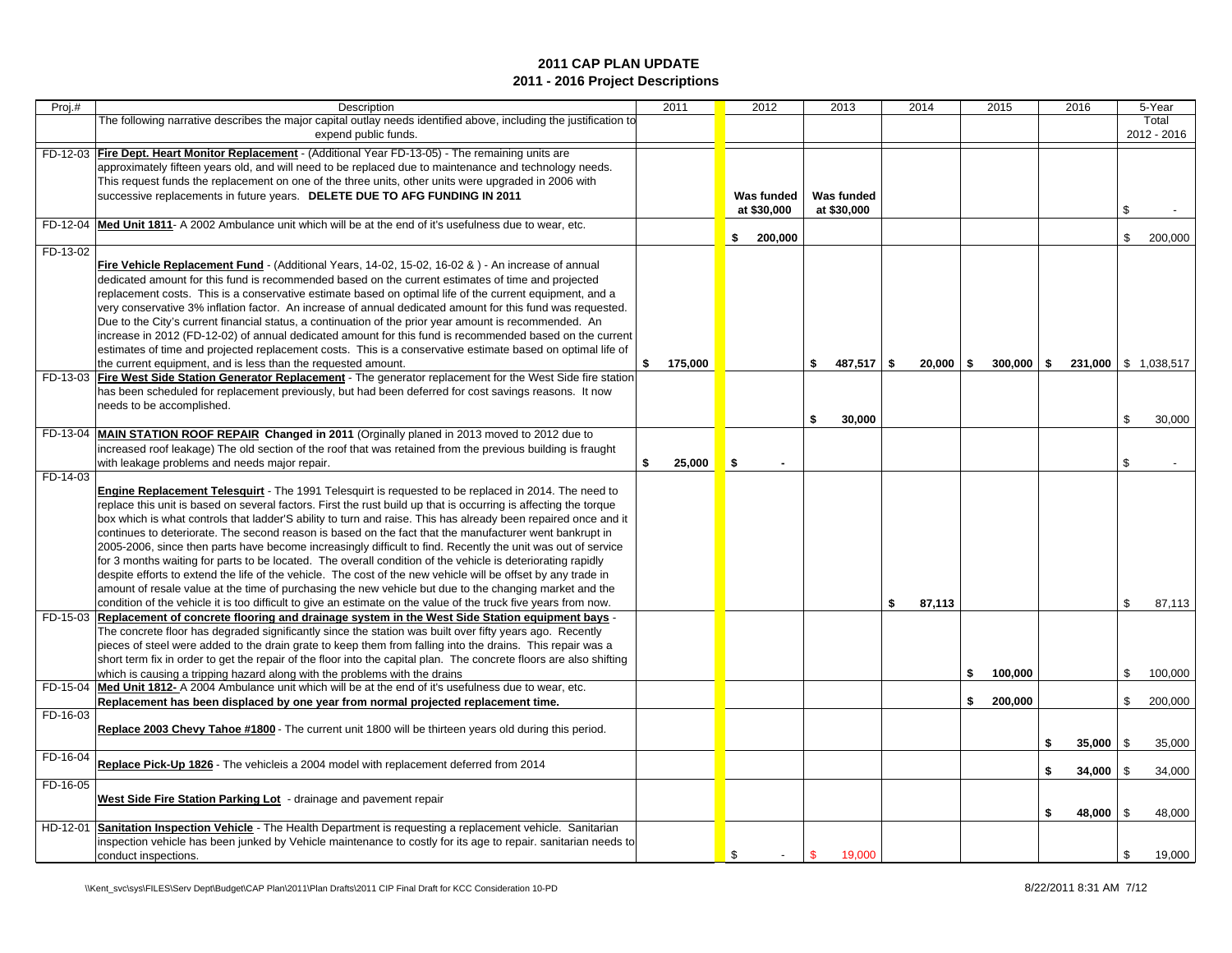| Proj.#                 | Description                                                                                                         | 2011          | 2012          | 2013               | 2014         | 2015          | 2016              |    | 5-Year                 |
|------------------------|---------------------------------------------------------------------------------------------------------------------|---------------|---------------|--------------------|--------------|---------------|-------------------|----|------------------------|
|                        | The following narrative describes the major capital outlay needs identified above, including the justification to   |               |               |                    |              |               |                   |    | Total                  |
|                        | expend public funds.                                                                                                |               |               |                    |              |               |                   |    | 2012 - 2016            |
|                        | FD-12-03 Fire Dept. Heart Monitor Replacement - (Additional Year FD-13-05) - The remaining units are                |               |               |                    |              |               |                   |    |                        |
|                        |                                                                                                                     |               |               |                    |              |               |                   |    |                        |
|                        | approximately fifteen years old, and will need to be replaced due to maintenance and technology needs.              |               |               |                    |              |               |                   |    |                        |
|                        | This request funds the replacement on one of the three units, other units were upgraded in 2006 with                |               |               |                    |              |               |                   |    |                        |
|                        | successive replacements in future years. DELETE DUE TO AFG FUNDING IN 2011                                          |               | Was funded    | Was funded         |              |               |                   |    |                        |
|                        |                                                                                                                     |               | at \$30,000   | at \$30,000        |              |               |                   | \$ |                        |
|                        | FD-12-04  Med Unit 1811- A 2002 Ambulance unit which will be at the end of it's usefulness due to wear, etc.        |               |               |                    |              |               |                   |    |                        |
|                        |                                                                                                                     |               | 200,000<br>\$ |                    |              |               |                   | \$ | 200,000                |
| FD-13-02               |                                                                                                                     |               |               |                    |              |               |                   |    |                        |
|                        | Fire Vehicle Replacement Fund - (Additional Years, 14-02, 15-02, 16-02 & ) - An increase of annual                  |               |               |                    |              |               |                   |    |                        |
|                        | dedicated amount for this fund is recommended based on the current estimates of time and projected                  |               |               |                    |              |               |                   |    |                        |
|                        |                                                                                                                     |               |               |                    |              |               |                   |    |                        |
|                        | replacement costs. This is a conservative estimate based on optimal life of the current equipment, and a            |               |               |                    |              |               |                   |    |                        |
|                        | very conservative 3% inflation factor. An increase of annual dedicated amount for this fund was requested.          |               |               |                    |              |               |                   |    |                        |
|                        | Due to the City's current financial status, a continuation of the prior year amount is recommended. An              |               |               |                    |              |               |                   |    |                        |
|                        | increase in 2012 (FD-12-02) of annual dedicated amount for this fund is recommended based on the current            |               |               |                    |              |               |                   |    |                        |
|                        | estimates of time and projected replacement costs. This is a conservative estimate based on optimal life of         |               |               |                    |              |               |                   |    |                        |
|                        | the current equipment, and is less than the requested amount.                                                       | \$<br>175,000 |               | 487,517 \$<br>\$   | $20,000$ \$  | $300,000$ \$  |                   |    | $231,000$ \$ 1,038,517 |
|                        | FD-13-03 Fire West Side Station Generator Replacement - The generator replacement for the West Side fire station    |               |               |                    |              |               |                   |    |                        |
|                        | has been scheduled for replacement previously, but had been deferred for cost savings reasons. It now               |               |               |                    |              |               |                   |    |                        |
|                        | needs to be accomplished.                                                                                           |               |               |                    |              |               |                   |    |                        |
|                        |                                                                                                                     |               |               | \$                 |              |               |                   | \$ |                        |
|                        |                                                                                                                     |               |               | 30,000             |              |               |                   |    | 30,000                 |
|                        | FD-13-04 MAIN STATION ROOF REPAIR Changed in 2011 (Orginally planed in 2013 moved to 2012 due to                    |               |               |                    |              |               |                   |    |                        |
|                        | increased roof leakage) The old section of the roof that was retained from the previous building is fraught         |               |               |                    |              |               |                   |    |                        |
|                        | with leakage problems and needs major repair.                                                                       | \$<br>25,000  | -\$           |                    |              |               |                   | \$ |                        |
| FD-14-03               |                                                                                                                     |               |               |                    |              |               |                   |    |                        |
|                        | Engine Replacement Telesquirt - The 1991 Telesquirt is requested to be replaced in 2014. The need to                |               |               |                    |              |               |                   |    |                        |
|                        | replace this unit is based on several factors. First the rust build up that is occurring is affecting the torque    |               |               |                    |              |               |                   |    |                        |
|                        | box which is what controls that ladder'S ability to turn and raise. This has already been repaired once and it      |               |               |                    |              |               |                   |    |                        |
|                        | continues to deteriorate. The second reason is based on the fact that the manufacturer went bankrupt in             |               |               |                    |              |               |                   |    |                        |
|                        | 2005-2006, since then parts have become increasingly difficult to find. Recently the unit was out of service        |               |               |                    |              |               |                   |    |                        |
|                        | for 3 months waiting for parts to be located. The overall condition of the vehicle is deteriorating rapidly         |               |               |                    |              |               |                   |    |                        |
|                        |                                                                                                                     |               |               |                    |              |               |                   |    |                        |
|                        | despite efforts to extend the life of the vehicle. The cost of the new vehicle will be offset by any trade in       |               |               |                    |              |               |                   |    |                        |
|                        | amount of resale value at the time of purchasing the new vehicle but due to the changing market and the             |               |               |                    |              |               |                   |    |                        |
|                        | condition of the vehicle it is too difficult to give an estimate on the value of the truck five years from now.     |               |               |                    | \$<br>87,113 |               |                   | \$ | 87,113                 |
|                        | FD-15-03 Replacement of concrete flooring and drainage system in the West Side Station equipment bays -             |               |               |                    |              |               |                   |    |                        |
|                        | The concrete floor has degraded significantly since the station was built over fifty years ago. Recently            |               |               |                    |              |               |                   |    |                        |
|                        | pieces of steel were added to the drain grate to keep them from falling into the drains. This repair was a          |               |               |                    |              |               |                   |    |                        |
|                        | short term fix in order to get the repair of the floor into the capital plan. The concrete floors are also shifting |               |               |                    |              |               |                   |    |                        |
|                        | which is causing a tripping hazard along with the problems with the drains                                          |               |               |                    |              | \$<br>100.000 |                   | \$ | 100,000                |
|                        | FD-15-04   Med Unit 1812- A 2004 Ambulance unit which will be at the end of it's usefulness due to wear, etc.       |               |               |                    |              |               |                   |    |                        |
|                        | Replacement has been displaced by one year from normal projected replacement time.                                  |               |               |                    |              | \$<br>200,000 |                   | \$ | 200,000                |
| FD-16-03               |                                                                                                                     |               |               |                    |              |               |                   |    |                        |
|                        | Replace 2003 Chevy Tahoe #1800 - The current unit 1800 will be thirteen years old during this period.               |               |               |                    |              |               |                   |    |                        |
|                        |                                                                                                                     |               |               |                    |              |               | \$<br>$35,000$ \$ |    | 35,000                 |
| FD-16-04               |                                                                                                                     |               |               |                    |              |               |                   |    |                        |
|                        | Replace Pick-Up 1826 - The vehicleis a 2004 model with replacement deferred from 2014                               |               |               |                    |              |               |                   |    |                        |
|                        |                                                                                                                     |               |               |                    |              |               | \$<br>34,000      | \$ | 34,000                 |
| $\overline{FD-1}$ 6-05 |                                                                                                                     |               |               |                    |              |               |                   |    |                        |
|                        | West Side Fire Station Parking Lot - drainage and pavement repair                                                   |               |               |                    |              |               |                   |    |                        |
|                        |                                                                                                                     |               |               |                    |              |               | \$<br>48,000      | \$ | 48,000                 |
|                        | HD-12-01 Sanitation Inspection Vehicle - The Health Department is requesting a replacement vehicle. Sanitarian      |               |               |                    |              |               |                   |    |                        |
|                        | inspection vehicle has been junked by Vehicle maintenance to costly for its age to repair. sanitarian needs to      |               |               |                    |              |               |                   |    |                        |
|                        | conduct inspections.                                                                                                |               | \$            | <b>S</b><br>19.000 |              |               |                   | \$ | 19,000                 |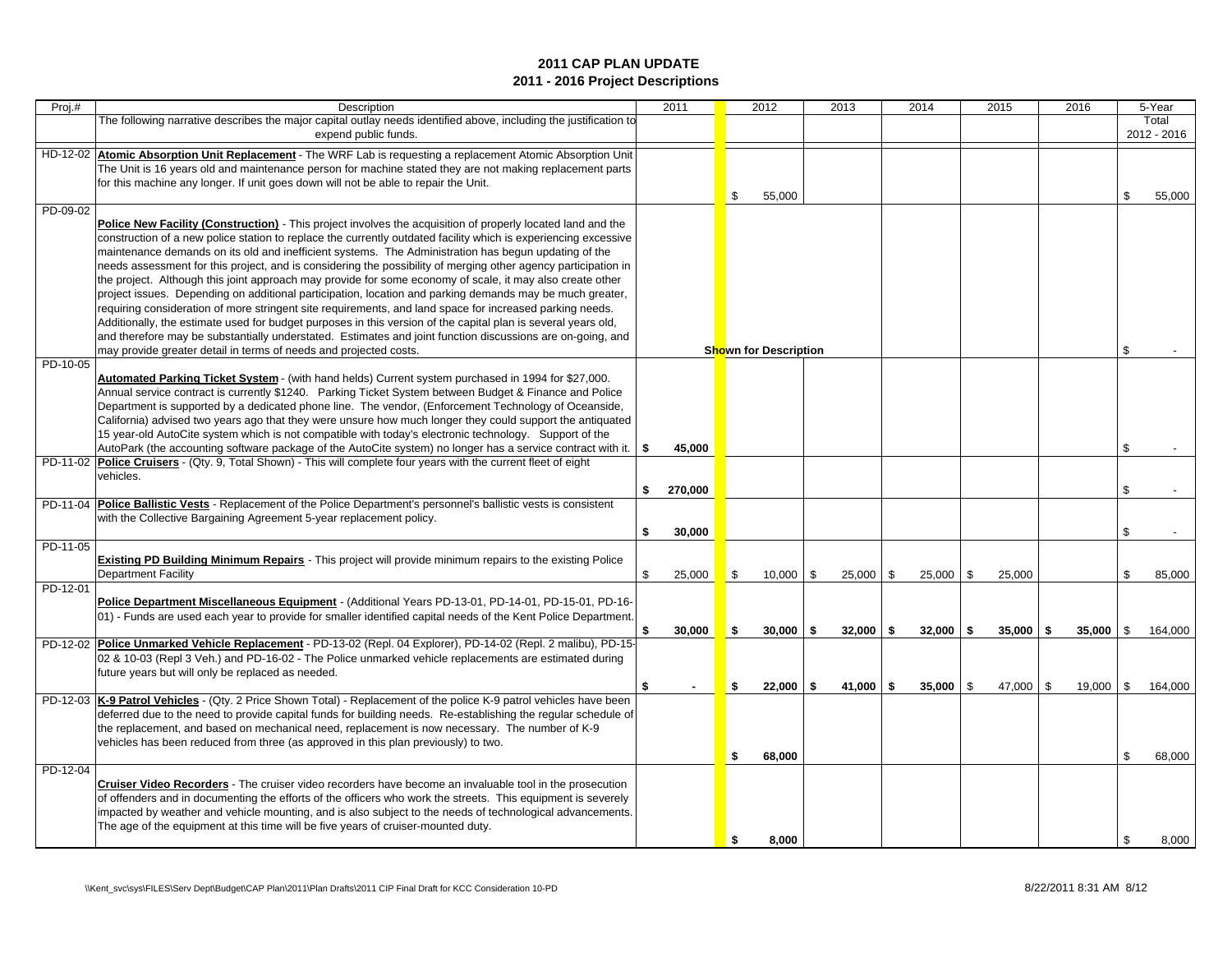| Proj.#   | Description                                                                                                         | 2011    |    | 2012                  | 2013        | 2014        | 2015         |     | 2016   |      | 5-Year      |
|----------|---------------------------------------------------------------------------------------------------------------------|---------|----|-----------------------|-------------|-------------|--------------|-----|--------|------|-------------|
|          | The following narrative describes the major capital outlay needs identified above, including the justification to   |         |    |                       |             |             |              |     |        |      | Total       |
|          | expend public funds.                                                                                                |         |    |                       |             |             |              |     |        |      | 2012 - 2016 |
|          |                                                                                                                     |         |    |                       |             |             |              |     |        |      |             |
|          | HD-12-02 Atomic Absorption Unit Replacement - The WRF Lab is requesting a replacement Atomic Absorption Unit        |         |    |                       |             |             |              |     |        |      |             |
|          | The Unit is 16 years old and maintenance person for machine stated they are not making replacement parts            |         |    |                       |             |             |              |     |        |      |             |
|          | for this machine any longer. If unit goes down will not be able to repair the Unit.                                 |         |    |                       |             |             |              |     |        |      |             |
|          |                                                                                                                     |         | \$ | 55,000                |             |             |              |     |        | \$   | 55.000      |
| PD-09-02 |                                                                                                                     |         |    |                       |             |             |              |     |        |      |             |
|          | <b>Police New Facility (Construction)</b> - This project involves the acquisition of properly located land and the  |         |    |                       |             |             |              |     |        |      |             |
|          | construction of a new police station to replace the currently outdated facility which is experiencing excessive     |         |    |                       |             |             |              |     |        |      |             |
|          | maintenance demands on its old and inefficient systems. The Administration has begun updating of the                |         |    |                       |             |             |              |     |        |      |             |
|          | needs assessment for this project, and is considering the possibility of merging other agency participation in      |         |    |                       |             |             |              |     |        |      |             |
|          | the project. Although this joint approach may provide for some economy of scale, it may also create other           |         |    |                       |             |             |              |     |        |      |             |
|          | project issues. Depending on additional participation, location and parking demands may be much greater,            |         |    |                       |             |             |              |     |        |      |             |
|          | requiring consideration of more stringent site requirements, and land space for increased parking needs.            |         |    |                       |             |             |              |     |        |      |             |
|          | Additionally, the estimate used for budget purposes in this version of the capital plan is several years old,       |         |    |                       |             |             |              |     |        |      |             |
|          |                                                                                                                     |         |    |                       |             |             |              |     |        |      |             |
|          | and therefore may be substantially understated. Estimates and joint function discussions are on-going, and          |         |    |                       |             |             |              |     |        |      |             |
|          | may provide greater detail in terms of needs and projected costs.                                                   |         |    | Shown for Description |             |             |              |     |        | \$   |             |
| PD-10-05 |                                                                                                                     |         |    |                       |             |             |              |     |        |      |             |
|          | Automated Parking Ticket System - (with hand helds) Current system purchased in 1994 for \$27,000.                  |         |    |                       |             |             |              |     |        |      |             |
|          | Annual service contract is currently \$1240. Parking Ticket System between Budget & Finance and Police              |         |    |                       |             |             |              |     |        |      |             |
|          | Department is supported by a dedicated phone line. The vendor, (Enforcement Technology of Oceanside,                |         |    |                       |             |             |              |     |        |      |             |
|          | California) advised two years ago that they were unsure how much longer they could support the antiquated           |         |    |                       |             |             |              |     |        |      |             |
|          | 15 year-old AutoCite system which is not compatible with today's electronic technology. Support of the              |         |    |                       |             |             |              |     |        |      |             |
|          | AutoPark (the accounting software package of the AutoCite system) no longer has a service contract with it.<br>-\$  | 45.000  |    |                       |             |             |              |     |        | \$   |             |
|          | PD-11-02 Police Cruisers - (Qty. 9, Total Shown) - This will complete four years with the current fleet of eight    |         |    |                       |             |             |              |     |        |      |             |
|          | vehicles.                                                                                                           |         |    |                       |             |             |              |     |        |      |             |
|          | s.                                                                                                                  | 270,000 |    |                       |             |             |              |     |        | \$   |             |
|          |                                                                                                                     |         |    |                       |             |             |              |     |        |      |             |
|          | PD-11-04 Police Ballistic Vests - Replacement of the Police Department's personnel's ballistic vests is consistent  |         |    |                       |             |             |              |     |        |      |             |
|          | with the Collective Bargaining Agreement 5-year replacement policy.                                                 |         |    |                       |             |             |              |     |        |      |             |
|          | \$                                                                                                                  | 30,000  |    |                       |             |             |              |     |        | \$   |             |
| PD-11-05 |                                                                                                                     |         |    |                       |             |             |              |     |        |      |             |
|          | Existing PD Building Minimum Repairs - This project will provide minimum repairs to the existing Police             |         |    |                       |             |             |              |     |        |      |             |
|          | <b>Department Facility</b><br>\$                                                                                    | 25,000  | \$ | $10,000$ \$           | $25,000$ \$ | 25,000      | \$<br>25,000 |     |        | \$.  | 85,000      |
| PD-12-01 |                                                                                                                     |         |    |                       |             |             |              |     |        |      |             |
|          | Police Department Miscellaneous Equipment - (Additional Years PD-13-01, PD-14-01, PD-15-01, PD-16-                  |         |    |                       |             |             |              |     |        |      |             |
|          | 01) - Funds are used each year to provide for smaller identified capital needs of the Kent Police Department.       |         |    |                       |             |             |              |     |        |      |             |
|          |                                                                                                                     | 30,000  | -S | $30,000$ \$           | $32,000$ \$ | 32,000      | \$<br>35,000 | -\$ | 35,000 | - \$ | 164,000     |
|          | PD-12-02 Police Unmarked Vehicle Replacement - PD-13-02 (Repl. 04 Explorer), PD-14-02 (Repl. 2 malibu), PD-15-      |         |    |                       |             |             |              |     |        |      |             |
|          | 02 & 10-03 (Repl 3 Veh.) and PD-16-02 - The Police unmarked vehicle replacements are estimated during               |         |    |                       |             |             |              |     |        |      |             |
|          | future years but will only be replaced as needed.                                                                   |         |    |                       |             |             |              |     |        |      |             |
|          |                                                                                                                     |         | s. | $22,000$ \$           | $41,000$ \$ | $35,000$ \$ | $47,000$ \$  |     | 19,000 | - \$ | 164,000     |
|          | PD-12-03 K-9 Patrol Vehicles - (Qty. 2 Price Shown Total) - Replacement of the police K-9 patrol vehicles have been |         |    |                       |             |             |              |     |        |      |             |
|          |                                                                                                                     |         |    |                       |             |             |              |     |        |      |             |
|          | deferred due to the need to provide capital funds for building needs. Re-establishing the regular schedule of       |         |    |                       |             |             |              |     |        |      |             |
|          | the replacement, and based on mechanical need, replacement is now necessary. The number of K-9                      |         |    |                       |             |             |              |     |        |      |             |
|          | vehicles has been reduced from three (as approved in this plan previously) to two.                                  |         |    |                       |             |             |              |     |        |      |             |
|          |                                                                                                                     |         | \$ | 68,000                |             |             |              |     |        | \$   | 68,000      |
| PD-12-04 |                                                                                                                     |         |    |                       |             |             |              |     |        |      |             |
|          | Cruiser Video Recorders - The cruiser video recorders have become an invaluable tool in the prosecution             |         |    |                       |             |             |              |     |        |      |             |
|          | of offenders and in documenting the efforts of the officers who work the streets. This equipment is severely        |         |    |                       |             |             |              |     |        |      |             |
|          | impacted by weather and vehicle mounting, and is also subject to the needs of technological advancements.           |         |    |                       |             |             |              |     |        |      |             |
|          | The age of the equipment at this time will be five years of cruiser-mounted duty.                                   |         |    |                       |             |             |              |     |        |      |             |
|          |                                                                                                                     |         | \$ | 8.000                 |             |             |              |     |        | £.   | 8,000       |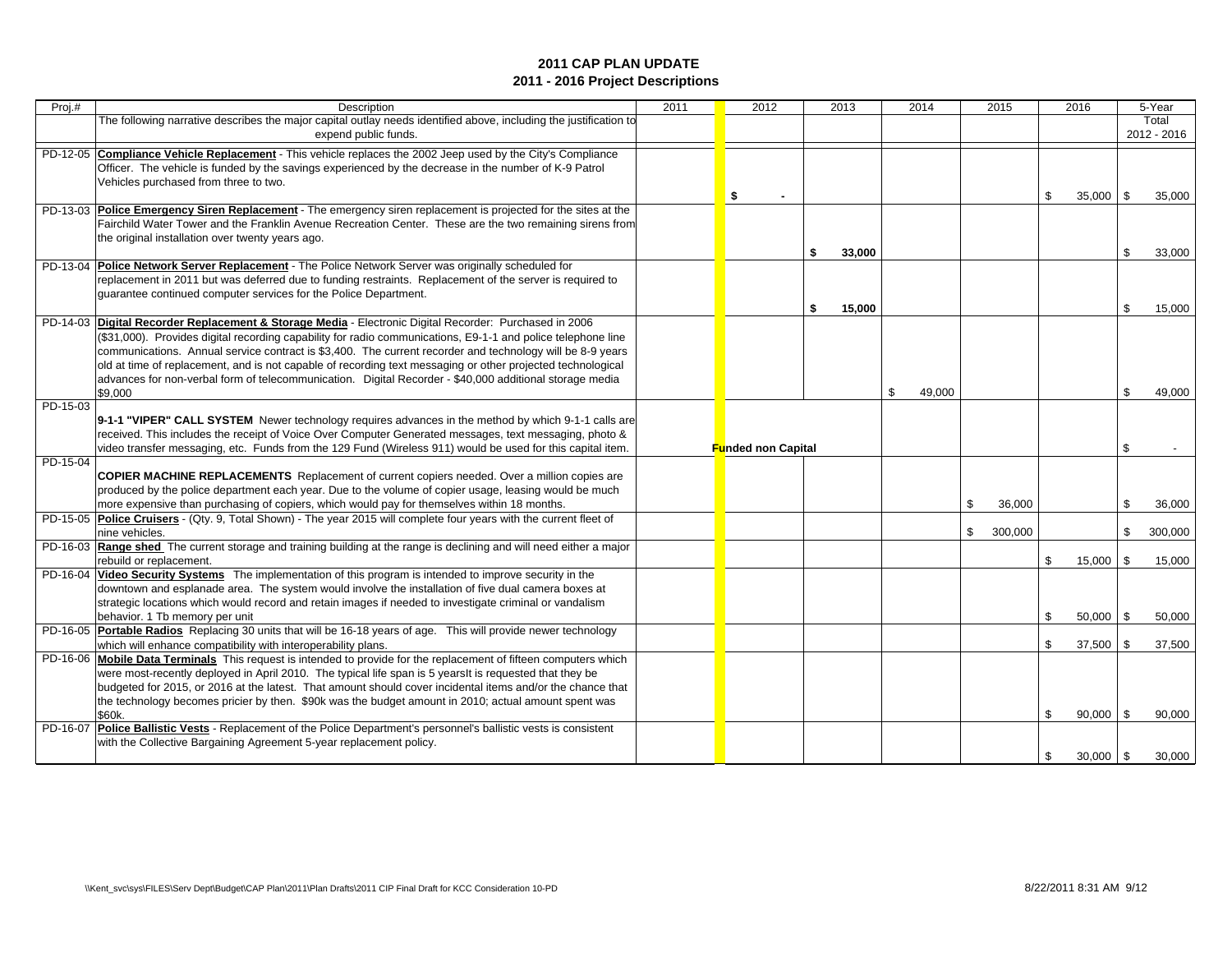| Proj #   | Description                                                                                                          | 2011 | 2012                      | 2013         | 2014         | 2015          |     | 2016   |          | 5-Year      |
|----------|----------------------------------------------------------------------------------------------------------------------|------|---------------------------|--------------|--------------|---------------|-----|--------|----------|-------------|
|          | The following narrative describes the major capital outlay needs identified above, including the justification to    |      |                           |              |              |               |     |        |          | Total       |
|          | expend public funds.                                                                                                 |      |                           |              |              |               |     |        |          | 2012 - 2016 |
|          |                                                                                                                      |      |                           |              |              |               |     |        |          |             |
|          | PD-12-05 Compliance Vehicle Replacement - This vehicle replaces the 2002 Jeep used by the City's Compliance          |      |                           |              |              |               |     |        |          |             |
|          | Officer. The vehicle is funded by the savings experienced by the decrease in the number of K-9 Patrol                |      |                           |              |              |               |     |        |          |             |
|          | Vehicles purchased from three to two.                                                                                |      |                           |              |              |               |     |        |          |             |
|          |                                                                                                                      |      | \$                        |              |              |               | \$  | 35,000 | <b>S</b> | 35,000      |
|          | PD-13-03 Police Emergency Siren Replacement - The emergency siren replacement is projected for the sites at the      |      |                           |              |              |               |     |        |          |             |
|          | Fairchild Water Tower and the Franklin Avenue Recreation Center. These are the two remaining sirens from             |      |                           |              |              |               |     |        |          |             |
|          |                                                                                                                      |      |                           |              |              |               |     |        |          |             |
|          | the original installation over twenty years ago.                                                                     |      |                           |              |              |               |     |        |          |             |
|          |                                                                                                                      |      |                           | 33,000<br>\$ |              |               |     |        | \$       | 33,000      |
|          | PD-13-04 Police Network Server Replacement - The Police Network Server was originally scheduled for                  |      |                           |              |              |               |     |        |          |             |
|          | replacement in 2011 but was deferred due to funding restraints. Replacement of the server is required to             |      |                           |              |              |               |     |        |          |             |
|          | quarantee continued computer services for the Police Department.                                                     |      |                           |              |              |               |     |        |          |             |
|          |                                                                                                                      |      |                           | 15,000<br>\$ |              |               |     |        | \$       | 15,000      |
|          |                                                                                                                      |      |                           |              |              |               |     |        |          |             |
|          | PD-14-03 Digital Recorder Replacement & Storage Media - Electronic Digital Recorder: Purchased in 2006               |      |                           |              |              |               |     |        |          |             |
|          | (\$31,000). Provides digital recording capability for radio communications, E9-1-1 and police telephone line         |      |                           |              |              |               |     |        |          |             |
|          | communications. Annual service contract is \$3,400. The current recorder and technology will be 8-9 years            |      |                           |              |              |               |     |        |          |             |
|          | old at time of replacement, and is not capable of recording text messaging or other projected technological          |      |                           |              |              |               |     |        |          |             |
|          | advances for non-verbal form of telecommunication. Digital Recorder - \$40,000 additional storage media              |      |                           |              |              |               |     |        |          |             |
|          | \$9,000                                                                                                              |      |                           |              | \$<br>49,000 |               |     |        | \$       | 49,000      |
| PD-15-03 |                                                                                                                      |      |                           |              |              |               |     |        |          |             |
|          |                                                                                                                      |      |                           |              |              |               |     |        |          |             |
|          | 9-1-1 "VIPER" CALL SYSTEM Newer technology requires advances in the method by which 9-1-1 calls are                  |      |                           |              |              |               |     |        |          |             |
|          | received. This includes the receipt of Voice Over Computer Generated messages, text messaging, photo &               |      |                           |              |              |               |     |        |          |             |
|          | video transfer messaging, etc. Funds from the 129 Fund (Wireless 911) would be used for this capital item.           |      | <b>Funded non Capital</b> |              |              |               |     |        | \$       |             |
| PD-15-04 |                                                                                                                      |      |                           |              |              |               |     |        |          |             |
|          | <b>COPIER MACHINE REPLACEMENTS</b> Replacement of current copiers needed. Over a million copies are                  |      |                           |              |              |               |     |        |          |             |
|          | produced by the police department each year. Due to the volume of copier usage, leasing would be much                |      |                           |              |              |               |     |        |          |             |
|          | more expensive than purchasing of copiers, which would pay for themselves within 18 months.                          |      |                           |              |              | \$<br>36,000  |     |        | \$       | 36,000      |
|          |                                                                                                                      |      |                           |              |              |               |     |        |          |             |
|          | PD-15-05 Police Cruisers - (Qty. 9, Total Shown) - The year 2015 will complete four years with the current fleet of  |      |                           |              |              |               |     |        |          |             |
|          | nine vehicles.                                                                                                       |      |                           |              |              | \$<br>300,000 |     |        | \$       | 300,000     |
|          | PD-16-03 Range shed The current storage and training building at the range is declining and will need either a major |      |                           |              |              |               |     |        |          |             |
|          | rebuild or replacement.                                                                                              |      |                           |              |              |               | \$  | 15,000 | - \$     | 15,000      |
|          | PD-16-04 Video Security Systems The implementation of this program is intended to improve security in the            |      |                           |              |              |               |     |        |          |             |
|          | downtown and esplanade area. The system would involve the installation of five dual camera boxes at                  |      |                           |              |              |               |     |        |          |             |
|          | strategic locations which would record and retain images if needed to investigate criminal or vandalism              |      |                           |              |              |               |     |        |          |             |
|          |                                                                                                                      |      |                           |              |              |               | \$  | 50,000 | - \$     |             |
|          | behavior. 1 Tb memory per unit                                                                                       |      |                           |              |              |               |     |        |          | 50,000      |
|          | PD-16-05 Portable Radios Replacing 30 units that will be 16-18 years of age. This will provide newer technology      |      |                           |              |              |               |     |        |          |             |
|          | which will enhance compatibility with interoperability plans.                                                        |      |                           |              |              |               | \$. | 37,500 | l \$     | 37,500      |
|          | PD-16-06 Mobile Data Terminals This request is intended to provide for the replacement of fifteen computers which    |      |                           |              |              |               |     |        |          |             |
|          | were most-recently deployed in April 2010. The typical life span is 5 years t is requested that they be              |      |                           |              |              |               |     |        |          |             |
|          | budgeted for 2015, or 2016 at the latest. That amount should cover incidental items and/or the chance that           |      |                           |              |              |               |     |        |          |             |
|          | the technology becomes pricier by then. \$90k was the budget amount in 2010; actual amount spent was                 |      |                           |              |              |               |     |        |          |             |
|          |                                                                                                                      |      |                           |              |              |               | \$  | 90,000 | l \$     | 90,000      |
|          | \$60k.                                                                                                               |      |                           |              |              |               |     |        |          |             |
|          | PD-16-07 Police Ballistic Vests - Replacement of the Police Department's personnel's ballistic vests is consistent   |      |                           |              |              |               |     |        |          |             |
|          | with the Collective Bargaining Agreement 5-year replacement policy.                                                  |      |                           |              |              |               |     |        |          |             |
|          |                                                                                                                      |      |                           |              |              |               | \$  | 30,000 | - \$     | 30,000      |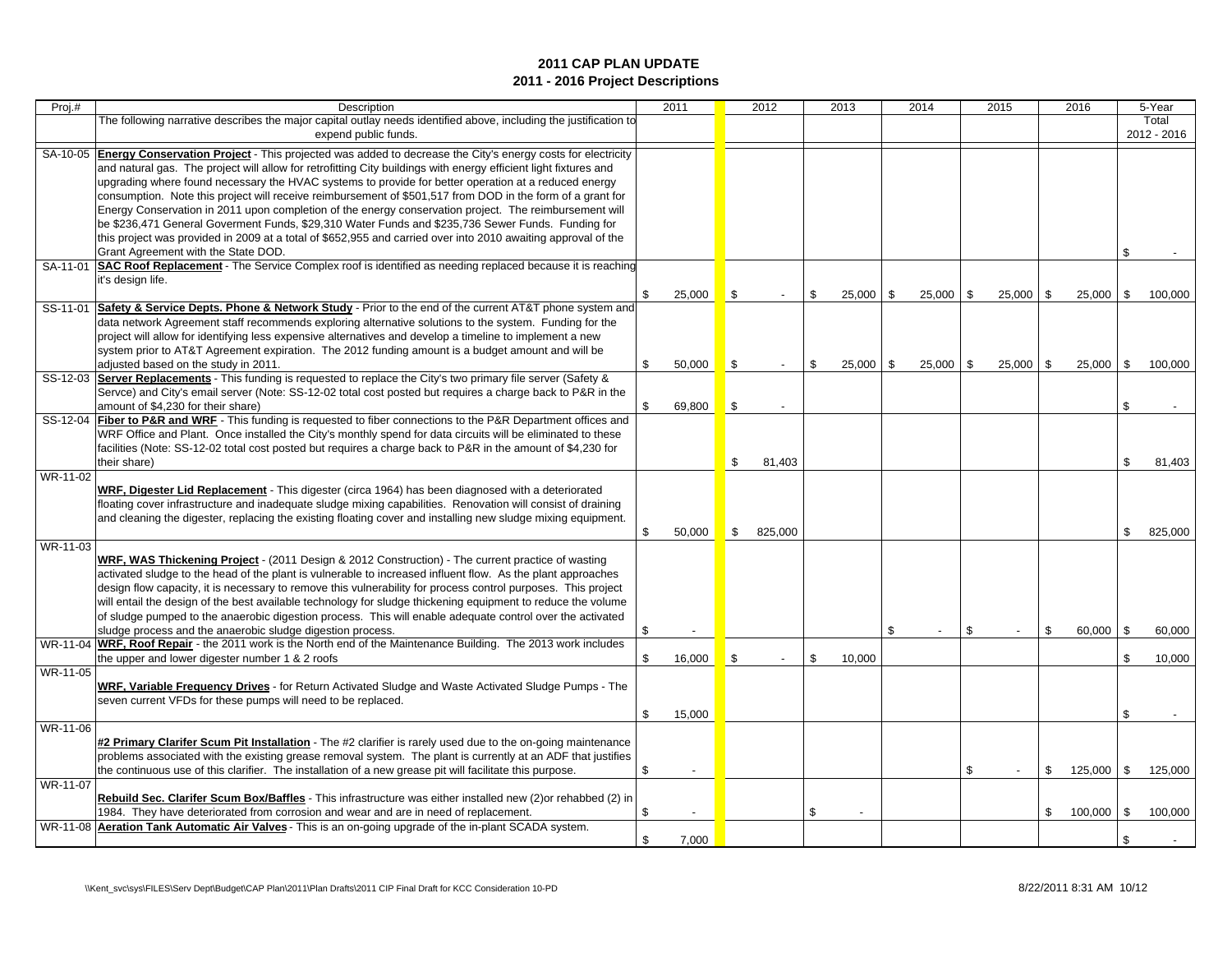| Proj.#   | Description                                                                                                                | 2011         | 2012          | 2013         | 2014           |        |     | 2015   |      | 2016        |      | 5-Year      |
|----------|----------------------------------------------------------------------------------------------------------------------------|--------------|---------------|--------------|----------------|--------|-----|--------|------|-------------|------|-------------|
|          | The following narrative describes the major capital outlay needs identified above, including the justification to          |              |               |              |                |        |     |        |      |             |      | Total       |
|          |                                                                                                                            |              |               |              |                |        |     |        |      |             |      | 2012 - 2016 |
|          | expend public funds.                                                                                                       |              |               |              |                |        |     |        |      |             |      |             |
|          | SA-10-05 <b>Energy Conservation Project</b> - This projected was added to decrease the City's energy costs for electricity |              |               |              |                |        |     |        |      |             |      |             |
|          |                                                                                                                            |              |               |              |                |        |     |        |      |             |      |             |
|          | and natural gas. The project will allow for retrofitting City buildings with energy efficient light fixtures and           |              |               |              |                |        |     |        |      |             |      |             |
|          | upgrading where found necessary the HVAC systems to provide for better operation at a reduced energy                       |              |               |              |                |        |     |        |      |             |      |             |
|          |                                                                                                                            |              |               |              |                |        |     |        |      |             |      |             |
|          | consumption. Note this project will receive reimbursement of \$501,517 from DOD in the form of a grant for                 |              |               |              |                |        |     |        |      |             |      |             |
|          | Energy Conservation in 2011 upon completion of the energy conservation project. The reimbursement will                     |              |               |              |                |        |     |        |      |             |      |             |
|          | be \$236,471 General Goverment Funds, \$29,310 Water Funds and \$235,736 Sewer Funds. Funding for                          |              |               |              |                |        |     |        |      |             |      |             |
|          |                                                                                                                            |              |               |              |                |        |     |        |      |             |      |             |
|          | this project was provided in 2009 at a total of \$652,955 and carried over into 2010 awaiting approval of the              |              |               |              |                |        |     |        |      |             |      |             |
|          | Grant Agreement with the State DOD.                                                                                        |              |               |              |                |        |     |        |      |             | \$   |             |
|          |                                                                                                                            |              |               |              |                |        |     |        |      |             |      |             |
| SA-11-01 | SAC Roof Replacement - The Service Complex roof is identified as needing replaced because it is reaching                   |              |               |              |                |        |     |        |      |             |      |             |
|          | it's design life.                                                                                                          |              |               |              |                |        |     |        |      |             |      |             |
|          |                                                                                                                            | \$<br>25,000 | \$<br>$\sim$  | \$<br>25,000 | \$             | 25,000 | \$  | 25,000 | - \$ | $25,000$ \$ |      | 100,000     |
|          |                                                                                                                            |              |               |              |                |        |     |        |      |             |      |             |
| SS-11-01 | Safety & Service Depts. Phone & Network Study - Prior to the end of the current AT&T phone system and                      |              |               |              |                |        |     |        |      |             |      |             |
|          | data network Agreement staff recommends exploring alternative solutions to the system. Funding for the                     |              |               |              |                |        |     |        |      |             |      |             |
|          |                                                                                                                            |              |               |              |                |        |     |        |      |             |      |             |
|          | project will allow for identifying less expensive alternatives and develop a timeline to implement a new                   |              |               |              |                |        |     |        |      |             |      |             |
|          | system prior to AT&T Agreement expiration. The 2012 funding amount is a budget amount and will be                          |              |               |              |                |        |     |        |      |             |      |             |
|          | adjusted based on the study in 2011.                                                                                       | \$<br>50,000 | \$            | \$<br>25,000 | \$             | 25,000 | \$  | 25,000 | - \$ | 25,000      | - \$ | 100,000     |
|          |                                                                                                                            |              |               |              |                |        |     |        |      |             |      |             |
|          | SS-12-03 Server Replacements - This funding is requested to replace the City's two primary file server (Safety &           |              |               |              |                |        |     |        |      |             |      |             |
|          | Servce) and City's email server (Note: SS-12-02 total cost posted but requires a charge back to P&R in the                 |              |               |              |                |        |     |        |      |             |      |             |
|          |                                                                                                                            |              |               |              |                |        |     |        |      |             |      |             |
|          | amount of \$4,230 for their share)                                                                                         | \$<br>69,800 | \$            |              |                |        |     |        |      |             | \$   |             |
|          | SS-12-04 Fiber to P&R and WRF - This funding is requested to fiber connections to the P&R Department offices and           |              |               |              |                |        |     |        |      |             |      |             |
|          | WRF Office and Plant. Once installed the City's monthly spend for data circuits will be eliminated to these                |              |               |              |                |        |     |        |      |             |      |             |
|          |                                                                                                                            |              |               |              |                |        |     |        |      |             |      |             |
|          | facilities (Note: SS-12-02 total cost posted but requires a charge back to P&R in the amount of \$4,230 for                |              |               |              |                |        |     |        |      |             |      |             |
|          | their share)                                                                                                               |              | \$<br>81,403  |              |                |        |     |        |      |             | \$   | 81,403      |
|          |                                                                                                                            |              |               |              |                |        |     |        |      |             |      |             |
| WR-11-02 |                                                                                                                            |              |               |              |                |        |     |        |      |             |      |             |
|          | WRF, Digester Lid Replacement - This digester (circa 1964) has been diagnosed with a deteriorated                          |              |               |              |                |        |     |        |      |             |      |             |
|          | floating cover infrastructure and inadequate sludge mixing capabilities. Renovation will consist of draining               |              |               |              |                |        |     |        |      |             |      |             |
|          |                                                                                                                            |              |               |              |                |        |     |        |      |             |      |             |
|          | and cleaning the digester, replacing the existing floating cover and installing new sludge mixing equipment.               |              |               |              |                |        |     |        |      |             |      |             |
|          |                                                                                                                            | \$<br>50,000 | \$<br>825,000 |              |                |        |     |        |      |             | \$   | 825,000     |
|          |                                                                                                                            |              |               |              |                |        |     |        |      |             |      |             |
| WR-11-03 |                                                                                                                            |              |               |              |                |        |     |        |      |             |      |             |
|          | WRF, WAS Thickening Project - (2011 Design & 2012 Construction) - The current practice of wasting                          |              |               |              |                |        |     |        |      |             |      |             |
|          | activated sludge to the head of the plant is vulnerable to increased influent flow. As the plant approaches                |              |               |              |                |        |     |        |      |             |      |             |
|          |                                                                                                                            |              |               |              |                |        |     |        |      |             |      |             |
|          | design flow capacity, it is necessary to remove this vulnerability for process control purposes. This project              |              |               |              |                |        |     |        |      |             |      |             |
|          | will entail the design of the best available technology for sludge thickening equipment to reduce the volume               |              |               |              |                |        |     |        |      |             |      |             |
|          |                                                                                                                            |              |               |              |                |        |     |        |      |             |      |             |
|          | of sludge pumped to the anaerobic digestion process. This will enable adequate control over the activated                  |              |               |              |                |        |     |        |      |             |      |             |
|          | sludge process and the anaerobic sludge digestion process.                                                                 | \$           |               |              | $\mathfrak{L}$ |        | \$. |        | \$   | 60,000      | - \$ | 60,000      |
|          | WR-11-04 WRF, Roof Repair - the 2011 work is the North end of the Maintenance Building. The 2013 work includes             |              |               |              |                |        |     |        |      |             |      |             |
|          |                                                                                                                            |              |               |              |                |        |     |        |      |             |      |             |
|          | the upper and lower digester number 1 & 2 roofs                                                                            | \$<br>16,000 | \$            | \$<br>10,000 |                |        |     |        |      |             | \$   | 10,000      |
| WR-11-05 |                                                                                                                            |              |               |              |                |        |     |        |      |             |      |             |
|          |                                                                                                                            |              |               |              |                |        |     |        |      |             |      |             |
|          | WRF, Variable Frequency Drives - for Return Activated Sludge and Waste Activated Sludge Pumps - The                        |              |               |              |                |        |     |        |      |             |      |             |
|          | seven current VFDs for these pumps will need to be replaced.                                                               |              |               |              |                |        |     |        |      |             |      |             |
|          |                                                                                                                            | \$<br>15,000 |               |              |                |        |     |        |      |             | \$   |             |
|          |                                                                                                                            |              |               |              |                |        |     |        |      |             |      |             |
| WR-11-06 |                                                                                                                            |              |               |              |                |        |     |        |      |             |      |             |
|          | #2 Primary Clarifer Scum Pit Installation - The #2 clarifier is rarely used due to the on-going maintenance                |              |               |              |                |        |     |        |      |             |      |             |
|          |                                                                                                                            |              |               |              |                |        |     |        |      |             |      |             |
|          | problems associated with the existing grease removal system. The plant is currently at an ADF that justifies               |              |               |              |                |        |     |        |      |             |      |             |
|          | the continuous use of this clarifier. The installation of a new grease pit will facilitate this purpose.                   | \$           |               |              |                |        | \$  |        | \$   | 125,000     | - \$ | 125,000     |
| WR-11-07 |                                                                                                                            |              |               |              |                |        |     |        |      |             |      |             |
|          |                                                                                                                            |              |               |              |                |        |     |        |      |             |      |             |
|          | Rebuild Sec. Clarifer Scum Box/Baffles - This infrastructure was either installed new (2) or rehabbed (2) in               |              |               |              |                |        |     |        |      |             |      |             |
|          | 1984. They have deteriorated from corrosion and wear and are in need of replacement.                                       | \$           |               | \$           |                |        |     |        | \$   | 100,000     | - \$ | 100,000     |
|          |                                                                                                                            |              |               |              |                |        |     |        |      |             |      |             |
|          | WR-11-08 <b>Aeration Tank Automatic Air Valves</b> - This is an on-going upgrade of the in-plant SCADA system.             |              |               |              |                |        |     |        |      |             |      |             |
|          |                                                                                                                            | \$<br>7,000  |               |              |                |        |     |        |      |             | \$.  |             |
|          |                                                                                                                            |              |               |              |                |        |     |        |      |             |      |             |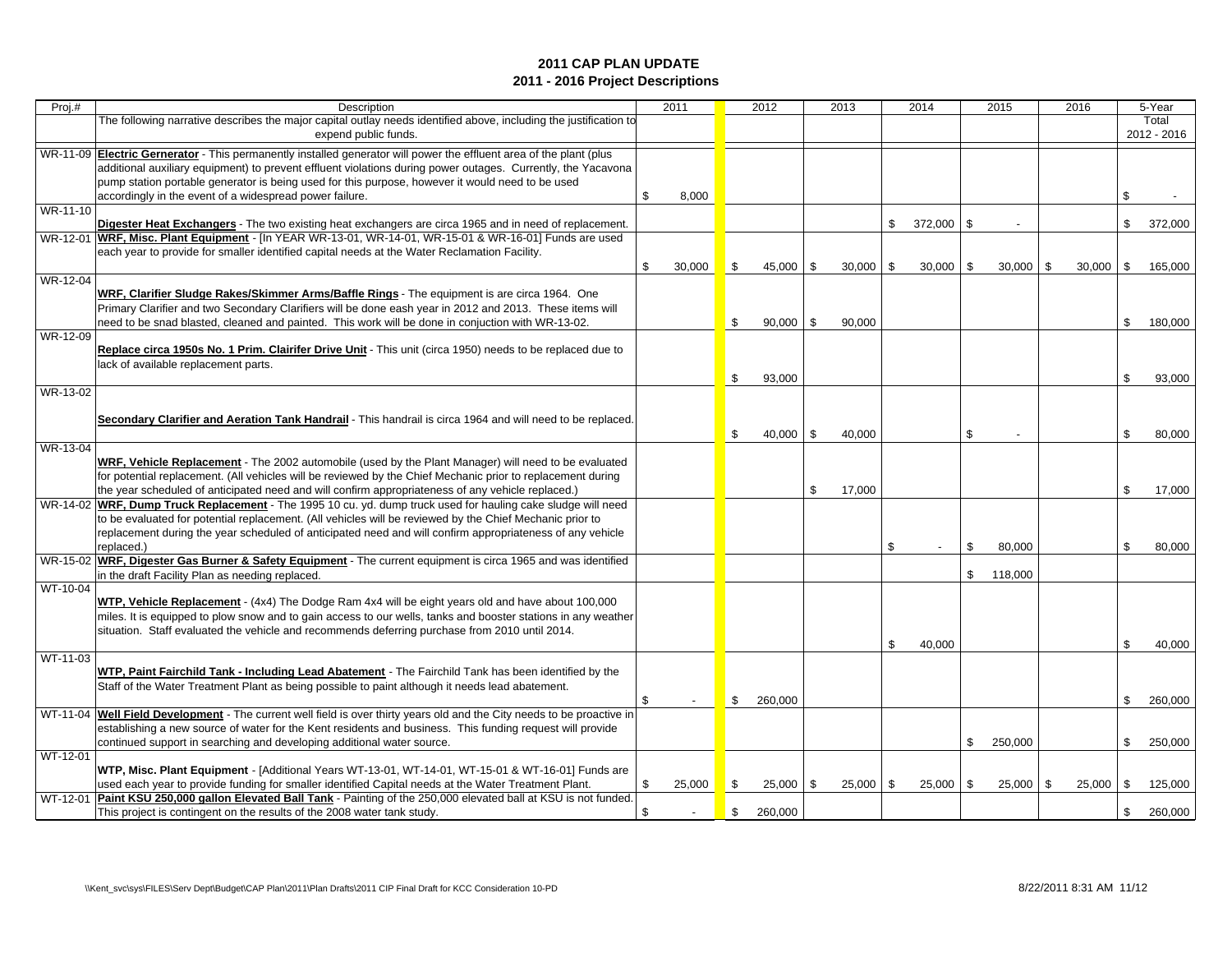| Proj.#   | Description                                                                                                             |              | 2011   | 2012              |      | 2013          | 2014          |              | 2015        | 2016 |             |      | 5-Year      |
|----------|-------------------------------------------------------------------------------------------------------------------------|--------------|--------|-------------------|------|---------------|---------------|--------------|-------------|------|-------------|------|-------------|
|          | The following narrative describes the major capital outlay needs identified above, including the justification to       |              |        |                   |      |               |               |              |             |      |             |      | Total       |
|          | expend public funds.                                                                                                    |              |        |                   |      |               |               |              |             |      |             |      | 2012 - 2016 |
|          |                                                                                                                         |              |        |                   |      |               |               |              |             |      |             |      |             |
|          | WR-11-09 Electric Gernerator - This permanently installed generator will power the effluent area of the plant (plus     |              |        |                   |      |               |               |              |             |      |             |      |             |
|          | additional auxiliary equipment) to prevent effluent violations during power outages. Currently, the Yacavona            |              |        |                   |      |               |               |              |             |      |             |      |             |
|          | pump station portable generator is being used for this purpose, however it would need to be used                        |              |        |                   |      |               |               |              |             |      |             |      |             |
|          | accordingly in the event of a widespread power failure.                                                                 | \$           | 8,000  |                   |      |               |               |              |             |      |             | \$   |             |
| WR-11-10 |                                                                                                                         |              |        |                   |      |               |               |              |             |      |             |      |             |
|          | Digester Heat Exchangers - The two existing heat exchangers are circa 1965 and in need of replacement.                  |              |        |                   |      |               | \$<br>372,000 | -\$          |             |      |             | \$   | 372,000     |
| WR-12-01 | WRF, Misc. Plant Equipment - [In YEAR WR-13-01, WR-14-01, WR-15-01 & WR-16-01] Funds are used                           |              |        |                   |      |               |               |              |             |      |             |      |             |
|          | each year to provide for smaller identified capital needs at the Water Reclamation Facility.                            |              |        |                   |      |               |               |              |             |      |             |      |             |
|          |                                                                                                                         | \$           | 30,000 | \$<br>45,000      | - \$ | 30,000        | \$<br>30,000  | - \$         | 30,000      | - \$ | 30,000      | - \$ | 165,000     |
| WR-12-04 |                                                                                                                         |              |        |                   |      |               |               |              |             |      |             |      |             |
|          | WRF, Clarifier Sludge Rakes/Skimmer Arms/Baffle Rings - The equipment is are circa 1964. One                            |              |        |                   |      |               |               |              |             |      |             |      |             |
|          | Primary Clarifier and two Secondary Clarifiers will be done eash year in 2012 and 2013. These items will                |              |        |                   |      |               |               |              |             |      |             |      |             |
|          | need to be snad blasted, cleaned and painted. This work will be done in conjuction with WR-13-02.                       |              |        | \$<br>90,000      | - \$ | 90,000        |               |              |             |      |             | \$   | 180,000     |
| WR-12-09 |                                                                                                                         |              |        |                   |      |               |               |              |             |      |             |      |             |
|          | Replace circa 1950s No. 1 Prim. Clairifer Drive Unit - This unit (circa 1950) needs to be replaced due to               |              |        |                   |      |               |               |              |             |      |             |      |             |
|          | lack of available replacement parts.                                                                                    |              |        |                   |      |               |               |              |             |      |             |      |             |
|          |                                                                                                                         |              |        | \$<br>93,000      |      |               |               |              |             |      |             | \$   | 93,000      |
| WR-13-02 |                                                                                                                         |              |        |                   |      |               |               |              |             |      |             |      |             |
|          |                                                                                                                         |              |        |                   |      |               |               |              |             |      |             |      |             |
|          | Secondary Clarifier and Aeration Tank Handrail - This handrail is circa 1964 and will need to be replaced.              |              |        |                   |      |               |               |              |             |      |             |      |             |
|          |                                                                                                                         |              |        | \$<br>$40,000$ \$ |      | 40,000        |               | \$           |             |      |             | \$   | 80,000      |
| WR-13-04 |                                                                                                                         |              |        |                   |      |               |               |              |             |      |             |      |             |
|          |                                                                                                                         |              |        |                   |      |               |               |              |             |      |             |      |             |
|          | WRF, Vehicle Replacement - The 2002 automobile (used by the Plant Manager) will need to be evaluated                    |              |        |                   |      |               |               |              |             |      |             |      |             |
|          | for potential replacement. (All vehicles will be reviewed by the Chief Mechanic prior to replacement during             |              |        |                   |      |               |               |              |             |      |             |      |             |
|          | the year scheduled of anticipated need and will confirm appropriateness of any vehicle replaced.)                       |              |        |                   | \$   | 17,000        |               |              |             |      |             | \$   | 17,000      |
|          | WR-14-02 WRF, Dump Truck Replacement - The 1995 10 cu. yd. dump truck used for hauling cake sludge will need            |              |        |                   |      |               |               |              |             |      |             |      |             |
|          | to be evaluated for potential replacement. (All vehicles will be reviewed by the Chief Mechanic prior to                |              |        |                   |      |               |               |              |             |      |             |      |             |
|          | replacement during the year scheduled of anticipated need and will confirm appropriateness of any vehicle               |              |        |                   |      |               |               |              |             |      |             |      |             |
|          | replaced.)                                                                                                              |              |        |                   |      |               | \$            | \$           | 80,000      |      |             | \$   | 80,000      |
|          | WR-15-02 WRF, Digester Gas Burner & Safety Equipment - The current equipment is circa 1965 and was identified           |              |        |                   |      |               |               |              |             |      |             |      |             |
|          | in the draft Facility Plan as needing replaced.                                                                         |              |        |                   |      |               |               | \$           | 118,000     |      |             |      |             |
| WT-10-04 |                                                                                                                         |              |        |                   |      |               |               |              |             |      |             |      |             |
|          | WTP, Vehicle Replacement - (4x4) The Dodge Ram 4x4 will be eight years old and have about 100,000                       |              |        |                   |      |               |               |              |             |      |             |      |             |
|          | miles. It is equipped to plow snow and to gain access to our wells, tanks and booster stations in any weather           |              |        |                   |      |               |               |              |             |      |             |      |             |
|          | situation. Staff evaluated the vehicle and recommends deferring purchase from 2010 until 2014.                          |              |        |                   |      |               |               |              |             |      |             |      |             |
|          |                                                                                                                         |              |        |                   |      |               | \$<br>40,000  |              |             |      |             | \$   | 40,000      |
| WT-11-03 |                                                                                                                         |              |        |                   |      |               |               |              |             |      |             |      |             |
|          | WTP, Paint Fairchild Tank - Including Lead Abatement - The Fairchild Tank has been identified by the                    |              |        |                   |      |               |               |              |             |      |             |      |             |
|          | Staff of the Water Treatment Plant as being possible to paint although it needs lead abatement.                         |              |        |                   |      |               |               |              |             |      |             |      |             |
|          |                                                                                                                         | $\mathbb{S}$ |        | \$<br>260,000     |      |               |               |              |             |      |             | \$   | 260,000     |
|          | WT-11-04 Well Field Development - The current well field is over thirty years old and the City needs to be proactive in |              |        |                   |      |               |               |              |             |      |             |      |             |
|          | establishing a new source of water for the Kent residents and business. This funding request will provide               |              |        |                   |      |               |               |              |             |      |             |      |             |
|          | continued support in searching and developing additional water source.                                                  |              |        |                   |      |               |               | $\mathbb{S}$ | 250,000     |      |             | \$   | 250,000     |
| WT-12-01 |                                                                                                                         |              |        |                   |      |               |               |              |             |      |             |      |             |
|          | WTP, Misc. Plant Equipment - [Additional Years WT-13-01, WT-14-01, WT-15-01 & WT-16-01] Funds are                       |              |        |                   |      |               |               |              |             |      |             |      |             |
|          | used each year to provide funding for smaller identified Capital needs at the Water Treatment Plant.                    | \$           | 25,000 | \$<br>$25,000$ \$ |      | $25,000$ \ \$ | 25,000        | - \$         | $25,000$ \$ |      | $25,000$ \$ |      | 125,000     |
|          | WT-12-01 Paint KSU 250,000 gallon Elevated Ball Tank - Painting of the 250,000 elevated ball at KSU is not funded.      |              |        |                   |      |               |               |              |             |      |             |      |             |
|          | This project is contingent on the results of the 2008 water tank study.                                                 | \$           |        | \$<br>260,000     |      |               |               |              |             |      |             | \$   | 260,000     |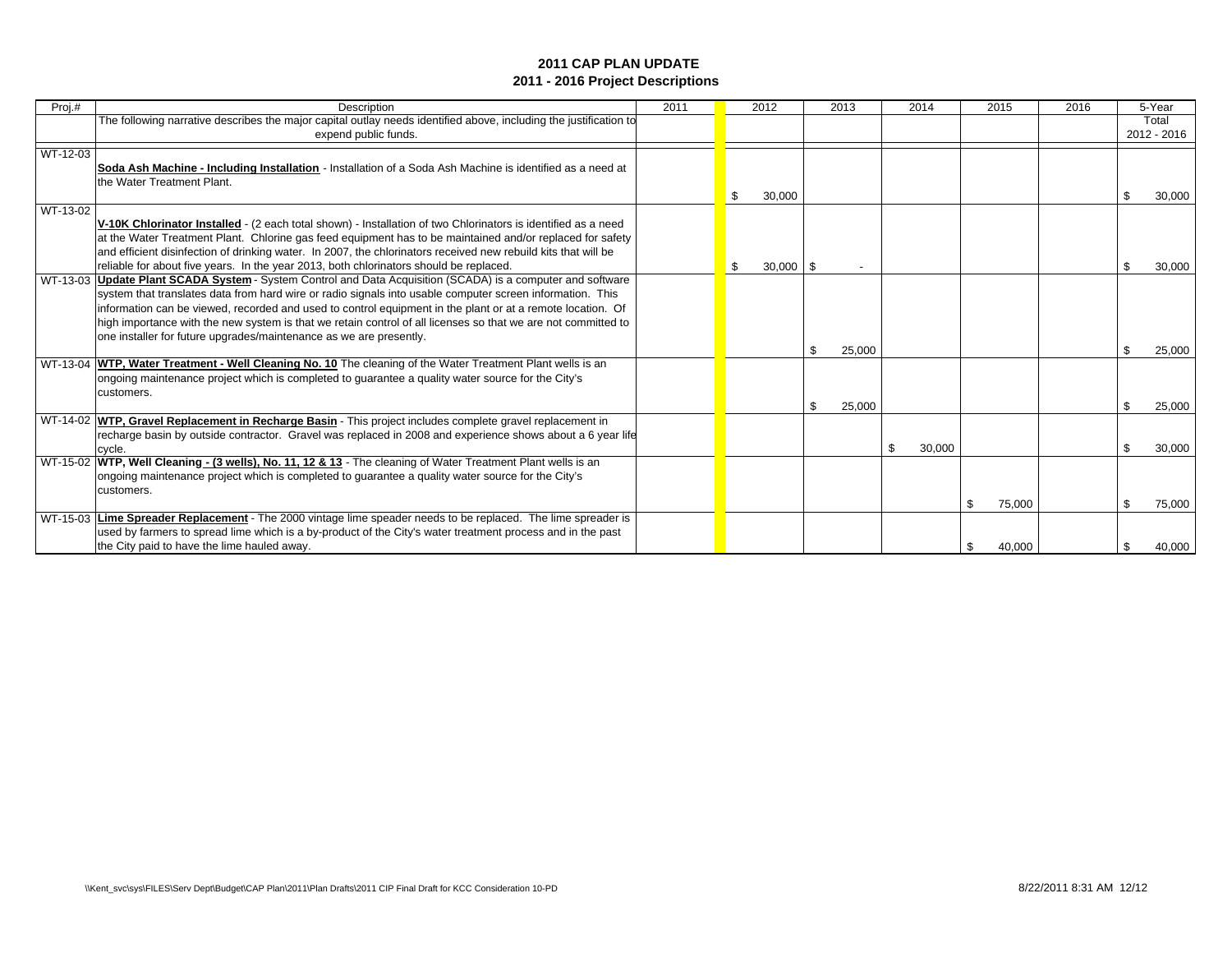| Proj.#   | Description                                                                                                       | 2011 | 2012                |     | 2013   | 2014   | 2015         | 2016 |     | 5-Year      |
|----------|-------------------------------------------------------------------------------------------------------------------|------|---------------------|-----|--------|--------|--------------|------|-----|-------------|
|          | The following narrative describes the major capital outlay needs identified above, including the justification to |      |                     |     |        |        |              |      |     | Total       |
|          | expend public funds.                                                                                              |      |                     |     |        |        |              |      |     | 2012 - 2016 |
| WT-12-03 |                                                                                                                   |      |                     |     |        |        |              |      |     |             |
|          | Soda Ash Machine - Including Installation - Installation of a Soda Ash Machine is identified as a need at         |      |                     |     |        |        |              |      |     |             |
|          | the Water Treatment Plant.                                                                                        |      |                     |     |        |        |              |      |     |             |
|          |                                                                                                                   |      | \$<br>30,000        |     |        |        |              |      | \$  | 30,000      |
| WT-13-02 |                                                                                                                   |      |                     |     |        |        |              |      |     |             |
|          | V-10K Chlorinator Installed - (2 each total shown) - Installation of two Chlorinators is identified as a need     |      |                     |     |        |        |              |      |     |             |
|          | at the Water Treatment Plant. Chlorine gas feed equipment has to be maintained and/or replaced for safety         |      |                     |     |        |        |              |      |     |             |
|          | and efficient disinfection of drinking water. In 2007, the chlorinators received new rebuild kits that will be    |      |                     |     |        |        |              |      |     |             |
|          | reliable for about five years. In the year 2013, both chlorinators should be replaced.                            |      | \$<br>$30,000$ \ \$ |     |        |        |              |      | \$. | 30,000      |
|          | WT-13-03 Update Plant SCADA System - System Control and Data Acquisition (SCADA) is a computer and software       |      |                     |     |        |        |              |      |     |             |
|          | system that translates data from hard wire or radio signals into usable computer screen information. This         |      |                     |     |        |        |              |      |     |             |
|          | information can be viewed, recorded and used to control equipment in the plant or at a remote location. Of        |      |                     |     |        |        |              |      |     |             |
|          | high importance with the new system is that we retain control of all licenses so that we are not committed to     |      |                     |     |        |        |              |      |     |             |
|          | one installer for future upgrades/maintenance as we are presently.                                                |      |                     |     |        |        |              |      |     |             |
|          |                                                                                                                   |      |                     | \$. | 25,000 |        |              |      | \$  | 25,000      |
|          | WT-13-04 WTP, Water Treatment - Well Cleaning No. 10 The cleaning of the Water Treatment Plant wells is an        |      |                     |     |        |        |              |      |     |             |
|          | ongoing maintenance project which is completed to guarantee a quality water source for the City's                 |      |                     |     |        |        |              |      |     |             |
|          | customers.                                                                                                        |      |                     | \$  | 25.000 |        |              |      | \$  | 25,000      |
|          | WT-14-02 WTP, Gravel Replacement in Recharge Basin - This project includes complete gravel replacement in         |      |                     |     |        |        |              |      |     |             |
|          | recharge basin by outside contractor. Gravel was replaced in 2008 and experience shows about a 6 year life        |      |                     |     |        |        |              |      |     |             |
|          | cvcle.                                                                                                            |      |                     |     |        | 30,000 |              |      | \$  | 30,000      |
|          | WT-15-02 WTP, Well Cleaning - (3 wells), No. 11, 12 & 13 - The cleaning of Water Treatment Plant wells is an      |      |                     |     |        |        |              |      |     |             |
|          | ongoing maintenance project which is completed to quarantee a quality water source for the City's                 |      |                     |     |        |        |              |      |     |             |
|          | customers.                                                                                                        |      |                     |     |        |        |              |      |     |             |
|          |                                                                                                                   |      |                     |     |        |        | \$<br>75,000 |      | \$  | 75,000      |
|          | WT-15-03 Lime Spreader Replacement - The 2000 vintage lime speader needs to be replaced. The lime spreader is     |      |                     |     |        |        |              |      |     |             |
|          | used by farmers to spread lime which is a by-product of the City's water treatment process and in the past        |      |                     |     |        |        |              |      |     |             |
|          | the City paid to have the lime hauled away.                                                                       |      |                     |     |        |        | 40,000       |      |     | 40,000      |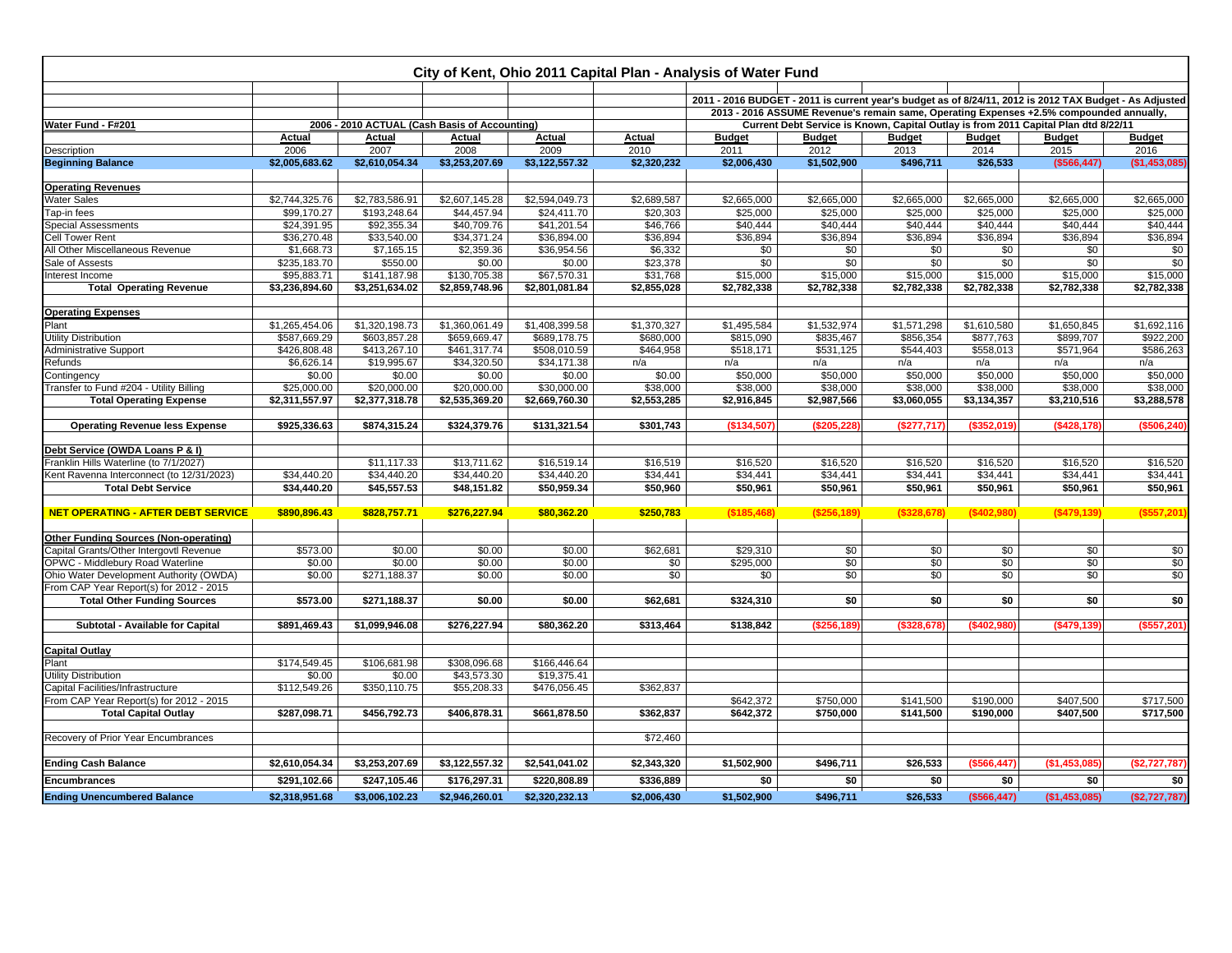| 2011 - 2016 BUDGET - 2011 is current year's budget as of 8/24/11, 2012 is 2012 TAX Budget - As Adjusted<br>2013 - 2016 ASSUME Revenue's remain same, Operating Expenses +2.5% compounded annually,<br>Water Fund - F#201<br>2006 - 2010 ACTUAL (Cash Basis of Accounting)<br>Current Debt Service is Known, Capital Outlay is from 2011 Capital Plan dtd 8/22/11<br>Actual<br>Actual<br>Actual<br>Actual<br><b>Budget</b><br><b>Budget</b><br><b>Budget</b><br><b>Budget</b><br><b>Budget</b><br>Actual<br>2006<br>2007<br>2008<br>2009<br>2010<br>2011<br>2012<br>2013<br>2015<br>Description<br>2014<br><b>Beginning Balance</b><br>\$2.005.683.62<br>\$2,610,054.34<br>\$3,253,207.69<br>\$2,320,232<br>\$2,006,430<br>\$1,502,900<br>\$496,711<br>\$26.533<br>( \$566,447)<br>\$3,122,557.32<br><b>Operating Revenues</b><br>Water Sales<br>\$2,744,325.76<br>\$2,783,586.91<br>\$2,607,145.28<br>\$2,594,049.73<br>\$2,689,587<br>\$2,665,000<br>\$2,665,000<br>\$2,665,000<br>\$2,665,000<br>\$2,665,000<br>\$193,248.64<br>\$44,457.94<br>\$25,000<br>\$25,000<br>\$25,000<br>Tap-in fees<br>\$99,170.27<br>\$24,411.70<br>\$20,303<br>\$25,000<br>\$25,000<br>\$24,391.95<br>\$92,355.34<br>\$40,709.76<br>\$41,201.54<br>\$46,766<br>\$40.444<br>\$40,444<br>\$40,444<br>\$40,444<br>\$40,444<br>Special Assessments<br>\$36,894<br>\$36,270.48<br>\$33,540.00<br>\$34,371.24<br>\$36,894.00<br>\$36,894<br>\$36,894<br>\$36,894<br>\$36,894<br>\$36,894<br>Cell Tower Rent<br>All Other Miscellaneous Revenue<br>\$7,165.15<br>\$2,359.36<br>\$36,954.56<br>\$6,332<br>\$1,668.73<br>\$0<br>\$0<br>\$0<br>\$0<br>\$0<br>\$550.00<br>\$0<br>\$235,183.70<br>\$0.00<br>\$0.00<br>\$0<br>\$0<br>\$0<br>\$0<br>Sale of Assests<br>\$23,378<br>\$95,883.71<br>\$141,187.98<br>\$130,705.38<br>\$67,570.31<br>\$31,768<br>\$15,000<br>\$15,000<br>\$15,000<br>Interest Income<br>\$15,000<br>\$15,000<br>\$3,251,634.02<br>\$2,859,748.96<br>\$2,801,081.84<br><b>Total Operating Revenue</b><br>\$3,236,894.60<br>\$2,855,028<br>\$2,782,338<br>\$2,782,338<br>\$2,782,338<br>\$2,782,338<br>\$2,782,338 |                |
|---------------------------------------------------------------------------------------------------------------------------------------------------------------------------------------------------------------------------------------------------------------------------------------------------------------------------------------------------------------------------------------------------------------------------------------------------------------------------------------------------------------------------------------------------------------------------------------------------------------------------------------------------------------------------------------------------------------------------------------------------------------------------------------------------------------------------------------------------------------------------------------------------------------------------------------------------------------------------------------------------------------------------------------------------------------------------------------------------------------------------------------------------------------------------------------------------------------------------------------------------------------------------------------------------------------------------------------------------------------------------------------------------------------------------------------------------------------------------------------------------------------------------------------------------------------------------------------------------------------------------------------------------------------------------------------------------------------------------------------------------------------------------------------------------------------------------------------------------------------------------------------------------------------------------------------------------------------------------------------------------------------------------------------------------------------------------------------------------------------|----------------|
|                                                                                                                                                                                                                                                                                                                                                                                                                                                                                                                                                                                                                                                                                                                                                                                                                                                                                                                                                                                                                                                                                                                                                                                                                                                                                                                                                                                                                                                                                                                                                                                                                                                                                                                                                                                                                                                                                                                                                                                                                                                                                                               |                |
|                                                                                                                                                                                                                                                                                                                                                                                                                                                                                                                                                                                                                                                                                                                                                                                                                                                                                                                                                                                                                                                                                                                                                                                                                                                                                                                                                                                                                                                                                                                                                                                                                                                                                                                                                                                                                                                                                                                                                                                                                                                                                                               |                |
|                                                                                                                                                                                                                                                                                                                                                                                                                                                                                                                                                                                                                                                                                                                                                                                                                                                                                                                                                                                                                                                                                                                                                                                                                                                                                                                                                                                                                                                                                                                                                                                                                                                                                                                                                                                                                                                                                                                                                                                                                                                                                                               |                |
|                                                                                                                                                                                                                                                                                                                                                                                                                                                                                                                                                                                                                                                                                                                                                                                                                                                                                                                                                                                                                                                                                                                                                                                                                                                                                                                                                                                                                                                                                                                                                                                                                                                                                                                                                                                                                                                                                                                                                                                                                                                                                                               | <b>Budget</b>  |
|                                                                                                                                                                                                                                                                                                                                                                                                                                                                                                                                                                                                                                                                                                                                                                                                                                                                                                                                                                                                                                                                                                                                                                                                                                                                                                                                                                                                                                                                                                                                                                                                                                                                                                                                                                                                                                                                                                                                                                                                                                                                                                               | 2016           |
|                                                                                                                                                                                                                                                                                                                                                                                                                                                                                                                                                                                                                                                                                                                                                                                                                                                                                                                                                                                                                                                                                                                                                                                                                                                                                                                                                                                                                                                                                                                                                                                                                                                                                                                                                                                                                                                                                                                                                                                                                                                                                                               | (\$1,453,085)  |
|                                                                                                                                                                                                                                                                                                                                                                                                                                                                                                                                                                                                                                                                                                                                                                                                                                                                                                                                                                                                                                                                                                                                                                                                                                                                                                                                                                                                                                                                                                                                                                                                                                                                                                                                                                                                                                                                                                                                                                                                                                                                                                               |                |
|                                                                                                                                                                                                                                                                                                                                                                                                                                                                                                                                                                                                                                                                                                                                                                                                                                                                                                                                                                                                                                                                                                                                                                                                                                                                                                                                                                                                                                                                                                                                                                                                                                                                                                                                                                                                                                                                                                                                                                                                                                                                                                               |                |
|                                                                                                                                                                                                                                                                                                                                                                                                                                                                                                                                                                                                                                                                                                                                                                                                                                                                                                                                                                                                                                                                                                                                                                                                                                                                                                                                                                                                                                                                                                                                                                                                                                                                                                                                                                                                                                                                                                                                                                                                                                                                                                               | \$2,665,000    |
|                                                                                                                                                                                                                                                                                                                                                                                                                                                                                                                                                                                                                                                                                                                                                                                                                                                                                                                                                                                                                                                                                                                                                                                                                                                                                                                                                                                                                                                                                                                                                                                                                                                                                                                                                                                                                                                                                                                                                                                                                                                                                                               | \$25,000       |
|                                                                                                                                                                                                                                                                                                                                                                                                                                                                                                                                                                                                                                                                                                                                                                                                                                                                                                                                                                                                                                                                                                                                                                                                                                                                                                                                                                                                                                                                                                                                                                                                                                                                                                                                                                                                                                                                                                                                                                                                                                                                                                               | \$40,444       |
|                                                                                                                                                                                                                                                                                                                                                                                                                                                                                                                                                                                                                                                                                                                                                                                                                                                                                                                                                                                                                                                                                                                                                                                                                                                                                                                                                                                                                                                                                                                                                                                                                                                                                                                                                                                                                                                                                                                                                                                                                                                                                                               | \$36,894       |
|                                                                                                                                                                                                                                                                                                                                                                                                                                                                                                                                                                                                                                                                                                                                                                                                                                                                                                                                                                                                                                                                                                                                                                                                                                                                                                                                                                                                                                                                                                                                                                                                                                                                                                                                                                                                                                                                                                                                                                                                                                                                                                               | $\sqrt{50}$    |
|                                                                                                                                                                                                                                                                                                                                                                                                                                                                                                                                                                                                                                                                                                                                                                                                                                                                                                                                                                                                                                                                                                                                                                                                                                                                                                                                                                                                                                                                                                                                                                                                                                                                                                                                                                                                                                                                                                                                                                                                                                                                                                               | \$0            |
|                                                                                                                                                                                                                                                                                                                                                                                                                                                                                                                                                                                                                                                                                                                                                                                                                                                                                                                                                                                                                                                                                                                                                                                                                                                                                                                                                                                                                                                                                                                                                                                                                                                                                                                                                                                                                                                                                                                                                                                                                                                                                                               | \$15,000       |
|                                                                                                                                                                                                                                                                                                                                                                                                                                                                                                                                                                                                                                                                                                                                                                                                                                                                                                                                                                                                                                                                                                                                                                                                                                                                                                                                                                                                                                                                                                                                                                                                                                                                                                                                                                                                                                                                                                                                                                                                                                                                                                               | \$2,782,338    |
| <b>Operating Expenses</b>                                                                                                                                                                                                                                                                                                                                                                                                                                                                                                                                                                                                                                                                                                                                                                                                                                                                                                                                                                                                                                                                                                                                                                                                                                                                                                                                                                                                                                                                                                                                                                                                                                                                                                                                                                                                                                                                                                                                                                                                                                                                                     |                |
| Plant<br>\$1,265,454.06<br>\$1,320,198.73<br>\$1,360,061.49<br>\$1,408,399.58<br>\$1,370,327<br>\$1,495,584<br>\$1,532,974<br>\$1,571,298<br>\$1,610,580<br>\$1,650,845                                                                                                                                                                                                                                                                                                                                                                                                                                                                                                                                                                                                                                                                                                                                                                                                                                                                                                                                                                                                                                                                                                                                                                                                                                                                                                                                                                                                                                                                                                                                                                                                                                                                                                                                                                                                                                                                                                                                       | \$1,692,116    |
| \$856,354<br><b>Utility Distribution</b><br>\$587,669.29<br>\$603,857.28<br>\$659,669.47<br>\$689,178.75<br>\$680,000<br>\$815,090<br>\$835,467<br>\$877,763<br>\$899,707                                                                                                                                                                                                                                                                                                                                                                                                                                                                                                                                                                                                                                                                                                                                                                                                                                                                                                                                                                                                                                                                                                                                                                                                                                                                                                                                                                                                                                                                                                                                                                                                                                                                                                                                                                                                                                                                                                                                     | \$922,200      |
| Administrative Support<br>\$426,808.48<br>\$413,267.10<br>\$461,317.74<br>\$508,010.59<br>\$464,958<br>\$518,171<br>\$531,125<br>\$544,403<br>\$558,013<br>\$571,964                                                                                                                                                                                                                                                                                                                                                                                                                                                                                                                                                                                                                                                                                                                                                                                                                                                                                                                                                                                                                                                                                                                                                                                                                                                                                                                                                                                                                                                                                                                                                                                                                                                                                                                                                                                                                                                                                                                                          | \$586,263      |
| \$19,995.67<br>\$34,320.50<br>\$34,171.38<br>Refunds<br>\$6,626.14<br>n/a<br>n/a<br>n/a<br>n/a<br>n/a<br>n/a                                                                                                                                                                                                                                                                                                                                                                                                                                                                                                                                                                                                                                                                                                                                                                                                                                                                                                                                                                                                                                                                                                                                                                                                                                                                                                                                                                                                                                                                                                                                                                                                                                                                                                                                                                                                                                                                                                                                                                                                  | n/a            |
| \$0.00<br>\$0.00<br>\$0.00<br>\$0.00<br>\$0.00<br>\$50,000<br>\$50,000<br>\$50,000<br>contingency<br>\$50,000<br>\$50,000                                                                                                                                                                                                                                                                                                                                                                                                                                                                                                                                                                                                                                                                                                                                                                                                                                                                                                                                                                                                                                                                                                                                                                                                                                                                                                                                                                                                                                                                                                                                                                                                                                                                                                                                                                                                                                                                                                                                                                                     | \$50,000       |
| \$25,000.00<br>\$20,000.00<br>\$20,000.00<br>\$30,000.00<br>\$38,000<br>\$38,000<br>$\overline{$}38,000$<br>Transfer to Fund #204 - Utility Billing<br>\$38,000<br>\$38,000<br>\$38,000                                                                                                                                                                                                                                                                                                                                                                                                                                                                                                                                                                                                                                                                                                                                                                                                                                                                                                                                                                                                                                                                                                                                                                                                                                                                                                                                                                                                                                                                                                                                                                                                                                                                                                                                                                                                                                                                                                                       | \$38,000       |
| <b>Total Operating Expense</b><br>\$2,311,557.97<br>\$2,377,318.78<br>\$2,535,369.20<br>\$2,669,760.30<br>\$2,553,285<br>\$2,916,845<br>\$3,060,055<br>\$3,134,357<br>\$3,210,516<br>\$2,987,566                                                                                                                                                                                                                                                                                                                                                                                                                                                                                                                                                                                                                                                                                                                                                                                                                                                                                                                                                                                                                                                                                                                                                                                                                                                                                                                                                                                                                                                                                                                                                                                                                                                                                                                                                                                                                                                                                                              | \$3,288,578    |
|                                                                                                                                                                                                                                                                                                                                                                                                                                                                                                                                                                                                                                                                                                                                                                                                                                                                                                                                                                                                                                                                                                                                                                                                                                                                                                                                                                                                                                                                                                                                                                                                                                                                                                                                                                                                                                                                                                                                                                                                                                                                                                               |                |
| \$925,336.63<br>\$874,315.24<br>\$324,379.76<br>(\$134,507)<br>(\$277,717)<br>(\$352,019)<br><b>Operating Revenue less Expense</b><br>\$131,321.54<br>\$301,743<br>(\$205,228)<br>( \$428, 178]                                                                                                                                                                                                                                                                                                                                                                                                                                                                                                                                                                                                                                                                                                                                                                                                                                                                                                                                                                                                                                                                                                                                                                                                                                                                                                                                                                                                                                                                                                                                                                                                                                                                                                                                                                                                                                                                                                               | (\$506, 240)   |
| Debt Service (OWDA Loans P & I)                                                                                                                                                                                                                                                                                                                                                                                                                                                                                                                                                                                                                                                                                                                                                                                                                                                                                                                                                                                                                                                                                                                                                                                                                                                                                                                                                                                                                                                                                                                                                                                                                                                                                                                                                                                                                                                                                                                                                                                                                                                                               |                |
| Franklin Hills Waterline (to 7/1/2027)<br>\$11,117.33<br>\$13,711.62<br>\$16,519.14<br>\$16,519<br>\$16,520<br>\$16,520<br>\$16,520<br>\$16.520<br>\$16,520                                                                                                                                                                                                                                                                                                                                                                                                                                                                                                                                                                                                                                                                                                                                                                                                                                                                                                                                                                                                                                                                                                                                                                                                                                                                                                                                                                                                                                                                                                                                                                                                                                                                                                                                                                                                                                                                                                                                                   | \$16,520       |
| \$34,440.20<br>\$34,440.20<br>\$34,440.20<br>\$34,441<br>\$34,441<br>\$34,441<br>Kent Ravenna Interconnect (to 12/31/2023)<br>\$34,440.20<br>\$34,441<br>\$34,441<br>\$34,441                                                                                                                                                                                                                                                                                                                                                                                                                                                                                                                                                                                                                                                                                                                                                                                                                                                                                                                                                                                                                                                                                                                                                                                                                                                                                                                                                                                                                                                                                                                                                                                                                                                                                                                                                                                                                                                                                                                                 | \$34,441       |
| \$45,557.53<br>\$50,959.34<br>\$50,961<br>\$50,961<br>\$50,961<br><b>Total Debt Service</b><br>\$34,440.20<br>\$48,151.82<br>\$50,960<br>\$50,961<br>\$50,961                                                                                                                                                                                                                                                                                                                                                                                                                                                                                                                                                                                                                                                                                                                                                                                                                                                                                                                                                                                                                                                                                                                                                                                                                                                                                                                                                                                                                                                                                                                                                                                                                                                                                                                                                                                                                                                                                                                                                 | \$50,961       |
|                                                                                                                                                                                                                                                                                                                                                                                                                                                                                                                                                                                                                                                                                                                                                                                                                                                                                                                                                                                                                                                                                                                                                                                                                                                                                                                                                                                                                                                                                                                                                                                                                                                                                                                                                                                                                                                                                                                                                                                                                                                                                                               |                |
| <b>NET OPERATING - AFTER DEBT SERVICE</b><br>\$890,896.43<br>\$276,227.94<br>\$80,362.20<br>\$250,783<br>\$828,757.71<br>(\$185,468)<br>( \$256, 189)<br>$($ \$328,678)<br>(\$402,980)<br>$($ \$479,139)                                                                                                                                                                                                                                                                                                                                                                                                                                                                                                                                                                                                                                                                                                                                                                                                                                                                                                                                                                                                                                                                                                                                                                                                                                                                                                                                                                                                                                                                                                                                                                                                                                                                                                                                                                                                                                                                                                      | (\$557,201)    |
| <b>Other Funding Sources (Non-operating)</b>                                                                                                                                                                                                                                                                                                                                                                                                                                                                                                                                                                                                                                                                                                                                                                                                                                                                                                                                                                                                                                                                                                                                                                                                                                                                                                                                                                                                                                                                                                                                                                                                                                                                                                                                                                                                                                                                                                                                                                                                                                                                  |                |
| Capital Grants/Other Intergovtl Revenue<br>\$573.00<br>\$0.00<br>\$0.00<br>\$0.00<br>\$62,681<br>\$29,310<br>\$0<br>\$0<br>\$0<br>\$0                                                                                                                                                                                                                                                                                                                                                                                                                                                                                                                                                                                                                                                                                                                                                                                                                                                                                                                                                                                                                                                                                                                                                                                                                                                                                                                                                                                                                                                                                                                                                                                                                                                                                                                                                                                                                                                                                                                                                                         | \$0            |
| \$0.00<br>\$0<br>OPWC - Middlebury Road Waterline<br>\$0.00<br>\$0.00<br>\$0.00<br>\$0<br>\$295,000<br>\$0<br>\$0<br>\$0                                                                                                                                                                                                                                                                                                                                                                                                                                                                                                                                                                                                                                                                                                                                                                                                                                                                                                                                                                                                                                                                                                                                                                                                                                                                                                                                                                                                                                                                                                                                                                                                                                                                                                                                                                                                                                                                                                                                                                                      | \$0            |
| Ohio Water Development Authority (OWDA)<br>$\overline{$271,188.37}$<br>\$0<br>\$0<br>\$0.00<br>\$0.00<br>\$0.00<br>\$0<br>\$0<br>\$0<br>\$0                                                                                                                                                                                                                                                                                                                                                                                                                                                                                                                                                                                                                                                                                                                                                                                                                                                                                                                                                                                                                                                                                                                                                                                                                                                                                                                                                                                                                                                                                                                                                                                                                                                                                                                                                                                                                                                                                                                                                                   | \$0            |
| From CAP Year Report(s) for 2012 - 2015                                                                                                                                                                                                                                                                                                                                                                                                                                                                                                                                                                                                                                                                                                                                                                                                                                                                                                                                                                                                                                                                                                                                                                                                                                                                                                                                                                                                                                                                                                                                                                                                                                                                                                                                                                                                                                                                                                                                                                                                                                                                       |                |
| \$0.00<br><b>Total Other Funding Sources</b><br>\$573.00<br>\$271,188.37<br>\$0.00<br>\$62,681<br>\$324,310<br>\$0<br>\$0<br>\$0<br>\$0                                                                                                                                                                                                                                                                                                                                                                                                                                                                                                                                                                                                                                                                                                                                                                                                                                                                                                                                                                                                                                                                                                                                                                                                                                                                                                                                                                                                                                                                                                                                                                                                                                                                                                                                                                                                                                                                                                                                                                       | \$0            |
|                                                                                                                                                                                                                                                                                                                                                                                                                                                                                                                                                                                                                                                                                                                                                                                                                                                                                                                                                                                                                                                                                                                                                                                                                                                                                                                                                                                                                                                                                                                                                                                                                                                                                                                                                                                                                                                                                                                                                                                                                                                                                                               |                |
| Subtotal - Available for Capital<br>\$891,469.43<br>\$1,099,946.08<br>\$276,227.94<br>\$80,362.20<br>\$138,842<br>(\$256,189)<br>(\$328,678)<br>(\$402,980)<br>( \$479, 139]<br>\$313,464                                                                                                                                                                                                                                                                                                                                                                                                                                                                                                                                                                                                                                                                                                                                                                                                                                                                                                                                                                                                                                                                                                                                                                                                                                                                                                                                                                                                                                                                                                                                                                                                                                                                                                                                                                                                                                                                                                                     | (\$557,201)    |
|                                                                                                                                                                                                                                                                                                                                                                                                                                                                                                                                                                                                                                                                                                                                                                                                                                                                                                                                                                                                                                                                                                                                                                                                                                                                                                                                                                                                                                                                                                                                                                                                                                                                                                                                                                                                                                                                                                                                                                                                                                                                                                               |                |
| <b>Capital Outlay</b><br>Plant<br>\$174,549.45<br>\$106,681.98<br>\$308,096.68<br>\$166,446.64                                                                                                                                                                                                                                                                                                                                                                                                                                                                                                                                                                                                                                                                                                                                                                                                                                                                                                                                                                                                                                                                                                                                                                                                                                                                                                                                                                                                                                                                                                                                                                                                                                                                                                                                                                                                                                                                                                                                                                                                                |                |
| \$43,573.30<br>\$19,375.41<br>\$0.00<br>\$0.00<br><b>Utility Distribution</b>                                                                                                                                                                                                                                                                                                                                                                                                                                                                                                                                                                                                                                                                                                                                                                                                                                                                                                                                                                                                                                                                                                                                                                                                                                                                                                                                                                                                                                                                                                                                                                                                                                                                                                                                                                                                                                                                                                                                                                                                                                 |                |
| \$112,549.26<br>\$350,110.75<br>\$55,208.33<br>\$476,056.45<br>\$362,837<br>Capital Facilities/Infrastructure                                                                                                                                                                                                                                                                                                                                                                                                                                                                                                                                                                                                                                                                                                                                                                                                                                                                                                                                                                                                                                                                                                                                                                                                                                                                                                                                                                                                                                                                                                                                                                                                                                                                                                                                                                                                                                                                                                                                                                                                 |                |
| rom CAP Year Report(s) for 2012 - 2015<br>\$750,000<br>\$407,500<br>\$642,372<br>\$141,500<br>\$190,000                                                                                                                                                                                                                                                                                                                                                                                                                                                                                                                                                                                                                                                                                                                                                                                                                                                                                                                                                                                                                                                                                                                                                                                                                                                                                                                                                                                                                                                                                                                                                                                                                                                                                                                                                                                                                                                                                                                                                                                                       |                |
| \$287,098.71<br>\$456,792.73<br>\$406,878.31<br>\$661,878.50<br>\$362,837<br>\$750,000<br>\$141,500<br>\$190,000<br>\$407,500<br><b>Total Capital Outlay</b><br>\$642,372                                                                                                                                                                                                                                                                                                                                                                                                                                                                                                                                                                                                                                                                                                                                                                                                                                                                                                                                                                                                                                                                                                                                                                                                                                                                                                                                                                                                                                                                                                                                                                                                                                                                                                                                                                                                                                                                                                                                     |                |
|                                                                                                                                                                                                                                                                                                                                                                                                                                                                                                                                                                                                                                                                                                                                                                                                                                                                                                                                                                                                                                                                                                                                                                                                                                                                                                                                                                                                                                                                                                                                                                                                                                                                                                                                                                                                                                                                                                                                                                                                                                                                                                               | \$717,500      |
| \$72,460<br>Recovery of Prior Year Encumbrances                                                                                                                                                                                                                                                                                                                                                                                                                                                                                                                                                                                                                                                                                                                                                                                                                                                                                                                                                                                                                                                                                                                                                                                                                                                                                                                                                                                                                                                                                                                                                                                                                                                                                                                                                                                                                                                                                                                                                                                                                                                               | \$717,500      |
| \$3,253,207.69<br>\$26,533<br>(\$566,447)<br><b>Ending Cash Balance</b><br>\$2,610,054.34<br>\$3,122,557.32<br>\$2,541,041.02<br>\$2,343,320<br>\$1,502,900<br>\$496,711<br>(\$1,453,085                                                                                                                                                                                                                                                                                                                                                                                                                                                                                                                                                                                                                                                                                                                                                                                                                                                                                                                                                                                                                                                                                                                                                                                                                                                                                                                                                                                                                                                                                                                                                                                                                                                                                                                                                                                                                                                                                                                      |                |
| <b>Encumbrances</b><br>\$291,102.66<br>\$247,105.46<br>\$176,297.31<br>\$220,808.89<br>\$336,889<br>\$0<br>\$0<br>\$0<br>\$0<br>\$0                                                                                                                                                                                                                                                                                                                                                                                                                                                                                                                                                                                                                                                                                                                                                                                                                                                                                                                                                                                                                                                                                                                                                                                                                                                                                                                                                                                                                                                                                                                                                                                                                                                                                                                                                                                                                                                                                                                                                                           | (S2, 727, 787) |
| \$2,318,951.68<br>\$3,006,102.23<br>\$2,946,260.01<br>\$2,320,232.13<br>\$2,006,430<br>\$1,502,900<br>\$496,711<br>\$26,533<br>( \$566.447)<br>(\$1,453,085)<br>(\$2,727,787)<br><b>Ending Unencumbered Balance</b>                                                                                                                                                                                                                                                                                                                                                                                                                                                                                                                                                                                                                                                                                                                                                                                                                                                                                                                                                                                                                                                                                                                                                                                                                                                                                                                                                                                                                                                                                                                                                                                                                                                                                                                                                                                                                                                                                           | \$0            |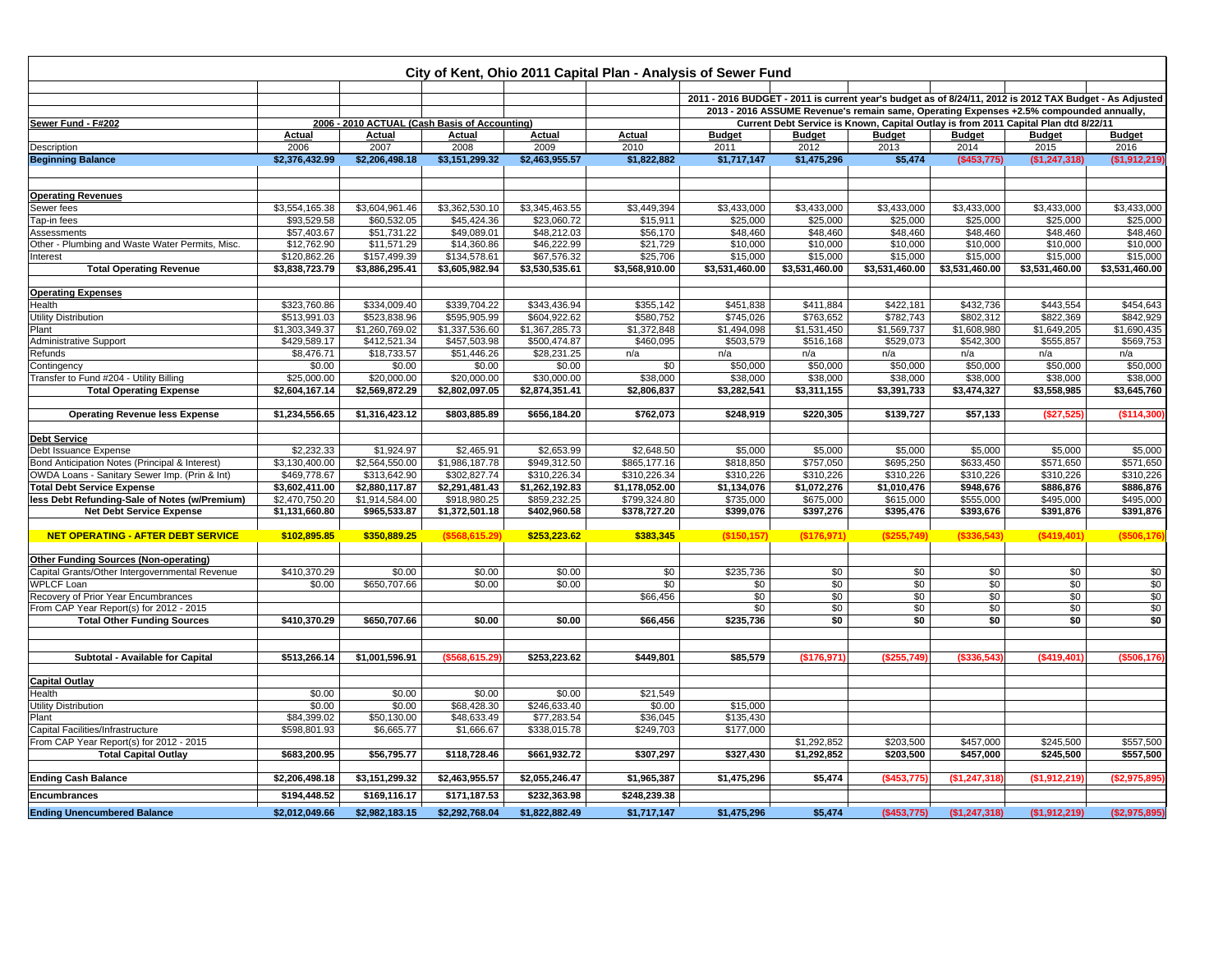| City of Kent, Ohio 2011 Capital Plan - Analysis of Sewer Fund |                                               |                           |                  |                |                |                                                                                                         |                                                                                                                                                                                |                |                |                |                |  |  |
|---------------------------------------------------------------|-----------------------------------------------|---------------------------|------------------|----------------|----------------|---------------------------------------------------------------------------------------------------------|--------------------------------------------------------------------------------------------------------------------------------------------------------------------------------|----------------|----------------|----------------|----------------|--|--|
|                                                               |                                               |                           |                  |                |                |                                                                                                         |                                                                                                                                                                                |                |                |                |                |  |  |
|                                                               |                                               |                           |                  |                |                | 2011 - 2016 BUDGET - 2011 is current year's budget as of 8/24/11, 2012 is 2012 TAX Budget - As Adjusted |                                                                                                                                                                                |                |                |                |                |  |  |
|                                                               | 2006 - 2010 ACTUAL (Cash Basis of Accounting) |                           |                  |                |                |                                                                                                         | 2013 - 2016 ASSUME Revenue's remain same, Operating Expenses +2.5% compounded annually,<br>Current Debt Service is Known, Capital Outlay is from 2011 Capital Plan dtd 8/22/11 |                |                |                |                |  |  |
| Sewer Fund - F#202                                            |                                               |                           |                  |                |                |                                                                                                         |                                                                                                                                                                                |                |                |                |                |  |  |
|                                                               | <b>Actual</b>                                 | <b>Actual</b>             | <b>Actual</b>    | <b>Actual</b>  | <b>Actual</b>  | <b>Budget</b>                                                                                           | <b>Budget</b>                                                                                                                                                                  | <b>Budget</b>  | <b>Budget</b>  | <b>Budget</b>  | <b>Budget</b>  |  |  |
| Description                                                   | 2006                                          | 2007                      | 2008             | 2009           | 2010           | 2011                                                                                                    | 2012                                                                                                                                                                           | 2013           | 2014           | 2015           | 2016           |  |  |
| <b>Beginning Balance</b>                                      | \$2.376.432.99                                | \$2,206,498.18            | \$3.151.299.32   | \$2.463.955.57 | \$1.822.882    | \$1,717,147                                                                                             | \$1,475,296                                                                                                                                                                    | \$5.474        | $($ \$453.775) | (S1.247.318)   | (\$1,912,219)  |  |  |
| <b>Operating Revenues</b>                                     |                                               |                           |                  |                |                |                                                                                                         |                                                                                                                                                                                |                |                |                |                |  |  |
| Sewer fees                                                    | \$3,554,165.38                                | \$3,604,961.46            | \$3,362,530.10   | \$3,345,463.55 | \$3,449,394    | \$3,433,000                                                                                             | \$3,433,000                                                                                                                                                                    | \$3,433,000    | \$3,433,000    | \$3,433,000    | \$3,433,000    |  |  |
| Tap-in fees                                                   | \$93,529.58                                   | \$60,532.05               | \$45,424.36      | \$23,060.72    | \$15,911       | \$25,000                                                                                                | \$25,000                                                                                                                                                                       | \$25,000       | \$25,000       | \$25,000       | \$25,000       |  |  |
| Assessments                                                   | \$57,403.67                                   | \$51,731.22               | \$49,089.01      | \$48,212.03    | \$56,170       | \$48,460                                                                                                | \$48,460                                                                                                                                                                       | \$48,460       | \$48,460       | \$48,460       | \$48,460       |  |  |
| Other - Plumbing and Waste Water Permits, Misc.               | \$12,762.90                                   | \$11,571.29               | \$14,360.86      | \$46,222.99    | \$21,729       | \$10,000                                                                                                | \$10,000                                                                                                                                                                       | \$10,000       | \$10,000       | \$10,000       | \$10,000       |  |  |
| Interest                                                      | \$120,862.26                                  | \$157,499.39              | \$134,578.61     | \$67,576.32    | \$25,706       | \$15,000                                                                                                | \$15,000                                                                                                                                                                       | \$15,000       | \$15,000       | \$15,000       | \$15,000       |  |  |
| <b>Total Operating Revenue</b>                                | \$3,838,723.79                                | \$3,886,295.41            | \$3,605,982.94   | \$3,530,535.61 | \$3,568,910.00 | \$3,531,460.00                                                                                          | \$3,531,460.00                                                                                                                                                                 | \$3,531,460.00 | \$3,531,460.00 | \$3,531,460.00 | \$3,531,460.00 |  |  |
| <b>Operating Expenses</b>                                     |                                               |                           |                  |                |                |                                                                                                         |                                                                                                                                                                                |                |                |                |                |  |  |
| Health                                                        | \$323,760.86                                  | \$334,009.40              | \$339,704.22     | \$343,436.94   | \$355,142      | \$451,838                                                                                               | \$411,884                                                                                                                                                                      | \$422,181      | \$432,736      | \$443,554      | \$454,643      |  |  |
| <b>Utility Distribution</b>                                   | \$513,991.03                                  | \$523,838.96              | \$595,905.99     | \$604,922.62   | \$580,752      | \$745,026                                                                                               | \$763,652                                                                                                                                                                      | \$782,743      | \$802,312      | \$822,369      | \$842,929      |  |  |
| Plant                                                         | \$1,303,349.37                                | \$1,260,769.02            | \$1,337,536.60   | \$1,367,285.73 | \$1,372,848    | \$1,494,098                                                                                             | \$1,531,450                                                                                                                                                                    | \$1,569,737    | \$1,608,980    | \$1,649,205    | \$1,690,435    |  |  |
| <b>Administrative Support</b>                                 | \$429,589.17                                  | \$412,521.34              | \$457,503.98     | \$500,474.87   | \$460,095      | \$503,579                                                                                               | \$516,168                                                                                                                                                                      | \$529,073      | \$542,300      | \$555,857      | \$569,753      |  |  |
| Refunds                                                       | \$8,476.71                                    | \$18,733.57               | \$51,446.26      | \$28,231.25    | n/a            | n/a                                                                                                     | n/a                                                                                                                                                                            | n/a            | n/a            | n/a            | n/a            |  |  |
| Contingency                                                   | \$0.00                                        | \$0.00                    | \$0.00           | \$0.00         | \$0            | \$50,000                                                                                                | \$50,000                                                                                                                                                                       | \$50,000       | \$50,000       | \$50,000       | \$50,000       |  |  |
| Transfer to Fund #204 - Utility Billing                       | \$25,000.00                                   | \$20,000.00               | \$20,000.00      | \$30,000.00    | \$38,000       | \$38,000                                                                                                | \$38,000                                                                                                                                                                       | \$38,000       | \$38,000       | \$38,000       | \$38,000       |  |  |
| <b>Total Operating Expense</b>                                | \$2,604,167.14                                | \$2,569,872.29            | \$2,802,097.05   | \$2,874,351.41 | \$2,806,837    | \$3,282,541                                                                                             | \$3,311,155                                                                                                                                                                    | \$3,391,733    | \$3,474,327    | \$3,558,985    | \$3,645,760    |  |  |
| <b>Operating Revenue less Expense</b>                         | \$1,234,556.65                                | \$1,316,423.12            | \$803,885.89     | \$656,184.20   | \$762,073      | \$248,919                                                                                               | \$220,305                                                                                                                                                                      | \$139,727      | \$57,133       | (\$27,525      | (\$114,300)    |  |  |
| <b>Debt Service</b>                                           |                                               |                           |                  |                |                |                                                                                                         |                                                                                                                                                                                |                |                |                |                |  |  |
| Debt Issuance Expense                                         | \$2,232.33                                    | \$1,924.97                | \$2,465.91       | \$2,653.99     | \$2,648.50     | \$5,000                                                                                                 | \$5,000                                                                                                                                                                        | \$5,000        | \$5,000        | \$5,000        | \$5,000        |  |  |
| Bond Anticipation Notes (Principal & Interest)                | \$3,130,400.00                                | \$2,564,550.00            | \$1,986,187.78   | \$949,312.50   | \$865,177.16   | \$818,850                                                                                               | \$757,050                                                                                                                                                                      | \$695,250      | \$633,450      | \$571,650      | \$571,650      |  |  |
| OWDA Loans - Sanitary Sewer Imp. (Prin & Int)                 | \$469,778.67                                  | \$313,642.90              | \$302,827.74     | \$310,226.34   | \$310,226.34   | \$310,226                                                                                               | \$310,226                                                                                                                                                                      | \$310,226      | \$310,226      | \$310,226      | \$310,226      |  |  |
| <b>Total Debt Service Expense</b>                             | \$3,602,411.00                                | \$2,880,117.87            | \$2,291,481.43   | \$1,262,192.83 | \$1,178,052.00 | \$1,134,076                                                                                             | \$1,072,276                                                                                                                                                                    | \$1,010,476    | \$948,676      | \$886,876      | \$886,876      |  |  |
| less Debt Refunding-Sale of Notes (w/Premium)                 | \$2,470,750.20                                | \$1,914,584.00            | \$918,980.25     | \$859,232.25   | \$799,324.80   | \$735,000                                                                                               | \$675,000                                                                                                                                                                      | \$615,000      | \$555,000      | \$495,000      | \$495,000      |  |  |
| <b>Net Debt Service Expense</b>                               | \$1,131,660.80                                | \$965,533.87              | \$1,372,501.18   | \$402,960.58   | \$378,727.20   | \$399,076                                                                                               | \$397,276                                                                                                                                                                      | \$395,476      | \$393,676      | \$391,876      | \$391,876      |  |  |
| <b>NET OPERATING - AFTER DEBT SERVICE</b>                     | \$102,895.85                                  | \$350,889.25              | ( \$568, 615.29) | \$253,223.62   | \$383,345      | (\$150,157)                                                                                             | (\$176,971)                                                                                                                                                                    | $($ \$255,749) | ( \$336,543)   | (\$419,401)    | (\$506,176     |  |  |
| <b>Other Funding Sources (Non-operating)</b>                  |                                               |                           |                  |                |                |                                                                                                         |                                                                                                                                                                                |                |                |                |                |  |  |
| Capital Grants/Other Intergovernmental Revenue                | \$410,370.29                                  | \$0.00                    | \$0.00           | \$0.00         | \$0            | \$235,736                                                                                               | \$0                                                                                                                                                                            | \$0            | \$0            | \$0            | \$0            |  |  |
| <b>WPLCF Loan</b>                                             | \$0.00                                        | \$650,707.66              | \$0.00           | \$0.00         | \$0            | \$0                                                                                                     | \$0                                                                                                                                                                            | \$0            | \$0            | \$0            | \$0            |  |  |
| Recovery of Prior Year Encumbrances                           |                                               |                           |                  |                | \$66,456       | \$0                                                                                                     | \$0                                                                                                                                                                            | \$0            | \$0            | \$0            | \$0            |  |  |
| From CAP Year Report(s) for 2012 - 2015                       |                                               |                           |                  |                |                | \$0                                                                                                     | \$0                                                                                                                                                                            | \$0            | \$0            | \$0            | \$0            |  |  |
| <b>Total Other Funding Sources</b>                            | \$410,370.29                                  | \$650,707.66              | \$0.00           | \$0.00         | \$66,456       | \$235,736                                                                                               | \$0                                                                                                                                                                            | \$0            | \$0            | \$0            | \$0            |  |  |
|                                                               |                                               |                           |                  |                |                |                                                                                                         |                                                                                                                                                                                |                |                |                |                |  |  |
| Subtotal - Available for Capital                              | \$513,266.14                                  | \$1,001,596.91            | (\$568,615.29)   | \$253,223.62   | \$449.801      | \$85,579                                                                                                | (\$176,971)                                                                                                                                                                    | (S255,749)     | (\$336,543)    | (\$419,401     | (\$506,176)    |  |  |
| <b>Capital Outlay</b>                                         |                                               |                           |                  |                |                |                                                                                                         |                                                                                                                                                                                |                |                |                |                |  |  |
| Health                                                        | \$0.00                                        | \$0.00                    | \$0.00           | \$0.00         | \$21,549       |                                                                                                         |                                                                                                                                                                                |                |                |                |                |  |  |
| <b>Utility Distribution</b>                                   | \$0.00                                        | \$0.00                    | \$68,428.30      | \$246,633.40   | \$0.00         | \$15,000                                                                                                |                                                                                                                                                                                |                |                |                |                |  |  |
| Plant                                                         | \$84,399.02                                   | \$50,130.00               | \$48,633.49      | \$77,283.54    | \$36,045       | \$135,430                                                                                               |                                                                                                                                                                                |                |                |                |                |  |  |
| Capital Facilities/Infrastructure                             | \$598,801.93                                  | \$6,665.77                | \$1,666.67       | \$338,015.78   | \$249,703      | \$177,000                                                                                               |                                                                                                                                                                                |                |                |                |                |  |  |
| From CAP Year Report(s) for 2012 - 2015                       |                                               |                           |                  |                |                |                                                                                                         | \$1,292,852                                                                                                                                                                    | \$203,500      | \$457,000      | \$245,500      | \$557,500      |  |  |
| <b>Total Capital Outlay</b>                                   | \$683,200.95                                  | \$56,795.77               | \$118,728.46     | \$661,932.72   | \$307,297      | \$327,430                                                                                               | \$1,292,852                                                                                                                                                                    | \$203,500      | \$457,000      | \$245,500      | \$557,500      |  |  |
| <b>Ending Cash Balance</b>                                    | \$2,206,498.18                                | $\overline{3,151,299.32}$ | \$2,463,955.57   | \$2,055,246.47 | \$1,965,387    | \$1,475,296                                                                                             | \$5,474                                                                                                                                                                        | ( \$453, 775)  | (\$1,247,318)  | (\$1,912,219   | (\$2,975,895   |  |  |
| Encumbrances                                                  | \$194,448.52                                  | \$169,116.17              | \$171,187.53     | \$232,363.98   | \$248.239.38   |                                                                                                         |                                                                                                                                                                                |                |                |                |                |  |  |
| <b>Ending Unencumbered Balance</b>                            | \$2,012,049.66                                | \$2,982,183.15            | \$2,292,768.04   | \$1,822,882.49 | \$1,717,147    | \$1,475,296                                                                                             | \$5,474                                                                                                                                                                        | (S453, 775)    | (\$1,247,318)  | (\$1,912,219)  | (\$2,975,895)  |  |  |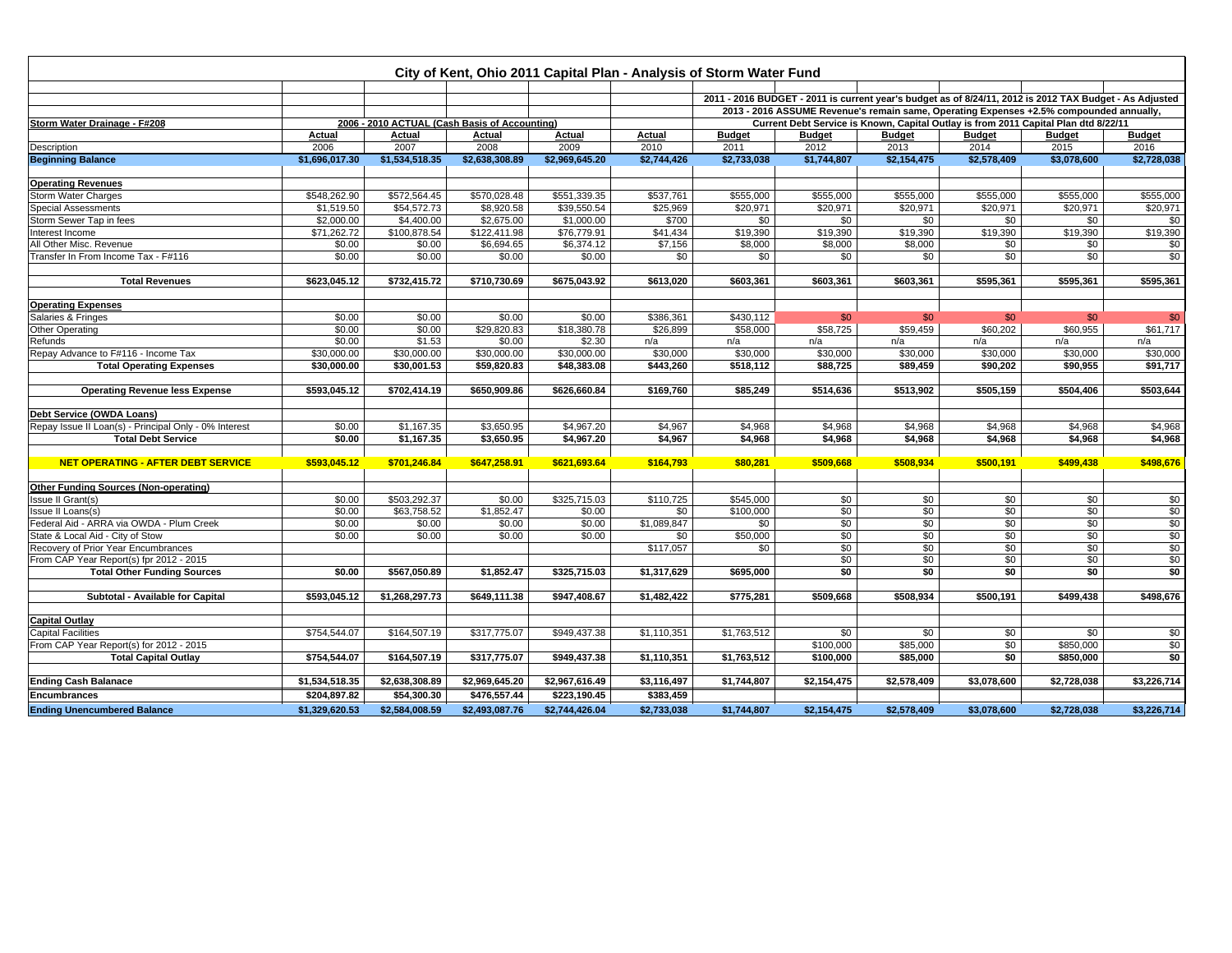|                                                       |                                               |                |                | City of Kent, Ohio 2011 Capital Plan - Analysis of Storm Water Fund |             |               |                                                                                                                                                                                |                 |               |                                                                                                         |               |  |  |
|-------------------------------------------------------|-----------------------------------------------|----------------|----------------|---------------------------------------------------------------------|-------------|---------------|--------------------------------------------------------------------------------------------------------------------------------------------------------------------------------|-----------------|---------------|---------------------------------------------------------------------------------------------------------|---------------|--|--|
|                                                       |                                               |                |                |                                                                     |             |               |                                                                                                                                                                                |                 |               |                                                                                                         |               |  |  |
|                                                       |                                               |                |                |                                                                     |             |               |                                                                                                                                                                                |                 |               | 2011 - 2016 BUDGET - 2011 is current year's budget as of 8/24/11, 2012 is 2012 TAX Budget - As Adjusted |               |  |  |
|                                                       | 2006 - 2010 ACTUAL (Cash Basis of Accounting) |                |                |                                                                     |             |               | 2013 - 2016 ASSUME Revenue's remain same, Operating Expenses +2.5% compounded annually,<br>Current Debt Service is Known, Capital Outlay is from 2011 Capital Plan dtd 8/22/11 |                 |               |                                                                                                         |               |  |  |
| Storm Water Drainage - F#208                          | Actual                                        | <b>Actual</b>  | <b>Actual</b>  | <b>Actual</b>                                                       | Actual      | <b>Budget</b> |                                                                                                                                                                                | <b>Budget</b>   | <b>Budget</b> | <b>Budget</b>                                                                                           | <b>Budget</b> |  |  |
| Description                                           | 2006                                          | 2007           | 2008           | 2009                                                                | 2010        | 2011          | <b>Budget</b><br>2012                                                                                                                                                          | 2013            | 2014          | 2015                                                                                                    | 2016          |  |  |
| <b>Beginning Balance</b>                              | \$1,696,017.30                                | \$1,534,518.35 | \$2,638,308.89 | \$2,969,645.20                                                      | \$2,744,426 | \$2,733,038   | \$1,744,807                                                                                                                                                                    | \$2,154,475     | \$2,578,409   | \$3,078,600                                                                                             | \$2,728,038   |  |  |
|                                                       |                                               |                |                |                                                                     |             |               |                                                                                                                                                                                |                 |               |                                                                                                         |               |  |  |
| <b>Operating Revenues</b>                             |                                               |                |                |                                                                     |             |               |                                                                                                                                                                                |                 |               |                                                                                                         |               |  |  |
| Storm Water Charges                                   | \$548,262.90                                  | \$572,564.45   | \$570,028.48   | \$551,339.35                                                        | \$537,761   | \$555,000     | \$555,000                                                                                                                                                                      | \$555,000       | \$555,000     | \$555,000                                                                                               | \$555,000     |  |  |
| Special Assessments                                   | \$1,519.50                                    | \$54,572.73    | \$8,920.58     | \$39,550.54                                                         | \$25,969    | \$20,971      | \$20,971                                                                                                                                                                       | \$20,971        | \$20,971      | \$20,971                                                                                                | \$20,971      |  |  |
| Storm Sewer Tap in fees                               | \$2,000.00                                    | \$4,400.00     | \$2,675.00     | \$1,000.00                                                          | \$700       | \$0           | \$0                                                                                                                                                                            | \$0             | \$0           | \$0                                                                                                     | \$0           |  |  |
| Interest Income                                       | \$71,262.72                                   | \$100,878.54   | \$122,411.98   | \$76,779.91                                                         | \$41,434    | \$19,390      | \$19,390                                                                                                                                                                       | \$19,390        | \$19,390      | \$19,390                                                                                                | \$19,390      |  |  |
| All Other Misc. Revenue                               | \$0.00                                        | \$0.00         | \$6,694.65     | \$6,374.12                                                          | \$7,156     | \$8,000       | \$8,000                                                                                                                                                                        | \$8,000         | \$0           | \$0                                                                                                     | \$0           |  |  |
| Transfer In From Income Tax - F#116                   | \$0.00                                        | \$0.00         | \$0.00         | \$0.00                                                              | \$0         | \$0           | \$0                                                                                                                                                                            | \$0             | \$0           | \$0                                                                                                     | \$0           |  |  |
|                                                       |                                               |                |                |                                                                     |             |               |                                                                                                                                                                                |                 |               |                                                                                                         |               |  |  |
| <b>Total Revenues</b>                                 | \$623,045.12                                  | \$732,415.72   | \$710,730.69   | \$675,043.92                                                        | \$613,020   | \$603,361     | \$603,361                                                                                                                                                                      | \$603,361       | \$595,361     | \$595,361                                                                                               | \$595,361     |  |  |
|                                                       |                                               |                |                |                                                                     |             |               |                                                                                                                                                                                |                 |               |                                                                                                         |               |  |  |
| <b>Operating Expenses</b>                             |                                               |                |                |                                                                     |             |               |                                                                                                                                                                                |                 |               |                                                                                                         |               |  |  |
| Salaries & Fringes                                    | \$0.00                                        | \$0.00         | \$0.00         | \$0.00                                                              | \$386,361   | \$430,112     | \$0                                                                                                                                                                            | \$0             | \$0           | \$0                                                                                                     | \$0           |  |  |
| <b>Other Operating</b>                                | \$0.00                                        | \$0.00         | \$29,820.83    | \$18,380.78                                                         | \$26,899    | \$58,000      | \$58,725                                                                                                                                                                       | \$59,459        | \$60,202      | \$60,955                                                                                                | \$61,717      |  |  |
| <b>Refunds</b>                                        | \$0.00                                        | \$1.53         | \$0.00         | \$2.30                                                              | n/a         | n/a           | n/a                                                                                                                                                                            | n/a             | n/a           | n/a                                                                                                     | n/a           |  |  |
| Repay Advance to F#116 - Income Tax                   | \$30,000.00                                   | \$30,000.00    | \$30,000.00    | \$30,000.00                                                         | \$30,000    | \$30,000      | \$30,000                                                                                                                                                                       | \$30,000        | \$30,000      | \$30,000                                                                                                | \$30,000      |  |  |
| <b>Total Operating Expenses</b>                       | \$30,000.00                                   | \$30,001.53    | \$59,820.83    | \$48,383.08                                                         | \$443,260   | \$518,112     | \$88,725                                                                                                                                                                       | \$89,459        | \$90,202      | \$90,955                                                                                                | \$91,717      |  |  |
|                                                       | \$593,045.12                                  | \$702,414.19   |                |                                                                     | \$169,760   | \$85,249      | \$514,636                                                                                                                                                                      | \$513,902       | \$505,159     | \$504,406                                                                                               | \$503,644     |  |  |
| <b>Operating Revenue less Expense</b>                 |                                               |                | \$650,909.86   | \$626,660.84                                                        |             |               |                                                                                                                                                                                |                 |               |                                                                                                         |               |  |  |
| Debt Service (OWDA Loans)                             |                                               |                |                |                                                                     |             |               |                                                                                                                                                                                |                 |               |                                                                                                         |               |  |  |
| Repay Issue II Loan(s) - Principal Only - 0% Interest | \$0.00                                        | \$1,167.35     | \$3,650.95     | \$4,967.20                                                          | \$4,967     | \$4,968       | \$4,968                                                                                                                                                                        | \$4,968         | \$4,968       | \$4,968                                                                                                 | \$4,968       |  |  |
| <b>Total Debt Service</b>                             | \$0.00                                        | \$1,167.35     | \$3,650.95     | \$4,967.20                                                          | \$4,967     | \$4,968       | \$4,968                                                                                                                                                                        | \$4,968         | \$4,968       | \$4,968                                                                                                 | \$4,968       |  |  |
|                                                       |                                               |                |                |                                                                     |             |               |                                                                                                                                                                                |                 |               |                                                                                                         |               |  |  |
| NET OPERATING - AFTER DEBT SERVICE                    | \$593,045.12                                  | \$701,246.84   | \$647,258.91   | \$621,693.64                                                        | \$164,793   | \$80,281      | \$509,668                                                                                                                                                                      | \$508,934       | \$500,191     | \$499,438                                                                                               | \$498,676     |  |  |
|                                                       |                                               |                |                |                                                                     |             |               |                                                                                                                                                                                |                 |               |                                                                                                         |               |  |  |
| <b>Other Funding Sources (Non-operating)</b>          |                                               |                |                |                                                                     |             |               |                                                                                                                                                                                |                 |               |                                                                                                         |               |  |  |
| Issue II Grant(s)                                     | \$0.00                                        | \$503,292.37   | \$0.00         | \$325,715.03                                                        | \$110,725   | \$545,000     | \$0                                                                                                                                                                            | \$0             | \$0           | \$0                                                                                                     | \$0           |  |  |
| Issue II Loans(s)                                     | \$0.00                                        | \$63,758.52    | \$1,852.47     | \$0.00                                                              | \$0         | \$100,000     | \$0                                                                                                                                                                            | \$0             | \$0           | \$0                                                                                                     | \$0           |  |  |
| Federal Aid - ARRA via OWDA - Plum Creek              | \$0.00                                        | \$0.00         | \$0.00         | \$0.00                                                              | \$1,089,847 | \$0           | \$0                                                                                                                                                                            | \$0             | \$0           | \$0                                                                                                     | \$0           |  |  |
| State & Local Aid - City of Stow                      | \$0.00                                        | \$0.00         | \$0.00         | \$0.00                                                              | \$0         | \$50,000      | \$0                                                                                                                                                                            | \$0             | \$0           | \$0                                                                                                     | \$0           |  |  |
| Recovery of Prior Year Encumbrances                   |                                               |                |                |                                                                     | \$117,057   | \$0           | \$0                                                                                                                                                                            | $\overline{50}$ | \$0           | \$0                                                                                                     | \$0           |  |  |
| From CAP Year Report(s) fpr 2012 - 2015               |                                               |                |                |                                                                     |             |               | \$0                                                                                                                                                                            | \$0             | \$0           | \$0                                                                                                     | \$0           |  |  |
| <b>Total Other Funding Sources</b>                    | \$0.00                                        | \$567,050.89   | \$1,852.47     | \$325,715.03                                                        | \$1,317,629 | \$695,000     | \$0                                                                                                                                                                            | \$0             | \$0           | \$0                                                                                                     | \$0           |  |  |
|                                                       |                                               |                |                |                                                                     |             |               |                                                                                                                                                                                |                 |               |                                                                                                         |               |  |  |
| Subtotal - Available for Capital                      | \$593,045.12                                  | \$1,268,297.73 | \$649,111.38   | \$947,408.67                                                        | \$1,482,422 | \$775,281     | \$509,668                                                                                                                                                                      | \$508,934       | \$500,191     | \$499,438                                                                                               | \$498,676     |  |  |
|                                                       |                                               |                |                |                                                                     |             |               |                                                                                                                                                                                |                 |               |                                                                                                         |               |  |  |
| <b>Capital Outlay</b>                                 |                                               |                |                |                                                                     |             |               |                                                                                                                                                                                |                 |               |                                                                                                         |               |  |  |
| <b>Capital Facilities</b>                             | \$754,544.07                                  | \$164,507.19   | \$317,775.07   | \$949,437.38                                                        | \$1,110,351 | \$1,763,512   | \$0                                                                                                                                                                            | \$0             | \$0           | \$0                                                                                                     | \$0           |  |  |
| From CAP Year Report(s) for 2012 - 2015               |                                               |                |                |                                                                     |             |               | \$100,000                                                                                                                                                                      | \$85,000        | \$0           | \$850,000                                                                                               | \$0           |  |  |
| <b>Total Capital Outlay</b>                           | \$754,544.07                                  | \$164,507.19   | \$317,775.07   | \$949,437.38                                                        | \$1,110,351 | \$1,763,512   | \$100,000                                                                                                                                                                      | \$85,000        | \$0           | \$850,000                                                                                               | \$0           |  |  |
| <b>Ending Cash Balanace</b>                           | \$1,534,518.35                                | \$2,638,308.89 | \$2,969,645.20 | \$2,967,616.49                                                      | \$3,116,497 | \$1,744,807   | \$2,154,475                                                                                                                                                                    | \$2,578,409     | \$3,078,600   | \$2,728,038                                                                                             | \$3,226,714   |  |  |
| <b>Encumbrances</b>                                   | \$204,897.82                                  | \$54,300.30    | \$476,557.44   | \$223,190.45                                                        | \$383,459   |               |                                                                                                                                                                                |                 |               |                                                                                                         |               |  |  |
|                                                       |                                               |                |                |                                                                     |             |               |                                                                                                                                                                                |                 |               |                                                                                                         |               |  |  |
| <b>Ending Unencumbered Balance</b>                    | \$1,329,620.53                                | \$2,584,008.59 | \$2,493,087.76 | \$2,744,426.04                                                      | \$2,733,038 | \$1,744,807   | \$2,154,475                                                                                                                                                                    | \$2,578,409     | \$3,078,600   | \$2,728,038                                                                                             | \$3,226,714   |  |  |